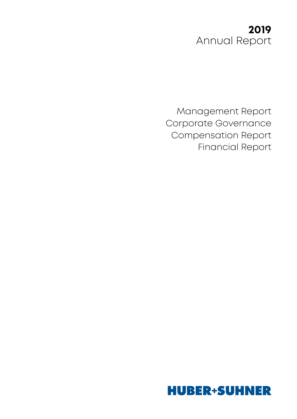## **2019**  Annual Report

Management Report Corporate Governance Compensation Report Financial Report

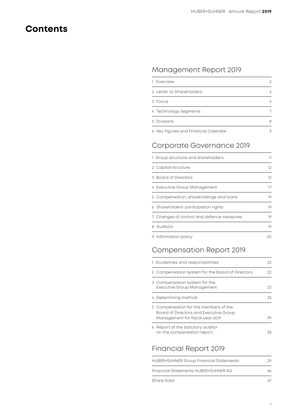## **Contents**

### Management Report 2019

| 1 Overview                           | 2 |
|--------------------------------------|---|
| 2. Letter to Shareholders            | 3 |
| 3 Focus                              | 5 |
| 4 Technology Segments                | 7 |
| 5 Divisions                          | 8 |
| 6 Key Figures and Financial Calendar | 9 |

### Corporate Governance 2019

| 1 Group structure and shareholders        | 11 |
|-------------------------------------------|----|
| 2 Capital structure                       | 12 |
| 3 Board of Directors                      | 12 |
| 4 Executive Group Management              | 17 |
| 5 Compensation, shareholdings and loans   | 19 |
| 6 Shareholders' participation rights      | 19 |
| 7 Changes of control and defence measures | 19 |
| 8 Auditors                                | 19 |
| 9 Information policy                      | 20 |

### Compensation Report 2019

| 1 Guidelines and responsibilities                                                                                  | 22 |
|--------------------------------------------------------------------------------------------------------------------|----|
| 2 Compensation system for the Board of Directors                                                                   | 22 |
| 3 Compensation system for the<br><b>Executive Group Management</b>                                                 | 23 |
| 4 Determining method                                                                                               | 25 |
| 5 Compensation for the members of the<br>Board of Directors and Executive Group<br>Management for fiscal year 2019 | つん |
| 6 Report of the statutory auditor<br>on the compensation report                                                    | 28 |

### Financial Report 2019

| Share Data                                     |    |
|------------------------------------------------|----|
| Financial Statements HUBER+SUHNFR AG           | 56 |
| <b>HUBER+SUHNER Group Financial Statements</b> | 29 |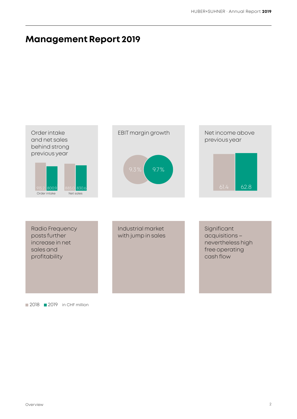## **Management Report 2019**



#### 2018 2019 in CHF million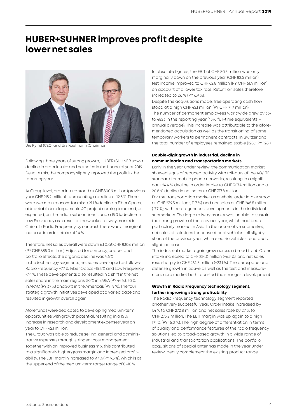## **HUBER+SUHNER improves profit despite lower net sales**



Urs Ryffel (CEO) and Urs Kaufmann (Chairman)

Following three years of strong growth, HUBER+SUHNER saw a decline in order intake and net sales in the financial year 2019. Despite this, the company slightly improved the profit in the reporting year.

At Group level, order intake stood at CHF 800.9 million (previous year CHF 915.2 million), representing a decline of 12.5 %. There were two main reasons for this: a 21.1 % decline in Fiber Optics, attributable to a large-scale 4G project coming to an end, as expected, on the Indian subcontinent, and a 15.0 % decline in Low Frequency as a result of the weaker railway market in China. In Radio Frequency by contrast, there was a marginal increase in order intake of 1.4 %.

Therefore, net sales overall were down 6.1 % at CHF 830.6 million (PY CHF 885.0 million). Adjusted for currency, copper and portfolio effects, the organic decline was 4.6 %. In the technology segments, net sales developed as follows: Radio Frequency +7.7 %, Fiber Optics -15.5 % and Low Frequency -7.4 %. These developments also resulted in a shift in the net sales share in the main regions: 50 % in EMEA (PY 44 %), 30 % in APAC (PY 37 %) and 20 % in the Americas (PY 19 %). The four strategic growth initiatives developed at a varied pace and resulted in growth overall again.

More funds were dedicated to developing medium-term opportunities with growth potential, resulting in a 15 % increase in research and development expenses year on year to CHF 42.1 million.

The Group was able to reduce selling, general and administrative expenses through stringent cost management. Together with an improved business mix, this contributed to a significantly higher gross margin and increased profitability. The EBIT margin increased to 9.7 % (PY 9.3 %), which is at the upper end of the medium-term target range of 8–10 %.

In absolute figures, the EBIT of CHF 80.5 million was only marginally down on the previous year (CHF 82.5 million). Net income improved to CHF 62.8 million (PY CHF 61.4 million) on account of a lower tax rate. Return on sales therefore increased to 7.6 % (PY 6.9 %).

Despite the acquisitions made, free operating cash flow stood at a high CHF 45.1 million (PY CHF 71.7 million). The number of permanent employees worldwide grew by 367 to 4823 in the reporting year (4576 full-time equivalents – annual average). This increase was attributable to the aforementioned acquisition as well as the transitioning of some temporary workers to permanent contracts. In Switzerland, the total number of employees remained stable (1256; PY 1261).

#### **Double-digit growth in industrial, decline in communication and transportation markets**

Early in the year under review, the communication market showed signs of reduced activity with roll-outs of the 4G/LTE standard for mobile phone networks, resulting in a significant 24.4 % decline in order intake to CHF 307.4 million and a 20.8 % decline in net sales to CHF 317.8 million. For the transportation market as a whole, order intake stood at CHF 239.5 million (-11.7 %) and net sales at CHF 248.5 million (-7.7 %), with heterogeneous developments in the individual submarkets. The large railway market was unable to sustain the strong growth of the previous year, which had been particularly marked in Asia. In the automotive submarket, net sales of solutions for conventional vehicles fell slightly short of the previous year, while electric vehicles recorded a slight increase.

The industrial market again grew across a broad front. Order intake increased to CHF 254.0 million (+6.9 %), and net sales rose sharply to CHF 264.3 million (+23.1 %). The aerospace and defense growth initiative as well as the test and measurement core market both reported the strongest development.

#### **Growth in Radio Frequency technology segment, further improving strong profitability**

The Radio Frequency technology segment reported another very successful year. Order intake increased by 1.4 % to CHF 272.8 million and net sales rose by 7.7 % to CHF 275.2 million. The EBIT margin was up again to a high 17.1 % (PY 16.0 %). The high degree of differentiation in terms of quality and performance features of the radio frequency solutions led to broad-based growth in a wide range of industrial and transportation applications. The portfolio acquisitions of special antennas made in the year under review ideally complement the existing product range. .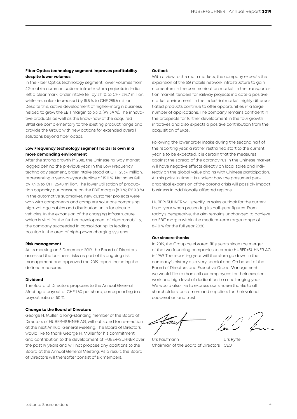#### **Fiber Optics technology segment improves profitability despite lower volumes**

In the Fiber Optics technology segment, lower volumes from 4G mobile communications infrastructure projects in India left a clear mark. Order intake fell by 21.1 % to CHF 274.7 million, while net sales decreased by 15.5 % to CHF 285.6 million. Despite this, active development of higher-margin business helped to grow the EBIT margin to 6.6 % (PY 5.9 %). The innovative products as well as the know-how of the acquired BKtel are complementary to the existing product range and provide the Group with new options for extended overall solutions beyond fiber optics.

#### **Low Frequency technology segment holds its own in a more demanding environment**

After the strong growth in 2018, the Chinese railway market lagged behind the previous year. In the Low Frequency technology segment, order intake stood at CHF 253.4 million, representing a year-on-year decline of 15.0 %. Net sales fell by 7.4 % to CHF 269.8 million. The lower utilisation of production capacity put pressure on the EBIT margin (8.0 %; PY 9.8 %). In the automotive submarket, new customer projects were won with components and complete solutions comprising high-voltage cables and distribution units for electric vehicles. In the expansion of the charging infrastructure, which is vital for the further development of electromobility, the company succeeded in consolidating its leading position in the area of high-power charging systems.

#### **Risk management**

At its meeting on 5 December 2019, the Board of Directors assessed the business risks as part of its ongoing risk management and approved the 2019 report including the defined measures.

#### **Dividend**

The Board of Directors proposes to the Annual General Meeting a payout of CHF 1.60 per share, corresponding to a payout ratio of 50 %.

#### **Change to the Board of Directors**

George H. Müller, a long-standing member of the Board of Directors of HUBER+SUHNER AG, will not stand for re-election at the next Annual General Meeting. The Board of Directors would like to thank George H. Müller for his commitment and contribution to the development of HUBER+SUHNER over the past 19 years and will not propose any additions to the Board at the Annual General Meeting. As a result, the Board of Directors will thereafter consist of six members.

#### **Outlook**

With a view to the main markets, the company expects the expansion of the 5G mobile network infrastructure to gain momentum in the communication market. In the transportation market, tenders for railway projects indicate a positive market environment. In the industrial market, highly differentiated products continue to offer opportunities in a large number of applications. The company remains confident in the prospects for further development in the four growth initiatives and also expects a positive contribution from the acquisition of BKtel.

Following the lower order intake during the second half of the reporting year, a rather restrained start to the current year is to be expected. It is certain that the measures against the spread of the coronavirus in the Chinese market will have negative effects directly on local sales and indirectly on the global value chains with Chinese participation. At this point in time it is unclear how the presumed geographical expansion of the corona crisis will possibly impact business in additionally affected regions.

HUBER+SUHNER will specify its sales outlook for the current fiscal year when presenting its half-year figures. From today's perspective, the aim remains unchanged to achieve an EBIT margin within the medium-term target range of 8–10 % for the full year 2020.

#### **Our sincere thanks**

In 2019, the Group celebrated fifty years since the merger of the two founding companies to create HUBER+SUHNER AG in 1969. The reporting year will therefore go down in the company's history as a very special one. On behalf of the Board of Directors and Executive Group Management, we would like to thank all our employees for their excellent work and high level of dedication in a challenging year. We would also like to express our sincere thanks to all shareholders, customers and suppliers for their valued cooperation and trust.

Urs Kaufmann Urs Ryffel Chairman of the Board of Directors CEO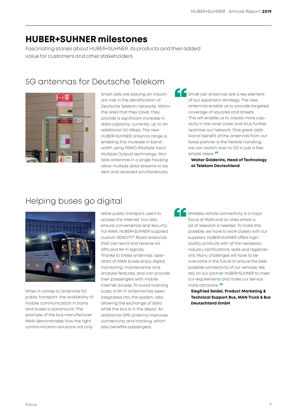## **HUBER+SUHNER milestones**

Fascinating stories about HUBER+SUHNER, its products and their added value for customers and other stakeholders

### 5G antennas for Deutsche Telekom



Small cells are playing an important role in the densification of Deutsche Telekom networks. Within the area that they cover, they provide a significant increase in data capacity; currently, up to an additional 150 Mbps. The new HUBER+SUHNER antenna range is enabling this increase in bandwidth using MIMO (Multiple Input Multiple Output) technology. Multiple antennas in a single housing allow multiple data streams to be sent and received simultaneously.

Small cell antennas are a key element of our expansion strategy. The new antennas enable us to provide targeted coverage of squares and streets. This will enable us to create more capacity in the inner cities and thus further optimise our network. One great additional benefit of the antennas from our Swiss partner is the flexible handling: we can switch over to 5G in just a few simple steps.<sup>"</sup>

**Walter Goldenits, Head of Technology at Telekom Deutschland**

## Helping buses go digital



When it comes to antennas for public transport, the availability of mobile communication in trains and buses is paramount. The example of the bus manufacturer MAN demonstrates how the right communication solutions not only

allow public transport users to access the Internet, but also ensure convenience and security. For MAN, HUBER+SUHNER supplied custom SENCITY® Road antennas that can send and receive 4G, GPS and Wi-Fi signals. Thanks to these antennas, operators of MAN buses enjoy digital monitoring, maintenance and analysis features, and can provide their passengers with mobile Internet access. To avoid roaming costs, a Wi-Fi antenna has been integrated into the system, also allowing the exchange of data while the bus is in the depot. An additional GPS antenna improves connectivity and tracking, which also benefits passengers.

Wireless vehicle connectivity is a major focus at MAN and an area where a lot of research is needed. To make this possible, we have to work closely with our suppliers. HUBER+SUHNER offers highquality products with all the necessary industry certifications, tests and registrations. Many challenges will have to be overcome in the future to ensure the best possible connectivity of our vehicles. We rely on our partner HUBER+SUHNER to meet our requirements and make our service more attractive.<sup>"</sup>

**Siegfried Seidel, Product Marketing & Technical Support Bus, MAN Truck & Bus Deutschland GmbH**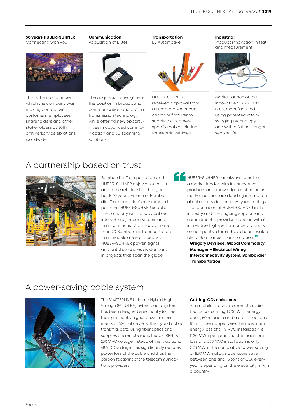#### **50 years HUBER+SUHNER**

Connecting with you



This is the motto under which the company was making contact with customers, employees, shareholders and other stakeholders at 50th anniversary celebrations worldwide.

**Communication** Acquisition of BKtel



The acquisition strengthens the position in broadband communication and optical transmission technology while offering new opportunities in advanced communication and 3D scanning solutions.



**Transportation** EV Automotive

HUBER+SUHNER received approval from a European-American car manufacturer to supply a customerspecific cable solution for electric vehicles.

#### **Industrial**

Product innovation in test and measurement



Market launch of the innovative SUCOFLEX® 550S, manufactured using patented rotary swaging technology and with a 5 times longer service life

### A partnership based on trust



Bombardier Transportation and HUBER+SUHNER enjoy a successful and close relationship that goes back 20 years. As one of Bombardier Transportation's most trusted partners, HUBER+SUHNER supplies the company with railway cables, intervehicle jumper systems and train communication. Today, more than 20 Bombardier Transportation train models are equipped with HUBER+SUHNER power, signal and databus cables as standard, in projects that span the globe.

**A FUBER+SUHNER has always remained** a market leader, with its innovative products and knowledge confirming its market position as a leading international cable provider for railway technology. The reputation of HUBER+SUHNER in the industry and the ongoing support and commitment it provides, coupled with its innovative high-performance products on competitive terms, have been invaluable to Bombardier Transportation."

> **Gregory Devriese, Global Commodity Manager – Electrical Wiring Interconnectivity System, Bombardier Transportation**

### A power-saving cable system



The MASTERLINE Ultimate Hybrid High Voltage (MLUH HV) hybrid cable system has been designed specifically to meet the significantly higher power requirements of 5G mobile cells. This hybrid cable transmits data using fiber optics and supplies the remote radio heads (RRH) with 230 V AC voltage instead of the 'traditional' 48 V DC voltage. This significantly reduces power loss of the cable and thus the carbon footprint of the telecommunications providers.

#### **Cutting CO<sub>2</sub> emissions**

At a mobile site with six remote radio heads consuming 1,200 W of energy each, 60 m cable and a cross-section of 10 mm2 per copper wire, the maximum energy loss of a 48 VDC installation is 11.20 MWh per year and the maximum loss of a 230 VAC installation is only 2.23 MWh. The cumulative power saving of 8.97 MWh allows operators save between one and 13 tons of  $CO<sub>2</sub>$  every year, depending on the electricity mix in a country.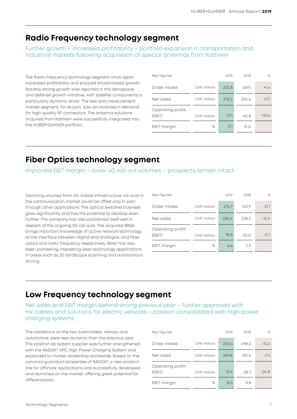### **Radio Frequency technology segment**

Further growth – increased profitability – portfolio expansion in transportation and industrial markets following acquisition of special antennas from Kathrein

The Radio Frequency technology segment once again increased profitability and enjoyed broad-based growth. Notably strong growth was reported in the aerospace and defense growth initiative, with satellite components a particularly dynamic driver. The test and measurement market segment, for its part, saw an increase in demand for high-quality RF connectors. The antenna solutions acquired from Kathrein were successfully integrated into the HUBER+SUHNER portfolio.

| Key figures                |             | 2019  | 2018  | $\%$    |
|----------------------------|-------------|-------|-------|---------|
| Order intake               | CHF million | 272.8 | 269.1 | $+1.4$  |
| Net sales                  | CHF million | 275.2 | 255.4 | $+7.7$  |
| Operating profit<br>(EBIT) | CHF million | 47.1  | 40.8  | $+15.4$ |
| EBIT margin                | ℅           | 17.1  | 16.0  |         |

### **Fiber Optics technology segment**

Improved EBIT margin – lower 4G roll-out volumes – prospects remain intact

Declining volumes from 4G mobile infrastructure roll-outs in the communication market could be offset only in part through other applications. The optical switches business grew significantly and has the potential to develop even further. The company has also positioned itself well in respect of the ongoing 5G roll-outs. The acquired BKtel brings important knowledge of active network technology at the interface between digital and analogue, and fiber optics and radio frequency respectively. BKtel has also been pioneering interesting laser technology applications in areas such as 3D landscape scanning and autonomous driving.

| Key figures                |             | 2019  | 2018  | $\%$    |
|----------------------------|-------------|-------|-------|---------|
| Order intake               | CHF million | 274.7 | 347.9 | $-21.1$ |
| Net sales                  | CHF million | 285.6 | 338.2 | $-15.5$ |
| Operating profit<br>(EBIT) | CHF million | 18.8  | 20.0  | $-5.7$  |
| EBIT margin                | %           | 6.6   | 5.9   |         |

### **Low Frequency technology segment**

Net sales and EBIT margin behind strong previous year – further approvals with HV cables and solutions for electric vehicles – position consolidated with high power charging systems

The conditions on the two submarkets, railway and automotive, were less dynamic than the previous year. The position as system supplier was further strengthened with the RADOX® HPC High Power Charging System and expanded to market leadership worldwide. Based on the convincing product properties of RADOX®, a new product line for offshore applications was successfully developed and launched on the market, offering great potential for differentiation.

| Key figures                |             | 2019  | 2018  | $\%$    |
|----------------------------|-------------|-------|-------|---------|
| Order intake               | CHF million | 253.4 | 298.2 | $-15.0$ |
| Net sales                  | CHF million | 269.8 | 291.4 | $-7.4$  |
| Operating profit<br>(EBIT) | CHF million | 21.6  | 28.7  | $-24.8$ |
| EBIT margin                | ℅           | 8.0   | 9.8   |         |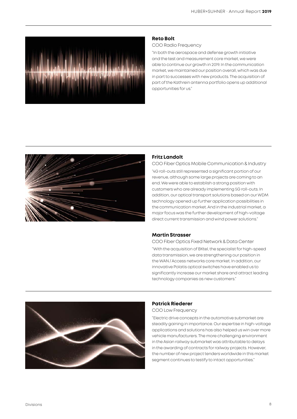

#### **Reto Bolt**

#### COO Radio Frequency

"In both the aerospace and defense growth initiative and the test and measurement core market, we were able to continue our growth in 2019. In the communication market, we maintained our position overall, which was due in part to successes with new products. The acquisition of part of the Kathrein antenna portfolio opens up additional opportunities for us."



#### **Fritz Landolt**

#### COO Fiber Optics Mobile Communication & Industry

"4G roll-outs still represented a significant portion of our revenue, although some large projects are coming to an end. We were able to establish a strong position with customers who are already implementing 5G roll-outs. In addition, our optical transport solutions based on our WDM technology opened up further application possibilities in the communication market. And in the industrial market, a major focus was the further development of high-voltage direct current transmission and wind power solutions."

#### **Martin Strasser**

COO Fiber Optics Fixed Network & Data Center

"With the acquisition of BKtel, the specialist for high-speed data transmission, we are strengthening our position in the WAN / Access networks core market. In addition, our innovative Polatis optical switches have enabled us to significantly increase our market share and attract leading technology companies as new customers."



#### **Patrick Riederer**

COO Low Frequency

"Electric drive concepts in the automotive submarket are steadily gaining in importance. Our expertise in high-voltage applications and solutions has also helped us win over more vehicle manufacturers. The more challenging environment in the Asian railway submarket was attributable to delays in the awarding of contracts for railway projects. However, the number of new project tenders worldwide in this market segment continues to testify to intact opportunities."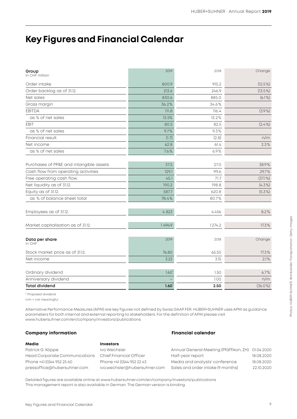## **Key Figures and Financial Calendar**

| Group<br>in CHF million                 | 2019   | 2018   | Change     |
|-----------------------------------------|--------|--------|------------|
| Order intake                            | 800.9  | 915.2  | $(12.5\%)$ |
| Order backlog as of 31.12.              | 213.6  | 246.9  | $(13.5\%)$ |
| Net sales                               | 830.6  | 885.0  | (6.1%)     |
| Gross margin                            | 36.2%  | 34.6%  |            |
| <b>EBITDA</b>                           | 111.8  | 116.4  | (3.9%      |
| as % of net sales                       | 13.5%  | 13.2%  |            |
| <b>EBIT</b>                             | 80.5   | 82.5   | $(2.4\%)$  |
| as % of net sales                       | 9.7%   | 9.3%   |            |
| Financial result                        | (1.7)  | (2.8)  | n/m        |
| Net income                              | 62.8   | 61.4   | 2.3%       |
| as % of net sales                       | 7.6%   | 6.9%   |            |
| Purchases of PP&E and intangible assets | 37.5   | 27.0   | 38.9%      |
| Cash flow from operating activities     | 129.1  | 99.6   | 29.7%      |
| Free operating cash flow                | 45.1   | 71.7   | $(37.1\%)$ |
| Net liquidity as of 31.12.              | 190.2  | 198.8  | $(4.3\%)$  |
| Equity as of 31.12.                     | 587.7  | 620.8  | $(5.3\%)$  |
| as % of balance sheet total             | 78.4%  | 80.7%  |            |
| Employees as of 31.12.                  | 4823   | 4456   | 8.2%       |
| Market capitalisation as of 31.12.      | 1494.9 | 1274.2 | 17.3%      |
| Data per share<br>in CHF                | 2019   | 2018   | Change     |
| Stock market price as of 31.12.         | 76.80  | 65.50  | 17.3%      |
| Net income                              | 3.22   | 3.15   | 2.1%       |
| Ordinary dividend                       | 1.60   | 1.50   | 6.7%       |
| Anniversary dividend                    |        | 1.00   | n/m        |
| <b>Total dividend</b>                   | 1.60   | 2.50   | $(36.0\%)$ |
|                                         |        |        |            |

1) Proposed dividend n/m = not meaningful

Alternative Performance Measures (APM) are key figures not defined by Swiss GAAP FER. HUBER+SUHNER uses APM as guidance parameters for both internal and external reporting to stakeholders. For the definition of APM please visit www.hubersuhner.com/en/company/investors/publications

#### **Company information Financial calendar**

| Media                         | <b>Investors</b>             |                                        |            |
|-------------------------------|------------------------------|----------------------------------------|------------|
| Patrick G. Köppe              | Ivo Wechsler                 | Annual General Meeting (Pfäffikon, ZH) | 01.04.2020 |
| Head Corporate Communications | Chief Financial Officer      | Half-year report                       | 18.08.2020 |
| Phone +41 (0)44 952 25 60     | Phone +41 (0)44 952 22 43    | Media and analysts' conference         | 18.08.2020 |
| pressoffice@hubersuhner.com   | ivo.wechsler@hubersuhner.com | Sales and order intake (9 months)      | 22,10,2020 |
|                               |                              |                                        |            |

Detailed figures are available online at [www.hubersuhner.com/en/company/investors/publications](https://www.hubersuhner.com/en/company/investors/publications) This management report is also available in German. The German version is binding.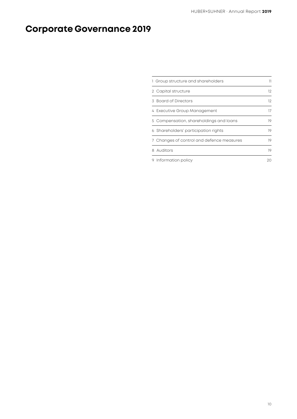## **Corporate Governance 2019**

| 1 Group structure and shareholders        | 11 |
|-------------------------------------------|----|
| 2 Capital structure                       | 12 |
| 3 Board of Directors                      | 12 |
| 4 Executive Group Management              | 17 |
| 5 Compensation, shareholdings and loans   | 19 |
| 6 Shareholders' participation rights      | 19 |
| 7 Changes of control and defence measures | 19 |
| 8 Auditors                                | 19 |
| 9 Information policy                      | 20 |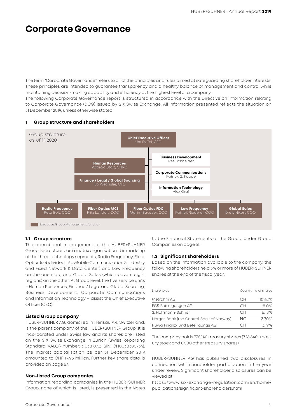## **Corporate Governance**

The term "Corporate Governance" refers to all of the principles and rules aimed at safeguarding shareholder interests. These principles are intended to guarantee transparency and a healthy balance of management and control while maintaining decision-making capability and efficiency at the highest level of a company.

The following Corporate Governance report is structured in accordance with the Directive on Information relating to Corporate Governance (DCG) issued by SIX Swiss Exchange. All information presented reflects the situation on 31 December 2019, unless otherwise stated.



#### **1 Group structure and shareholders**

#### **1.1 Group structure**

The operational management of the HUBER+SUHNER Group is structured as a matrix organisation. It is made up of the three technology segments, Radio Frequency, Fiber Optics (subdivided into Mobile Communication & Industry and Fixed Network & Data Center) and Low Frequency on the one side, and Global Sales (which covers eight regions) on the other. At Group level, the five service units – Human Resources, Finance / Legal and Global Sourcing, Business Development, Corporate Communications and Information Technology – assist the Chief Executive Officer (CEO).

#### **Listed Group company**

HUBER+SUHNER AG, domiciled in Herisau AR, Switzerland, is the parent company of the HUBER+SUHNER Group. It is incorporated under Swiss law and its shares are listed on the SIX Swiss Exchange in Zurich (Swiss Reporting Standard, VALOR number: 3 038 073; ISIN: CH0030380734). The market capitalisation as per 31 December 2019 amounted to CHF 1 495 million. Further key share data is provided on page 67.

#### **Non-listed Group companies**

Information regarding companies in the HUBER+SUHNER Group, none of which is listed, is presented in the Notes to the Financial Statements of the Group, under Group Companies on page 51.

#### **1.2 Significant shareholders**

Based on the information available to the company, the following shareholders held 3% or more of HUBER+SUHNER shares at the end of the fiscal year:

| Shareholder                              |     | Country % of shares |
|------------------------------------------|-----|---------------------|
| Metrohm AG                               | CН  | $10.62\%$           |
| EGS Beteiligungen AG                     | CН  | 8.0%                |
| S. Hoffmann-Suhner                       | CН  | 6.18%               |
| Norges Bank (the Central Bank of Norway) | NΟ  | 3.70%               |
| Huwa Finanz- und Beteiligungs AG         | ี∼∺ | 319%                |

The company holds 735 140 treasury shares (726 640 treasury stock and 8 500 other treasury shares).

HUBER+SUHNER AG has published two disclosures in connection with shareholder participation in the year under review. Significant shareholder disclosures can be viewed at:

[https://www.six-exchange-regulation.com/en/home/](https://www.six-exchange-regulation.com/en/home/publications/significant-shareholders.html) [publications/significant-shareholders.html](https://www.six-exchange-regulation.com/en/home/publications/significant-shareholders.html)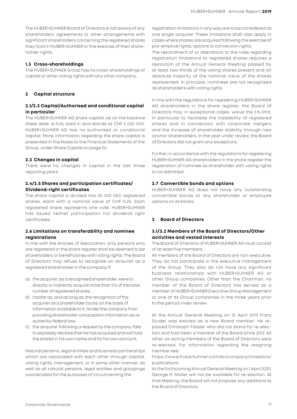The HUBER+SUHNER Board of Directors is not aware of any shareholders' agreements or other arrangements with significant shareholders concerning the registered shares they hold in HUBER+SUHNER or the exercise of their shareholder rights.

#### **1.3 Cross-shareholdings**

The HUBER+SUHNER Group has no cross-shareholdings of capital or other voting rights with any other company.

#### **2 Capital structure**

#### **2.1/2.2 Capital/Authorised and conditional capital in particular**

The HUBER+SUHNER AG share capital, as on the balance sheet date, is fully paid in and stands at CHF 5 050 000. HUBER+SUHNER AG has no authorised or conditional capital. More information regarding the share capital is presented in the Notes to the Financial Statements of the Group, under Share Capital on page 50.

#### **2.3 Changes in capital**

There were no changes in capital in the last three reporting years.

#### **2.4/2.5 Shares and participation certificates/ Dividend-right certificates**

The share capital is divided into 20 200 000 registered shares, each with a nominal value of CHF 0.25. Each registered share represents one vote. HUBER+SUHNER has issued neither participation nor dividend right certificates.

#### **2.6 Limitations on transferability and nominee registrations**

In line with the Articles of Association, only persons who are registered in the share register shall be deemed to be shareholders or beneficiaries with voting rights. The Board of Directors may refuse to recognise an acquirer as a registered shareholder in the company if:

- a) the acquirer, as a recognised shareholder, were to directly or indirectly acquire more than 5% of the total number of registered shares;
- b) insofar as, and as long as, the recognition of the acquirer as a shareholder could, on the basis of information available to it, hinder the company from providing shareholder composition information as required by federal law;
- c) the acquirer, following a request by the company, fails to expressly declare that he has acquired and will hold the shares in his own name and for his own account.

Natural persons, legal entities and business partnerships which are associated with each other through capital, voting rights, management, or in some other manner, as well as all natural persons, legal entities and groupings coordinated for the purposes of circumventing the

registration limitations in any way are to be considered as one single acquirer. These limitations shall also apply in cases where shares are acquired following the exercise of pre-emptive rights, options or conversion rights.

The rescindment of or alterations to the rules regarding registration limitations to registered shares requires a resolution of the Annual General Meeting passed by at least two-thirds of the voting shares present and an absolute majority of the nominal value of the shares represented. In principle, nominees are not recognised as shareholders with voting rights.

In line with the regulations for registering HUBER+SUHNER AG shareholders in the share register, the Board of Directors may, in exceptional cases, waive the 5% limit, in particular to facilitate the tradability of registered shares and in connection with corporate mergers and the increase of shareholder stability through new anchor shareholders. In the year under review, the Board of Directors did not grant any exceptions.

Further, in accordance with the regulations for registering HUBER+SUHNER AG shareholders in the share register the registration of nominee as shareholder with voting rights is not admitted.

#### **2.7 Convertible bonds and options**

HUBER+SUHNER AG does not have any outstanding convertible bonds or any shareholder or employee options on its books.

#### **3 Board of Directors**

#### **3.1/3.2 Members of the Board of Directors/Other activities and vested interests**

The Board of Directors of HUBER+SUHNER AG must consist of at least five members.

All members of the Board of Directors are non-executive. They do not participate in the executive management of the Group. They also do not have any significant business relationships with HUBER+SUHNER AG or other Group companies. Other than the Chairman, no member of the Board of Directors has served as a member of HUBER+SUHNER Executive Group Management or one of its Group companies in the three years prior to the period under review.

At the Annual General Meeting on 10 April 2019 Franz Studer was elected as a new Board member. He replaced Christoph Fässler who did not stand for re-election and had been a member of the Board since 2013. All other six acting members of the Board of Directors were re-elected. For information regarding the resigning member see:

[https://www.hubersuhner.com/en/company/investors/](https://www.hubersuhner.com/en/company/investors/publications) [publications.](https://www.hubersuhner.com/en/company/investors/publications)

At the forthcoming Annual General Meeting on 1 April 2020, George H. Müller will not be available for re-election. At that Meeting, the Board will not propose any additions to the Board of Directors.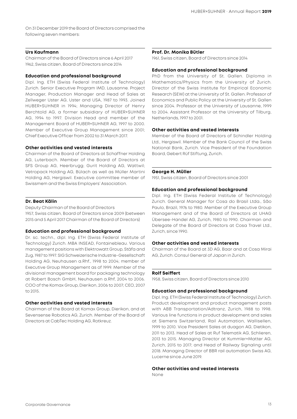On 31 December 2019 the Board of Directors comprised the following seven members:

#### **Urs Kaufmann**

Chairman of the Board of Directors since 6 April 2017 1962, Swiss citizen, Board of Directors since 2014

#### **Education and professional background**

Dipl. Ing. ETH (Swiss Federal Institute of Technology) Zurich. Senior Executive Program IMD, Lausanne. Project Manager, Production Manager and Head of Sales at Zellweger Uster AG, Uster and USA, 1987 to 1993. Joined HUBER+SUHNER in 1994; Managing Director of Henry Berchtold AG, a former subsidiary of HUBER+SUHNER AG, 1994 to 1997. Division Head and member of the Management Board of HUBER+SUHNER AG, 1997 to 2000. Member of Executive Group Management since 2001; Chief Executive Officer from 2002 to 31 March 2017.

#### **Other activities and vested interests**

Chairman of the Board of Directors at Schaffner Holding AG, Luterbach. Member of the Board of Directors at SFS Group AG, Heerbrugg; Gurit Holding AG, Wattwil; Vetropack Holding AG, Bülach as well as Müller Martini Holding AG, Hergiswil. Executive committee member of Swissmem and the Swiss Employers' Association.

#### **Dr. Beat Kälin**

Deputy Chairman of the Board of Directors

1957, Swiss citizen, Board of Directors since 2009 (between 2015 and 5 April 2017 Chairman of the Board of Directors)

#### **Education and professional background**

Dr. sc. techn., dipl. Ing. ETH (Swiss Federal Institute of Technology) Zurich. MBA INSEAD, Fontainebleau. Various management positions with Elektrowatt Group, Stäfa and Zug, 1987 to 1997. SIG Schweizerische Industrie-Gesellschaft Holding AG, Neuhausen a.Rhf., 1998 to 2004; member of Executive Group Management as of 1999. Member of the divisional management board for packaging technology at Robert Bosch GmbH, Neuhausen a.Rhf, 2004 to 2006. COO of the Komax Group, Dierikon, 2006 to 2007; CEO, 2007 to 2015.

#### **Other activities and vested interests**

Chairman of the Board at Komax Group, Dierikon, and at Sevensense Robotics AG, Zurich. Member of the Board of Directors at CabTec Holding AG, Rotkreuz.

#### **Prof. Dr. Monika Bütler**

1961, Swiss citizen, Board of Directors since 2014

#### **Education and professional background**

PhD from the University of St. Gallen. Diploma in Mathematics/Physics from the University of Zurich. Director of the Swiss Institute for Empirical Economic Research (SEW) at the University of St. Gallen. Professor of Economics and Public Policy at the University of St. Gallen since 2004. Professor at the University of Lausanne, 1999 to 2004. Assistant Professor at the University of Tilburg, Netherlands, 1997 to 2001.

#### **Other activities and vested interests**

Member of the Board of Directors of Schindler Holding Ltd., Hergiswil. Member of the Bank Council of the Swiss National Bank, Zurich. Vice President of the Foundation Board, Gebert Rüf Stiftung, Zurich.

#### **George H. Müller**

1951, Swiss citizen, Board of Directors since 2001

#### **Education and professional background**

Dipl. Ing. ETH (Swiss Federal Institute of Technology) Zurich. General Manager for Cosa do Brasil Ltda., São Paulo, Brazil, 1976 to 1980. Member of the Executive Group Management and of the Board of Directors at UHAG Übersee-Handel AG, Zurich, 1980 to 1990. Chairman and Delegate of the Board of Directors at Cosa Travel Ltd., Zurich, since 1990.

#### **Other activities and vested interests**

Chairman of the Board at 3D AG, Baar and at Cosa Mirai AG, Zurich. Consul General of Japan in Zurich.

#### **Rolf Seiffert**

1958, Swiss citizen, Board of Directors since 2010

#### **Education and professional background**

Dipl. Ing. ETH (Swiss Federal Institute of Technology) Zurich. Product development and product management posts with ABB Transportation/Adtranz, Zurich, 1988 to 1998. Various line functions in product development and sales at Siemens Switzerland, Rail Automation, Wallisellen, 1999 to 2010. Vice President Sales at duagon AG, Dietikon, 2011 to 2013. Head of Sales at Ruf Telematik AG, Schlieren, 2013 to 2015. Managing Director at Kummler+Matter AG, Zurich, 2015 to 2017; and Head of Railway Signaling until 2018. Managing Director of BBR rail automation Swiss AG, Lucerne since June 2019.

#### **Other activities and vested interests**

None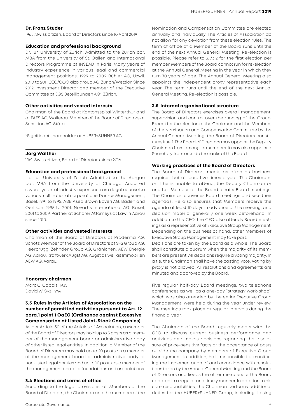#### **Dr. Franz Studer**

1965, Swiss citizen, Board of Directors since 10 April 2019

#### **Education and professional background**

Dr. iur. University of Zurich. Admitted to the Zurich bar. MBA from the University of St. Gallen and International Directors Programme at INSEAD in Paris. Many years of industry experience in various legal and commercial management positions. 1999 to 2009 Bühler AG, Uzwil. 2010 to 2011 CEO/COO aizo group AG, Zurich/Wetzlar. Since 2012 Investment Director and member of the Executive Committee at EGS Beteiligungen AG\*, Zürich.

#### **Other activities and vested interests**

Chairman of the Board at Kantonsspital Winterthur and at FAES AG, Wollerau. Member of the Board of Directors at Sensirion AG, Stäfa.

\*Significant shareholder at HUBER+SUHNER AG

#### **Jörg Walther**

1961, Swiss citizen, Board of Directors since 2016

#### **Education and professional background**

Lic. iur. University of Zurich. Admitted to the Aargau bar. MBA from the University of Chicago. Acquired several years of industry experience as a legal counsel to various multinational corporations: Danzas Management, Basel, 1991 to 1995. ABB Asea Brown Boveri AG, Baden and Oerlikon, 1995 to 2001. Novartis International AG, Basel, 2001 to 2009. Partner at Schärer Attorneys at Law in Aarau since 2010.

#### **Other activities and vested interests**

Chairman of the Board of Directors at Proderma AG, Schötz. Member of the Board of Directors at SFS Group AG, Heerbrugg; Zehnder Group AG, Gränichen; AEW Energie AG, Aarau; Kraftwerk Augst AG, Augst as well as Immobilien AEW AG, Aarau.

#### **Honorary chairmen**

Marc C. Cappis, 1935 David W. Syz, 1944

#### **3.3 Rules in the Articles of Association on the number of permitted activities pursuant to Art. 12 para.1 point 1 OaEC (Ordinance against Excessive Compensation at Listed Joint-Stock Companies)**

As per Article 30 of the Articles of Association, a Member of the Board of Directors may hold up to 5 posts as a member of the management board or administrative body of other listed legal entities. In addition, a Member of the Board of Directors may hold up to 20 posts as a member of the management board or administrative body of non-listed legal entities and up to 10 posts as a member of the management board of foundations and associations.

#### **3.4 Elections and terms of office**

According to the legal provisions, all Members of the Board of Directors, the Chairman and the members of the Nomination and Compensation Committee are elected annually and individually. The Articles of Association do not allow for any deviation from these election rules. The term of office of a Member of the Board runs until the end of the next Annual General Meeting. Re-election is possible. Please refer to 3.1/3.2 for the first election per member. Members of the Board cannot run for re-election at the Annual General Meeting in the year in which they turn 70 years of age. The Annual General Meeting also appoints the independent proxy representative each year. The term runs until the end of the next Annual General Meeting. Re-election is possible.

#### **3.5 Internal organisational structure**

The Board of Directors exercises overall management, supervision and control over the running of the Group. Except for the election of the Chairman and the Members of the Nomination and Compensation Committee by the Annual General Meeting, the Board of Directors constitutes itself. The Board of Directors may appoint the Deputy Chairman from among its members. It may also appoint a Secretary from outside the ranks of the Board.

#### **Working practices of the Board of Directors**

The Board of Directors meets as often as business requires, but at least five times a year. The Chairman, or if he is unable to attend, the Deputy Chairman or another Member of the Board, chairs Board meetings. The Chairman convenes Board meetings and sets their agendas. He also ensures that Members receive the agenda at least 10 days in advance of the meeting, and decision material generally one week beforehand. In addition to the CEO, the CFO also attends Board meetings as a representative of Executive Group Management. Depending on the business at hand, other members of Executive Group Management may take part.

Decisions are taken by the Board as a whole. The Board shall constitute a quorum when the majority of its members are present. All decisions require a voting majority. In a tie, the Chairman shall have the casting vote. Voting by proxy is not allowed. All resolutions and agreements are minuted and approved by the Board.

Five regular half-day Board meetings, two telephone conferences as well as a one-day "strategy work-shop", which was also attended by the entire Executive Group Management, were held during the year under review. The meetings took place at regular intervals during the financial year.

The Chairman of the Board regularly meets with the CEO to discuss current business performance and activities and makes decisions regarding the disclosure of price-sensitive facts or the acceptance of posts outside the company by members of Executive Group Management. In addition, he is responsible for monitoring the implementation of and compliance with resolutions taken by the Annual General Meeting and the Board of Directors and keeps the other members of the Board updated in a regular and timely manner. In addition to his core responsibilities, the Chairman performs additional duties for the HUBER+SUHNER Group, including liaising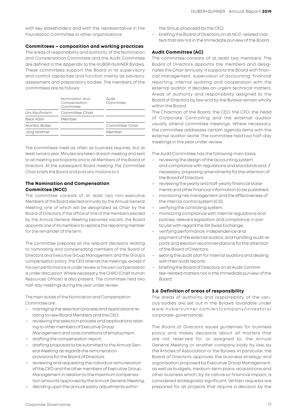with key stakeholders and with the representative in the Foundation Committee or other organisations.

#### **Committees – composition and working practices**

The areas of responsibility and authority of the Nomination and Compensation Committee and the Audit Committee are defined in the appendix to the HUBER+SUHNER Bylaws. These committees support the Board in its supervisory and control capacities and function mainly as advisory, assessment and preparatory bodies. The members of the committees are as follows:

|               | Nomination and<br>Compensation<br>Committee | Audit<br>Committee |
|---------------|---------------------------------------------|--------------------|
| Urs Kaufmann  | Committee Chair                             |                    |
| Beat Kälin    | Member                                      |                    |
| Monika Bütler |                                             | Committee Chair    |
| Jörg Walther  |                                             | Member             |
|               |                                             |                    |

The committees meet as often as business requires, but at least twice a year. Minutes are taken at each meeting and sent to all meeting participants and to all Members of the Board of Directors. At the subsequent Board meeting, the Committee Chair briefs the Board and puts any motions to it.

#### **The Nomination and Compensation Committee (NCC)**

The committee consists of at least two non-executive Members of the Board elected annually by the Annual General Meeting, one of which will be designated as Chair by the Board of Directors. If the office of one of the members elected by the Annual General Meeting becomes vacant, the Board appoints one of its members to replace the departing member for the remainder of the term.

The committee prepares all the relevant decisions relating to nominating and compensating members of the Board of Directors and Executive Group Management and the Group's compensation policy. The CEO attends the meetings, except if his own performance is under review or his own compensation is under discussion. Where necessary, the CHRO (Chief Human Resources Officer) is also present. The committee held two half-day meetings during the year under review.

The main duties of the Nomination and Compensation Committee are:

- managing the selection process and applications relating to new Board Members and the CEO;
- reviewing the selection process and applications relating to other members of Executive Group Management and core conditions of employment;
- drafting the compensation report;
- drafting proposals to be submitted to the Annual General Meeting as regards the remuneration provisions for the Board of Directors.
- reviewing and requesting the individual remuneration of the CEO and the other members of Executive Group Management in relation to the maximum compensation amounts approved by the Annual General Meeting;
- deciding upon the annual salary adjustments within

the Group proposed by the CEO;

– briefing the Board of Directors on all NCC-related matters that are not in the immediate purview of the Board.

#### **Audit Committee (AC)**

The committee consists of at least two members. The Board of Directors appoints the members and designates the Chair annually. It supports the Board with financial management, supervision of accounting, financial reporting, internal auditing and cooperation with the external auditor. It decides on urgent technical matters. Areas of authority and responsibility assigned to the Board of Directors by law and by the Bylaws remain wholly within the Board.

The Chairman of the Board, the CEO, the CFO, the Head of Corporate Controlling and the external auditor usually attend committee meetings. Where necessary, the committee addresses certain agenda items with the external auditor alone. The committee held two half-day meetings in the year under review.

The Audit Committee has the following main tasks:

- reviewing the design of the accounting system and compliance with regulations and standards and, if necessary, proposing amendments for the attention of the Board of Directors;
- reviewing the yearly and half-yearly financial statements and other financial information to be published;
- monitoring risk management and the effectiveness of the internal control system (ICS);
- verifying the controlling system;
- monitoring compliance with internal regulations and policies, relevant legislation and compliance, in particular with regard the SIX Swiss Exchange;
- verifying performance, independence and payment of the external auditor, and handling audit reports and election recommendations for the attention of the Board of Directors;
- setting the audit plan for internal auditors and dealing with their audit reports;
- briefing the Board of Directors on all Audit Committee-related matters not in the immediate purview of the Board.

#### **3.6 Definition of areas of responsibility**

The areas of authority and responsibility of the various bodies are set out in the Bylaws (available under [www.hubersuhner.com/en/company/investors/](www.hubersuhner.com/en/company/investors/corporate-governance) [corporate-governance\)](www.hubersuhner.com/en/company/investors/corporate-governance).

The Board of Directors issues guidelines for business policy and makes decisions about all matters that are not reserved for, or assigned to, the Annual General Meeting or another company body by law, by the Articles of Association or the Bylaws. In particular, the Board of Directors approves the business strategy and organisation proposed by Executive Group Management, as well as budgets, medium-term plans, acquisitions and other business which, by its nature or financial impact, is considered strategically significant. Written requests are prepared for all projects that require a decision by the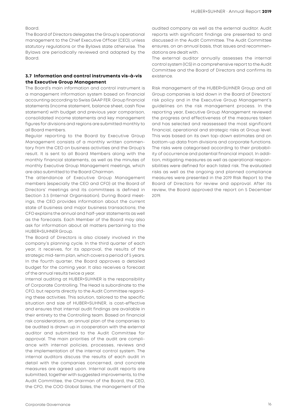#### Board.

The Board of Directors delegates the Group's operational management to the Chief Executive Officer (CEO), unless statutory regulations or the Bylaws state otherwise. The Bylaws are periodically reviewed and adapted by the Board.

#### **3.7 Information and control instruments vis-à-vis the Executive Group Management**

The Board's main information and control instrument is a management information system based on financial accounting according to Swiss GAAP FER. Group financial statements (income statement, balance sheet, cash flow statement) with budget and previous year comparison, consolidated income statements and key management figures for divisions and regions are submitted monthly to all Board members.

Regular reporting to the Board by Executive Group Management consists of a monthly written commentary from the CEO on business activities and the Group's result. It is sent to all Board Members along with the monthly financial statements, as well as the minutes of monthly Executive Group Management meetings, which are also submitted to the Board Chairman.

The attendance of Executive Group Management members (especially the CEO and CFO) at the Board of Directors' meetings and its committees is defined in Section 3.5 (Internal Organisation). During Board meetings, the CEO provides information about the current state of business and major business transactions; the CFO explains the annual and half-year statements as well as the forecasts. Each Member of the Board may also ask for information about all matters pertaining to the HUBER+SUHNER Group.

The Board of Directors is also closely involved in the company's planning cycle. In the third quarter of each year, it receives, for its approval, the results of the strategic mid-term plan, which covers a period of 5 years. In the fourth quarter, the Board approves a detailed budget for the coming year. It also receives a forecast of the annual results twice a year.

Internal auditing at HUBER+SUHNER is the responsibility of Corporate Controlling. The Head is subordinate to the CFO, but reports directly to the Audit Committee regarding these activities. This solution, tailored to the specific situation and size of HUBER+SUHNER, is cost-effective and ensures that internal audit findings are available in their entirety to the Controlling team. Based on financial risk considerations, an annual plan of the companies to be audited is drawn up in cooperation with the external auditor and submitted to the Audit Committee for approval. The main priorities of the audit are compliance with internal policies, processes, reviews and the implementation of the internal control system. The internal auditors discuss the results of each audit in detail with the companies concerned, and concrete measures are agreed upon. Internal audit reports are submitted, together with suggested improvements, to the Audit Committee, the Chairman of the Board, the CEO, the CFO, the COO Global Sales, the management of the

audited company as well as the external auditor. Audit reports with significant findings are presented to and discussed in the Audit Committee. The Audit Committee ensures, on an annual basis, that issues and recommendations are dealt with.

The external auditor annually assesses the internal control system (ICS) in a comprehensive report to the Audit Committee and the Board of Directors and confirms its existence.

Risk management of the HUBER+SUHNER Group and all Group companies is laid down in the Board of Directors' risk policy and in the Executive Group Management's guidelines on the risk management process. In the reporting year, Executive Group Management reviewed the progress and effectiveness of the measures taken and has selected and reassessed the most significant financial, operational and strategic risks at Group level. This was based on its own top-down estimates and on bottom-up data from divisions and corporate functions. The risks were categorised according to their probability of occurrence and potential financial impact. In addition, mitigating measures as well as operational responsibilities were defined for each listed risk. The evaluated risks as well as the ongoing and planned compliance measures were presented in the 2019 Risk Report to the Board of Directors for review and approval. After its review, the Board approved the report on 5 December 2019.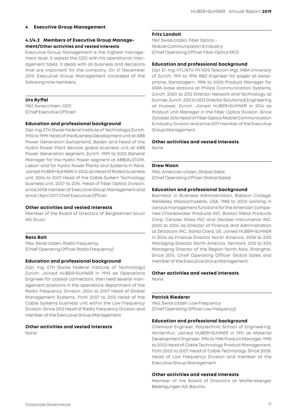#### **4 Executive Group Management**

#### **4.1/4.2 Members of Executive Group Management/Other activities and vested interests**

Executive Group Management is the highest management level; it assists the CEO with his operational management tasks. It deals with all business and decisions that are important for the company. On 31 December 2019, Executive Group Management consisted of the following nine members:

#### **Urs Ryffel**

1967, Swiss citizen, CEO (Chief Executive Officer)

#### **Education and professional background**

Dipl. Ing. ETH (Swiss Federal Institute of Technology) Zurich. 1992 to 1999 Head of the Business Development unit at ABB Power Generation Switzerland, Baden and Head of the Hydro Power Plant Service global business unit at ABB Power Generation segment, Zurich. 1999 to 2002 General Manager for the Hydro Power segment at ABB/ALSTOM, Lisbon and for Hydro Power Plants and Systems in Paris. Joined HUBER+SUHNER in 2002 as Head of Rollers business unit. 2004 to 2007 Head of the Cable System Technology business unit. 2007 to 2016, Head of Fiber Optics Division; since 2008 member of Executive Group Management and since 1 April 2017 Chief Executive Officer.

#### **Other activities and vested interests**

Member of the Board of Directors of Bergbahnen Scuol AG, Scuol.

#### **Reto Bolt**

1966, Swiss citizen, Radio Frequency (Chief Operating Officer Radio Frequency)

#### **Education and professional background**

Dipl. Ing. ETH (Swiss Federal Institute of Technology) Zurich. Joined HUBER+SUHNER in 1993 as Operations Engineer for coaxial connectors, then held several management positions in the operations department of the Radio Frequency Division. 2004 to 2007 Head of Global Management Systems, from 2007 to 2012 Head of the Cable Systems business unit within the Low Frequency Division. Since 2012 Head of Radio Frequency Division and member of the Executive Group Management.

#### **Other activities and vested interests**

None

#### **Fritz Landolt**

1967, Swiss citizen, Fiber Optics – Mobile Communication & Industry (Chief Operating Officer Fiber Optics MCI)

#### **Education and professional background**

Dipl. El.-Ing. HTL/STV, FH NDS Telecom Mgt, MBA University of Zurich. 1991 to 1996 R&D Engineer for pager at swissphone, Samstagern. 1996 to 2000 Product Manager for GSM-base stations at Philips Communication Systems, Zurich. 2000 to 2012 Director Network and Technology at Sunrise, Zurich. 2012 to 2013 Director Solutions & Engineering at Huawei, Zurich. Joined HUBER+SUHNER in 2014 as Product Unit Manager in the Fiber Optics Division. Since October 2016 Head of Fiber Optics Mobile Communication & Industry Division and since 2017 member of the Executive Group Management.

#### **Other activities and vested interests**

None

#### **Drew Nixon**

1965, American citizen, Global Sales (Chief Operating Officer Global Sales)

#### **Education and professional background**

Bachelor in Business Administration, Babson College, Wellesley Massachusetts, USA. 1988 to 2000 working in various management functions for the American companies Charleswater Products INC, Boston Metal Products Corp, Cerplex Mass INC and Decibel Instruments INC. 2000 to 2004 as Director of Finance and Administration at Zettacom INC, Santa Clara, US. Joined HUBER+SUHNER in 2004 as Finance Director North America, 2008 to 2012 Managing Director North America, Vermont, 2012 to 2015 Managing Director of the Region North Asia, Shanghai. Since 2015, Chief Operating Officer Global Sales and member of the Executive Group Management.

### **Other activities and vested interests**

None

#### **Patrick Riederer**

1965, Swiss citizen, Low Frequency (Chief Operating Officer Low Frequency)

#### **Education and professional background**

Chemical Engineer, Polytechnic School of Engineering, Winterthur. Joined HUBER+SUHNER in 1991 as Material Development Engineer, 1994 to 1998 Product Manager, 1998 to 2002 Head of Cable Technology Product Management, from 2002 to 2007 Head of Cable Technology. Since 2008, Head of Low Frequency Division and member of the Executive Group Management.

#### **Other activities and vested interests**

Member of the Board of Directors at Wolfensberger Beteiligungen AG, Bauma.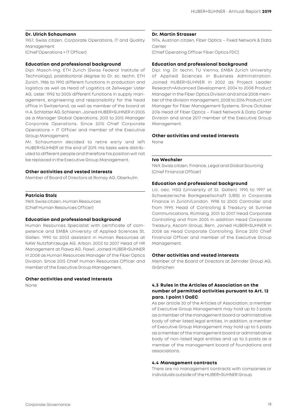#### **Dr. Ulrich Schaumann**

1957, Swiss citizen, Corporate Operations, IT and Quality Management (Chief Operations + IT Officer)

### **Education and professional background**

Dipl. Masch-Ing. ETH Zurich (Swiss Federal Institute of Technology), postdoctoral degree to Dr. sc. techn. ETH Zurich. 1986 to 1992 different functions in production and logistics as well as Head of Logistics at Zellweger Uster AG, Uster. 1992 to 2005 different functions in supply management, engineering and responsibility for the head office in Switzerland, as well as member of the board at H.A. Schlatter AG, Schlieren. Joined HUBER+SUHNER in 2005 as a Manager Global Operations, 2013 to 2015 Manager Corporate Operations. Since 2015 Chief Corporate Operations + IT Officer and member of the Executive Group Management.

Mr. Schaumann decided to retire early and left HUBER+SUHNER at the end of 2019. His tasks were distributed to different people and therefore his position will not be replaced in the Executive Group Management.

#### **Other activities and vested interests**

Member of Board of Directors at Romay AG, Oberkulm.

#### **Patricia Stolz**

1969, Swiss citizen, Human Resources (Chief Human Resources Officer)

#### **Education and professional background**

Human Resources Specialist with certificate of competence and EMBA University of Applied Sciences St. Gallen. 1990 to 2003 assistant in Human Resources at NAW Nutzfahrzeuge AG, Arbon. 2003 to 2007 Head of HR Management at Flawa AG, Flawil. Joined HUBER+SUHNER in 2008 as Human Resources Manager of the Fiber Optics Division. Since 2015 Chief Human Resources Officer and member of the Executive Group Management.

#### **Other activities and vested interests**

None

#### **Dr. Martin Strasser**

1974, Austrian citizen, Fiber Optics – Fixed Network & Data Center

(Chief Operating Officer Fiber Optics FDC)

#### **Education and professional background**

Dipl. Ing. Dr. techn. TU Vienna, EMBA Zurich University of Applied Sciences in Business Administration. Joined HUBER+SUHNER in 2002 as Project Leader Research+Advanced Development. 2004 to 2008 Product Manager in the Fiber Optics Division and since 2008 member of the division management. 2008 to 2016 Product Unit Manager for Fiber Management Systems. Since October 2016 Head of Fiber Optics – Fixed Network & Data Center Division and since 2017 member of the Executive Group Management.

#### **Other activities and vested interests**

None

#### **Ivo Wechsler**

1969, Swiss citizen, Finance, Legal and Global Sourcing (Chief Financial Officer)

#### **Education and professional background**

Lic. oec. HSG (University of St. Gallen). 1995 to 1997 at Schweizerische Bankgesellschaft (UBS) in Corporate Finance in Zurich/London. 1998 to 2000 Controller and from 1999, Head of Controlling & Treasury at Sunrise Communications, Rümlang. 2001 to 2007 Head Corporate Controlling and from 2005 in addition Head Corporate Treasury, Ascom Group, Bern. Joined HUBER+SUHNER in 2008 as Head Corporate Controlling. Since 2010 Chief Financial Officer and member of the Executive Group Management.

#### **Other activities and vested interests**

Member of the Board of Directors at Zehnder Group AG, Gränichen

#### **4.3 Rules in the Articles of Association on the number of permitted activities pursuant to Art. 12 para. 1 point 1 OaEC**

As per article 30 of the Articles of Association, a member of Executive Group Management may hold up to 3 posts as a member of the management board or administrative body of other listed legal entities. In addition, a member of Executive Group Management may hold up to 5 posts as a member of the management board or administrative body of non-listed legal entities and up to 5 posts as a member of the management board of foundations and associations.

#### **4.4 Management contracts**

There are no management contracts with companies or individuals outside of the HUBER+SUHNER Group.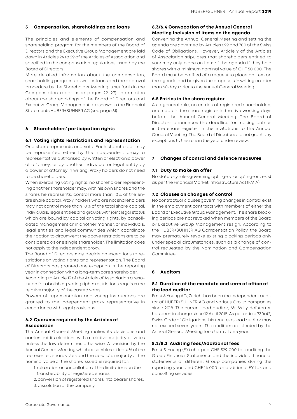#### **5 Compensation, shareholdings and loans**

The principles and elements of compensation and shareholding program for the members of the Board of Directors and the Executive Group Management are laid down in Articles 24 to 29 of the Articles of Association and specified in the compensation regulations issued by the Board of Directors.

More detailed information about the compensation, shareholding programs as well as loans and the approval procedure by the Shareholder Meeting is set forth in the Compensation report (see pages 22–27). Information about the shareholdings of the Board of Directors and Executive Group Management are shown in the Financial Statements HUBER+SUHNER AG (see page 61).

#### **6 Shareholders' participation rights**

#### **6.1 Voting rights restrictions and representation**

One share represents one vote. Each shareholder may be represented either by the independent proxy, a representative authorised by written or electronic power of attorney, or by another individual or legal entity by a power of attorney in writing. Proxy holders do not need to be shareholders.

When exercising voting rights, no shareholder representing another shareholder may, with his own shares and the shares he represents, control more than 10 % of the entire share capital. Proxy holders who are not shareholders may not control more than 10% of the total share capital. Individuals, legal entities and groups with joint legal status which are bound by capital or voting rights, by consolidated management or in another manner, or individuals, legal entities and legal communities which coordinate their action to circumvent the above restrictions are to be considered as one single shareholder. The limitation does not apply to the independent proxy.

The Board of Directors may decide on exceptions to restrictions on voting rights and representation. The Board of Directors has granted one exception in the reporting year in connection with a long-term core shareholder.

According to Article 13 of the Article of Association a resolution for abolishing voting rights restrictions requires the relative majority of the casted votes.

Powers of representation and voting instructions are granted to the independent proxy representative in accordance with legal provisions.

#### **6.2 Quorums required by the Articles of Association**

The Annual General Meeting makes its decisions and carries out its elections with a relative majority of votes unless the law determines otherwise. A decision by the Annual General Meeting which assembles at least ⅔ of the represented share votes and the absolute majority of the nominal value of the shares issued, is required for:

- 1. relaxation or cancellation of the limitations on the transferability of registered shares;
- 2. conversion of registered shares into bearer shares;
- 3. dissolution of the company.

#### **6.3/6.4 Convocation of the Annual General Meeting Inclusion of items on the agenda**

Convening the Annual General Meeting and setting the agenda are governed by Articles 699 and 700 of the Swiss Code of Obligations. However, Article 9 of the Articles of Association stipulates that shareholders entitled to vote may only place an item of the agenda if they hold shares with a minimum nominal value of CHF 50 000. The Board must be notified of a request to place an item on the agenda and be given the proposals in writing no later than 60 days prior to the Annual General Meeting.

#### **6.5 Entries in the share register**

As a general rule, no entries of registered shareholders are made in the share register in the five working days before the Annual General Meeting. The Board of Directors announces the deadline for making entries in the share register in the invitations to the Annual General Meeting. The Board of Directors did not grant any exceptions to this rule in the year under review.

#### **7 Changes of control and defence measures**

#### **7.1 Duty to make an offer**

No statutory rules governing opting-up or opting-out exist as per the Financial Market Infrastructure Act (FMIA).

#### **7.2 Clauses on changes of control**

No contractual clauses governing changes in control exist in the employment contracts with members of either the Board or Executive Group Management. The share blocking periods are not revoked when members of the Board or Executive Group Management resign. According to the HUBER+SUHNER AG Compensation Policy, the Board may prematurely revoke existing blocking periods only under special circumstances, such as a change of control requested by the Nomination and Compensation Committee.

#### **8 Auditors**

#### **8.1 Duration of the mandate and term of office of the lead auditor**

Ernst & Young AG, Zurich, has been the independent auditor of HUBER+SUHNER AG and various Group companies since 2018. The current lead auditor, Mr. Willy Hofstetter, has been in charge since 12 April 2018. As per article 730a(2) Swiss Code of Obligations, his tenure as lead auditor may not exceed seven years. The auditors are elected by the Annual General Meeting for a term of one year.

#### **8.2/8.3 Auditing fees/Additional fees**

Ernst & Young (EY) charged CHF 529 000 for auditing the Group Financial Statements and the individual financial statements of different Group companies during the reporting year, and CHF 14 000 for additional EY tax and consulting services.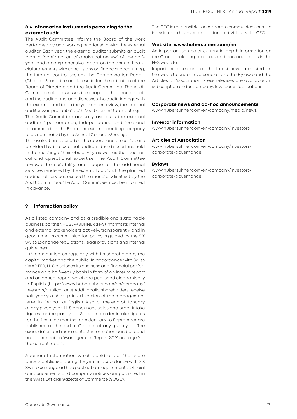#### **8.4 Information instruments pertaining to the external audit**

The Audit Committee informs the Board of the work performed by and working relationship with the external auditor. Each year, the external auditor submits an audit plan, a "confirmation of analytical review" of the halfyear and a comprehensive report on the annual financial statements with conclusions on financial accounting, the internal control system, the Compensation Report (Chapter 5) and the audit results for the attention of the Board of Directors and the Audit Committee. The Audit Committee also assesses the scope of the annual audit and the audit plans, and discusses the audit findings with the external auditor. In the year under review, the external auditor was present at both Audit Committee meetings.

The Audit Committee annually assesses the external auditors' performance, independence and fees and recommends to the Board the external auditing company to be nominated by the Annual General Meeting.

This evaluation is based on the reports and presentations provided by the external auditors, the discussions held in the meetings, their objectivity as well as their technical and operational expertise. The Audit Committee reviews the suitability and scope of the additional services rendered by the external auditor. If the planned additional services exceed the monetary limit set by the Audit Committee, the Audit Committee must be informed in advance.

#### **9 Information policy**

As a listed company and as a credible and sustainable business partner, HUBER+SUHNER (H+S) informs its internal and external stakeholders actively, transparently and in good time. Its communication policy is guided by the SIX Swiss Exchange regulations, legal provisions and internal guidelines.

H+S communicates regularly with its shareholders, the capital market and the public. In accordance with Swiss GAAP FER, H+S discloses its business and financial performance on a half-yearly basis in form of an interim report and an annual report which are published electronically in English [\(https://www.hubersuhner.com/en/company/](https://www.hubersuhner.com/en/company/investors/publications) [investors/publications\)](https://www.hubersuhner.com/en/company/investors/publications). Additionally, shareholders receive half-yearly a short printed version of the management letter in German or English. Also, at the end of January of any given year, H+S announces sales and order intake figures for the past year. Sales and order intake figures for the first nine months from January to September are published at the end of October of any given year. The exact dates and more contact information can be found under the section "Management Report 2019" on page 9 of the current report.

Additional information which could affect the share price is published during the year in accordance with SIX Swiss Exchange ad hoc publication requirements. Official announcements and company notices are published in the Swiss Official Gazette of Commerce (SOGC).

The CEO is responsible for corporate communications. He is assisted in his investor relations activities by the CFO.

#### **Website: www.hubersuhner.com/en**

An important source of current in-depth information on the Group, including products and contact details is the H+S website.

Important dates and all the latest news are listed on the website under Investors, as are the Bylaws and the Articles of Association. Press releases are available on subscription under Company/Investors/ Publications.

#### **Corporate news and ad-hoc announcements**

www.hubersuhner.com/en/company/media/news

#### **Investor information**

www.hubersuhner.com/en/company/investors

#### **Articles of Association**

[www.hubersuhner.com/en/company/investors/](http://www.hubersuhner.com/en/company/investors/corporate-governance) [corporate-governance](http://www.hubersuhner.com/en/company/investors/corporate-governance)

#### **Bylaws**

[www.hubersuhner.com/en/company/investors/](http://www.hubersuhner.com/en/company/investors/corporate-governance) [corporate-governance](http://www.hubersuhner.com/en/company/investors/corporate-governance)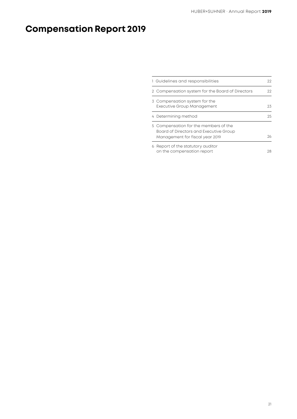# **Compensation Report 2019**

| 1 Guidelines and responsibilities                                                                                  | 22 |
|--------------------------------------------------------------------------------------------------------------------|----|
| 2 Compensation system for the Board of Directors                                                                   | 22 |
| 3 Compensation system for the<br>Executive Group Management                                                        | 23 |
| 4 Determining method                                                                                               | 25 |
| 5 Compensation for the members of the<br>Board of Directors and Executive Group<br>Management for fiscal year 2019 | つん |
| 6 Report of the statutory auditor<br>on the compensation report                                                    | 28 |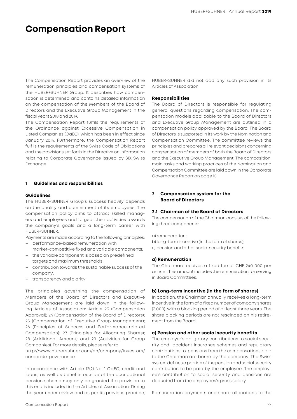## **Compensation Report**

The Compensation Report provides an overview of the remuneration principles and compensation systems of the HUBER+SUHNER Group. It describes how compensation is determined and contains detailed information on the compensation of the Members of the Board of Directors and the Executive Group Management in the fiscal years 2018 and 2019.

The Compensation Report fulfils the requirements of the Ordinance against Excessive Compensation in Listed Companies (OaEC), which has been in effect since January 2014. Furthermore, the Compensation Report fulfils the requirements of the Swiss Code of Obligations and the provisions set forth in the Directive on Information relating to Corporate Governance issued by SIX Swiss Exchange.

#### **1 Guidelines and responsibilities**

#### **Guidelines**

The HUBER+SUHNER Group's success heavily depends on the quality and commitment of its employees. The compensation policy aims to attract skilled managers and employees and to gear their activities towards the company's goals and a long-term career with HUBER+SUHNER:

Payments are made according to the following principles:

- performance-based remuneration with market-competitive fixed and variable components;
- the variable component is based on predefined targets and maximum thresholds;
- contribution towards the sustainable success of the company;
- transparency and clarity

The principles governing the compensation of Members of the Board of Directors and Executive Group Management are laid down in the following Articles of Association: Article 23 (Compensation Approval); 24 (Compensation of the Board of Directors); 25 (Compensation of Executive Group Management); 26 (Principles of Success and Performance-related Compensation); 27 (Principles for Allocating Shares); 28 (Additional Amount) and 29 (Activities for Group Companies). For more details, please refer to

[http://www.hubersuhner.com/en/company/investors/](http://www.hubersuhner.com/en/company/investors/corporate-governance)  [corporate-governance](http://www.hubersuhner.com/en/company/investors/corporate-governance).

In accordance with Article 12(2) No. 1 OaEC, credit and loans, as well as benefits outside of the occupational pension scheme may only be granted if a provision to this end is included in the Articles of Association. During the year under review and as per its previous practice, HUBER+SUHNER did not add any such provision in its Articles of Association.

#### **Responsibilities**

The Board of Directors is responsible for regulating general questions regarding compensation. The compensation models applicable to the Board of Directors and Executive Group Management are outlined in a compensation policy approved by the Board. The Board of Directors is supported in its work by the Nomination and Compensation Committee. The committee reviews the principles and prepares all relevant decisions concerning compensation of members of both the Board of Directors and the Executive Group Management. The composition, main tasks and working practices of the Nomination and Compensation Committee are laid down in the Corporate Governance Report on page 15.

#### **2 Compensation system for the Board of Directors**

#### **2.1 Chairman of the Board of Directors**

The compensation of the Chairman consists of the following three components:

a) remuneration;

b) long-term incentive (in the form of shares);

c) pension and other social security benefits

#### **a) Remuneration**

The Chairman receives a fixed fee of CHF 240 000 per annum. This amount includes the remuneration for serving in Board Committees.

#### **b) Long-term incentive (in the form of shares)**

In addition, the Chairman annually receives a long-term incentive in the form of a fixed number of company shares (3 000), with a blocking period of at least three years. The share blocking periods are not rescinded on his retirement from the Board.

#### **c) Pension and other social security benefits**

The employer's obligatory contributions to social security and accident insurance schemes and regulatory contributions to pensions from the compensations paid to the Chairman are borne by the company. The Swiss system defines a portion of the pension and social security contribution to be paid by the employee. The employee's contribution to social security and pensions are deducted from the employees's gross salary.

Remuneration payments and share allocations to the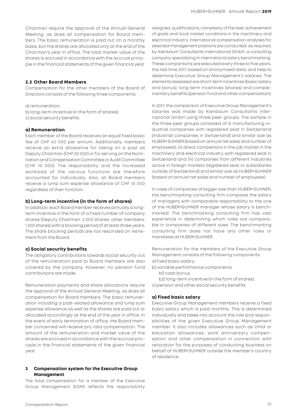Chairman require the approval of the Annual General Meeting, as does all compensation for Board members. The basic remuneration is paid out on a monthly basis, but the shares are allocated only at the end of the Chairman's year in office. The total market value of the shares is accrued in accordance with the accrual principle in the financial statements of the given financial year.

#### **2.2 Other Board Members**

Compensation for the other members of the Board of Directors consists of the following three components:

a) remuneration;

- b) long-term incentive (in the form of shares);
- c) social security benefits

#### **a) Remuneration**

Each member of the Board receives an equal fixed basic fee of CHF 40 000 per annum. Additionally, members receive an extra allowance for taking on a post as Deputy Chairman (CHF 20 000) or for serving on the Nomination and Compensation Committee or Audit Committee (CHF 10 000). The responsibility and the increased workload of the various functions are therefore accounted for individually. Also, all Board members receive a lump sum expense allowance of CHF 10 000 regardless of their function.

#### **b) Long-term incentive (in the form of shares)**

In addition, each Board member receives annually a longterm incentive in the form of a fixed number of company shares (Deputy Chairman: 2 000 shares; other members: 1 200 shares) with a blocking period of at least three years. The share blocking periods are not rescinded on retirement from the Board.

#### **c) Social security benefits**

The obligatory contributions towards social security out of the remuneration paid to Board members are also covered by the company. However, no pension fund contributions are made.

Remuneration payments and share allocations require the approval of the Annual General Meeting, as does all compensation for Board members. The basic remuneration including a post-related allowance and lump sum expense allowance as well as the shares are paid out or allocated accordingly at the end of the year in office. In the event of early termination of office, the Board member concerned will receive pro rata compensation. The amount of the remuneration and market value of the shares are accrued in accordance with the accrual principle in the financial statements of the given financial year.

#### **3 Compensation system for the Executive Group Management**

The total compensation for a member of the Executive Group Management (EGM) reflects the responsibility assigned, qualifications, complexity of the task, achievement of goals and local market conditions in the machinery and electrical industry. International compensation analyses for selected management positions are conducted, as required, by Kienbaum Consultants International GmbH, a consulting company specializing in international salary benchmarking. These comparisons are executed every three to five years, the last time 2017, based on anonymised data, and help to determine Executive Group Management's salaries. The elements assessed are short-term incentives (basic salary and bonus), long-term incentives (shares) and complementary benefits (pension fund and other compensation).

In 2017, the comparison of Executive Group Management's salaries was made by Kienbaum Consultants International GmbH using three peer groups. The sample in the three peer groups consisted of (i) manufacturing industrial companies with registered seat in Switzerland (industrial companies in Switzerland) and similar size as HUBER+SUHNER (based on annual net sales and number of employees), (ii) direct competitors in the job market in the machinery and electrical industry with registered seat in Switzerland and (iii) companies from different industries active in foreign markets (registered seat or subsidiaries outside of Switzerland) and similar size as HUBER+SUHNER (based on annual net sales and number of employees).

In case of companies of bigger size than HUBER+SUHNER, the benchmarking consulting firm compares the salary of managers with comparable responsibility to the one of the HUBER+SUHNER manager whose salary is benchmarked. The benchmarking consulting firm has vast experience in determining which roles are comparable in companies of different sizes. The benchmarking consulting firm does not have any other roles or mandates at HUBER+SUHNER.

Remuneration for the members of the Executive Group Management consists of the following components: a) fixed basic salary;

- b) variable performance components
	- b1) cash bonus

b2) long-term incentive (in the form of shares); c) pension and other social security benefits

#### **a) Fixed basic salary**

Executive Group Management members receive a fixed basic salary which is paid monthly. This is determined individually and takes into account the role and responsibilities of the given Executive Group Management member. It also includes allowances such as child or education allowances, work anniversary compensation and other compensation in connection with relocation for the purposes of conducting business on behalf of HUBER+SUHNER outside the member's country of residence.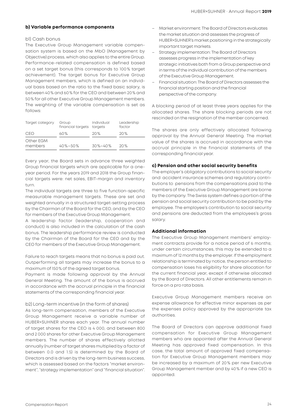#### **b) Variable performance components**

#### b1) Cash bonus

The Executive Group Management variable compensation system is based on the MbO (Management by Objective) process, which also applies to the entire Group. Performance-related compensation is defined based on a set target bonus (this corresponds to 100 % target achievement). The target bonus for Executive Group Management members, which is defined on an individual basis based on the ratio to the fixed basic salary, is between 40% and 60% for the CEO and between 20% and 50% for all other Executive Group Management members. The weighting of the variable compensation is set as follows:

| Target category      | Group<br>financial targets | Individual<br>taraets | Leadership<br>factor |  |
|----------------------|----------------------------|-----------------------|----------------------|--|
| CEO                  | 60%                        | 20%                   | 20%                  |  |
| Other EGM<br>members | $40\% - 50\%$              | $30\% - 40\%$         | 20%                  |  |

Every year, the Board sets in advance three weighted Group financial targets which are applicable for a oneyear period. For the years 2019 and 2018 the Group financial targets were: net sales, EBIT-margin and inventory turn.

The individual targets are three to five function-specific measurable management targets. These are set and weighted annually in a structured target-setting process by the Chairman of the Board for the CEO, and by the CEO for members of the Executive Group Management.

A leadership factor (leadership, cooperation and conduct) is also included in the calculation of the cash bonus. The leadership performance review is conducted by the Chairman of the Board for the CEO and by the CEO for members of the Executive Group Management.

Failure to reach targets means that no bonus is paid out. Outperforming all targets may increase the bonus to a maximum of 150% of the agreed target bonus.

Payment is made following approval by the Annual General Meeting. The amount of the bonus is accrued in accordance with the accrual principle in the financial statements of the corresponding financial year.

#### b2) Long-term incentive (in the form of shares)

As long-term compensation, members of the Executive Group Management receive a variable number of HUBER+SUHNER shares each year. The annual number of target shares for the CEO is 4 000, and between 800 and 2 000 shares for other Executive Group Management members. The number of shares effectively allotted annually (number of target shares multiplied by a factor of between 0.0 and 1.5) is determined by the Board of Directors and is driven by the long-term business success, which is assessed based on the factors "market environment", "strategy implementation" and "financial situation".

- Market environment: The Board of Directors evaluates the market situation and assesses the progress of HUBER+SUHNER's market positioning in the strategically important target markets.
- Strategy implementation: The Board of Directors assesses progress in the implementation of key strategic initiatives both from a Group perspective and in terms of the individual contribution of the members of the Executive Group Management.
- Financial situation: The Board of Directors assesses the financial starting position and the financial perspective of the company.

A blocking period of at least three years applies for the allocated shares. The share blocking periods are not rescinded on the resignation of the member concerned.

The shares are only effectively allocated following approval by the Annual General Meeting. The market value of the shares is accrued in accordance with the accrual principle in the financial statements of the corresponding financial year.

#### **c) Pension and other social security benefits**

The employer's obligatory contributions to social security and accident insurance schemes and regulatory contributions to pensions from the compensations paid to the members of the Executive Group Management are borne by the company. The Swiss system defines a portion of the pension and social security contribution to be paid by the employee. The employee's contribution to social security and pensions are deducted from the employees's gross salary.

#### **Additional information**

The Executive Group Management members' employment contracts provide for a notice period of 6 months; under certain circumstances, this may be extended to a maximum of 12 months by the employer. If the employment relationship is terminated by notice, the person entitled to compensation loses his eligibility for share allocation for the current financial year, except if otherwise allocated by the Board of Directors. All other entitlements remain in force on a pro rata basis.

Executive Group Management members receive an expense allowance for effective minor expenses as per the expenses policy approved by the appropriate tax authorities.

The Board of Directors can approve additional fixed compensation for Executive Group Management members who are appointed after the Annual General Meeting has approved fixed compensation. In this case, the total amount of approved fixed compensation for Executive Group Management members may be increased by a maximum of 20 % per new Executive Group Management member and by 40% if a new CEO is appointed.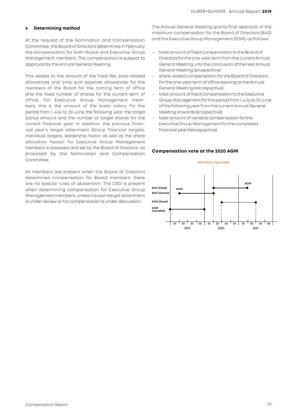#### **4 Determining method**

At the request of the Nomination and Compensation Committee, the Board of Directors determines in February the compensation for both Board and Executive Group Management members. The compensation is subject to approval by the Annual General Meeting.

This relates to the amount of the fixed fee, post-related allowances and lump sum expense allowances for the members of the Board for the coming term of office and the fixed number of shares for the current term of office. For Executive Group Management members, this is the amount of the basic salary for the period from 1 July to 30 June the following year, the target bonus amount and the number of target shares for the current financial year. In addition, the previous financial year's target attainment (Group financial targets, individual targets, leadership factor as well as the share allocation factor) for Executive Group Management members is assessed and set by the Board of Directors, as proposed by the Nomination and Compensation Committee.

All members are present when the Board of Directors determines compensation for Board members; there are no special rules of abstention. The CEO is present when determining compensation for Executive Group Management members, unless his own target attainment is under review or his compensation is under discussion.

The Annual General Meeting grants final approval of the maximum compensation for the Board of Directors (BoD) and the Executive Group Management (EGM), as follows:

- total amount of fixed compensation to the Board of Directors for the one-year term from the current Annual General Meeting until the conclusion of the next Annual General Meeting (prospective);
- share-based compensation for the Board of Directors for the one-year term of office expiring at the Annual General Meeting (retrospective);
- total amount of fixed compensation to the Executive Group Management for the period from 1 July to 30 June of the following year from the current Annual General Meeting onwards (prospective);
- total amount of variable compensation for the Executive Group Management for the completed financial year (retrospective).

#### **Compensation vote at the 2020 AGM**

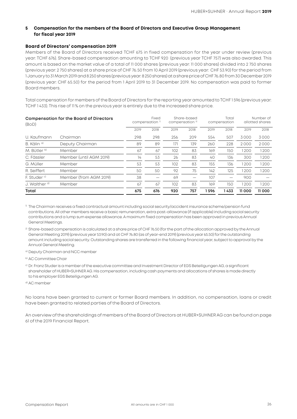#### **5 Compensation for the members of the Board of Directors and Executive Group Management for fiscal year 2019**

#### **Board of Directors' compensation 2019**

Members of the Board of Directors received TCHF 675 in fixed compensation for the year under review (previous year: TCHF 676). Share-based compensation amounting to TCHF 920 (previous year TCHF 757) was also awarded. This amount is based on the market value of a total of 11 000 shares (previous year: 11 000 shares) divided into 2 750 shares (previous year: 2 750 shares) at a share price of CHF 76.50 from 10 April 2019 (previous year: CHF 53.90) for the period from 1 January to 31 March 2019 and 8 250 shares (previous year: 8 250 shares) at a share price of CHF 76.80 from 30 December 2019 (previous year: CHF 65.50) for the period from 1 April 2019 to 31 December 2019. No compensation was paid to former Board members.

Total compensation for members of the Board of Directors for the reporting year amounted to TCHF 1 596 (previous year: TCHF 1 433). This rise of 11 % on the previous year is entirely due to the increased share price.

| <b>Compensation for the Board of Directors</b><br>(BOD) |                         |      | Fixed<br>compensation <sup>1)</sup> | Share-based<br>compensation <sup>2)</sup> |      | Total<br>compensation |      | Number of<br>allotted shares |       |
|---------------------------------------------------------|-------------------------|------|-------------------------------------|-------------------------------------------|------|-----------------------|------|------------------------------|-------|
|                                                         |                         | 2019 | 2018                                | 2019                                      | 2018 | 2019                  | 2018 | 2019                         | 2018  |
| U. Kaufmann                                             | Chairman                | 298  | 298                                 | 256                                       | 209  | 554                   | 507  | 3000                         | 3000  |
| B. Kälin <sup>a)</sup>                                  | Deputy Chairman         | 89   | 89                                  | 171                                       | 139  | 260                   | 228  | 2000                         | 2000  |
| M. Bütler <sup>b)</sup>                                 | Member                  | 67   | 67                                  | 102                                       | 83   | 169                   | 150  | 1200                         | 1200  |
| C. Fässler                                              | Member (until AGM 2019) | 14   | 53                                  | 26                                        | 83   | 40                    | 136  | 300                          | 1200  |
| G. Müller                                               | Member                  | 53   | 53                                  | 102                                       | 83   | 155                   | 136  | 1200                         | 1200  |
| R. Seiffert                                             | Member                  | 50   | 50                                  | 92                                        | 75   | 142                   | 125  | 1200                         | 1200  |
| E. Studer <sup>o)</sup>                                 | Member (from AGM 2019)  | 38   |                                     | 69                                        |      | 107                   |      | 900                          |       |
| J. Walther <sup>d)</sup>                                | Member                  | 67   | 67                                  | 102                                       | 83   | 169                   | 150  | 1200                         | 1200  |
| Total                                                   |                         | 675  | 676                                 | 920                                       | 757  | 1596                  | 433  | 11000                        | 11000 |

1) The Chairman receives a fixed contractual amount including social security/accident insurance scheme/pension fund contributions. All other members receive a basic remuneration, extra post-allowance (if applicable) including social security contributions and a lump sum expense allowance. A maximum fixed compensation has been approved in previous Annual General Meetings.

<sup>2)</sup> Share-based compensation is calculated at a share price of CHF 76.50 (for the part of the allocation approved by the Annual General Meeting 2019) (previous year 53.90) and at CHF 76.80 (as of year-end 2019) (previous year 65.50) for the outstanding amount including social security. Outstanding shares are transferred in the following financial year, subject to approval by the Annual General Meeting.

a) Deputy Chairman and NCC member

b) AC Committee Chair

c) Dr. Franz Studer is a member of the executive committee and Investment Director of EGS Beteiligungen AG, a significant shareholder of HUBER+SUHNER AG. His compensation, including cash payments and allocations of shares is made directly to his employer EGS Beteiligungen AG.

d) AC member

No loans have been granted to current or former Board members. In addition, no compensation, loans or credit have been granted to related parties of the Board of Directors.

An overview of the shareholdings of members of the Board of Directors at HUBER+SUHNER AG can be found on page 61 of the 2019 Financial Report.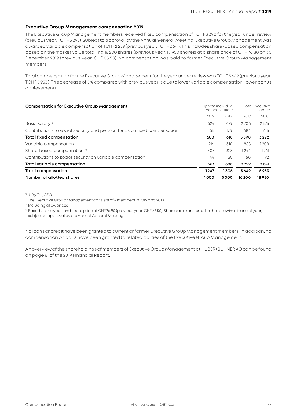#### **Executive Group Management compensation 2019**

The Executive Group Management members received fixed compensation of TCHF 3 390 for the year under review (previous year: TCHF 3 292). Subject to approval by the Annual General Meeting, Executive Group Management was awarded variable compensation of TCHF 2 259 (previous year: TCHF 2 641). This includes share-based compensation based on the market value totalling 16 200 shares (previous year: 18 950 shares) at a share price of CHF 76.80 on 30 December 2019 (previous year: CHF 65.50). No compensation was paid to former Executive Group Management members.

Total compensation for the Executive Group Management for the year under review was TCHF 5 649 (previous year: TCHF 5 933 ). The decrease of 5 % compared with previous year is due to lower variable compensation (lower bonus achievement).

|      | <b>Total Executive</b><br>Group |                                                  |       |
|------|---------------------------------|--------------------------------------------------|-------|
| 2019 | 2018                            | 2019                                             | 2018  |
| 524  | 479                             | 2706                                             | 2676  |
| 156  | 139                             | 684                                              | 616   |
| 680  | 618                             | 3390                                             | 3292  |
| 216  | 310                             | 855                                              | 1208  |
| 307  | 328                             | 1244                                             | 1241  |
| 44   | 50                              | 160                                              | 192   |
| 567  | 688                             | 2259                                             | 2641  |
| 1247 | 1306                            | 5649                                             | 5933  |
| 4000 | 5000                            | 16200                                            | 18950 |
|      |                                 | Highest individual<br>compensation <sup>1)</sup> |       |

1) U. Ryffel, CEO

2) The Executive Group Management consists of 9 members in 2019 and 2018.

3) Including allowances

4) Based on the year-end share price of CHF 76.80 (previous year: CHF 65.50). Shares are transferred in the following financial year, subject to approval by the Annual General Meeting.

No loans or credit have been granted to current or former Executive Group Management members. In addition, no compensation or loans have been granted to related parties of the Executive Group Management.

An overview of the shareholdings of members of Executive Group Management at HUBER+SUHNER AG can be found on page 61 of the 2019 Financial Report.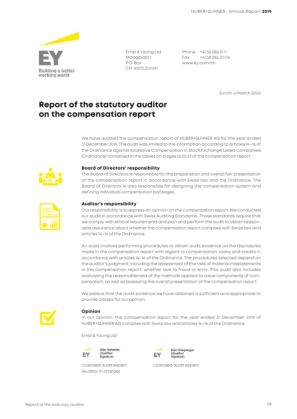

Ernst & Young Ltd Maagplatz 1 P.O. Box CH-8005 Zurich

Phone +41 58 286 31 11 Fax +41 58 286 30 04 www.ey.com/ch

Zurich, 4 March 2020

### **Report of the statutory auditor on the compensation report**

We have audited the compensation report of HUBER+SUHNER AG for the year ended 31 December 2019. The audit was limited to the information according to articles 14–16 of the Ordinance against Excessive Compensation in Stock Exchange Listed Companies (Ordinance) contained in the tables on pages 26 to 27 of the compensation report.



#### **Board of Directors' responsibility**

The Board of Directors is responsible for the preparation and overall fair presentation of the compensation report in accordance with Swiss law and the Ordinance. The Board of Directors is also responsible for designing the compensation system and defining individual compensation packages.

#### **Auditor's responsibility**

Our responsibility is to express an opinion on the compensation report. We conducted our audit in accordance with Swiss Auditing Standards. Those standards require that we comply with ethical requirements and plan and perform the audit to obtain reasonable assurance about whether the compensation report complies with Swiss law and articles 14–16 of the Ordinance.

An audit involves performing procedures to obtain audit evidence on the disclosures made in the compensation report with regard to compensation, loans and credits in accordance with articles 14–16 of the Ordinance. The procedures selected depend on the auditor's judgment, including the assessment of the risks of material misstatements in the compensation report, whether due to fraud or error. This audit also includes evaluating the reasonableness of the methods applied to value components of compensation, as well as assessing the overall presentation of the compensation report.

We believe that the audit evidence we have obtained is sufficient and appropriate to provide a basis for our opinion.



#### **Opinion**

In our opinion, the compensation report for the year ended 31 December 2019 of HUBER+SUHNER AG complies with Swiss law and articles 14–16 of the Ordinance.

Ernst & Young Ltd



(Auditor in charge)



Licensed audit expert Licensed audit expert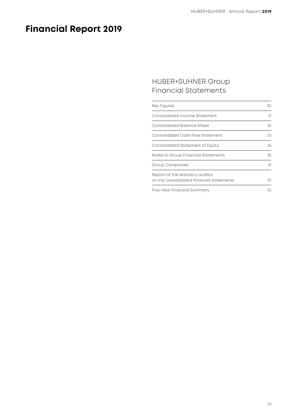## **Financial Report 2019**

### HUBER+SUHNER Group Financial Statements

| <b>Key Figures</b>                                                          | 30 |
|-----------------------------------------------------------------------------|----|
| Consolidated Income Statement                                               | 31 |
| Consolidated Balance Sheet                                                  | 32 |
| Consolidated Cash Flow Statement                                            | 33 |
| Consolidated Statement of Equity                                            | 34 |
| Notes to Group Financial Statements                                         | 35 |
| Group Companies                                                             | 51 |
| Report of the statutory auditor<br>on the consolidated financial statements | 52 |
| Five-Year Financial Summary                                                 | 55 |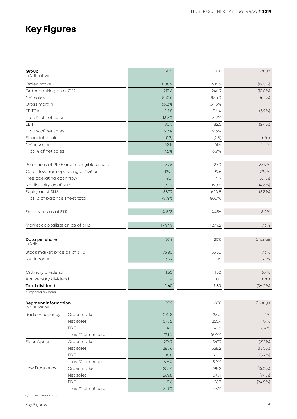## **Key Figures**

| Group<br>in CHF million                       |                                         | 2019   | 2018   | Change     |
|-----------------------------------------------|-----------------------------------------|--------|--------|------------|
| Order intake                                  |                                         | 800.9  | 915.2  | $(12.5\%)$ |
| Order backlog as of 31.12.                    |                                         | 213.6  | 246.9  | $(13.5\%)$ |
| Net sales                                     |                                         | 830.6  | 885.0  | $(6.1\%)$  |
| Gross margin                                  |                                         | 36.2%  | 34.6%  |            |
| <b>EBITDA</b>                                 |                                         | 111.8  | 116.4  | $(3.9\%)$  |
| as % of net sales                             |                                         | 13.5%  | 13.2%  |            |
| EBIT                                          |                                         | 80.5   | 82.5   | $(2.4\%)$  |
| as % of net sales                             |                                         | 9.7%   | 9.3%   |            |
| Financial result                              |                                         | (1.7)  | (2.8)  | n/m        |
| Net income                                    |                                         | 62.8   | 61.4   | 2.3%       |
| as % of net sales                             |                                         | 7.6%   | 6.9%   |            |
|                                               | Purchases of PP&E and intangible assets | 37.5   | 27.0   | 38.9%      |
| Cash flow from operating activities           |                                         | 129.1  | 99.6   | 29.7%      |
| Free operating cash flow                      |                                         | 45.1   | 71.7   | $(37.1\%)$ |
| Net liquidity as of 31.12.                    |                                         | 190.2  | 198.8  | $(4.3\%)$  |
| Equity as of 31.12.                           |                                         | 587.7  | 620.8  | $(5.3\%)$  |
| as % of balance sheet total                   |                                         | 78.4%  | 80.7%  |            |
| Employees as of 31.12.                        |                                         | 4823   | 4456   | 8.2%       |
| Market capitalisation as of 31.12.            |                                         | 1494.9 | 1274.2 | 17.3%      |
| Data per share<br>in CHF                      |                                         | 2019   | 2018   | Change     |
| Stock market price as of 31.12.               |                                         | 76.80  | 65.50  | 17.3%      |
| Net income                                    |                                         | 3.22   | 3.15   | 2.1%       |
|                                               |                                         |        |        |            |
| Ordinary dividend                             |                                         | 1.60   | 1.50   | 6.7%       |
| Anniversary dividend<br><b>Total dividend</b> |                                         |        | 1.00   | n/m        |
| <sup>1)</sup> Proposed dividend               |                                         | 1.60   | 2.50   | $(36.0\%)$ |
| <b>Segment information</b><br>in CHF million  |                                         | 2019   | 2018   | Change     |
| Radio Frequency                               | Order intake                            | 272.8  | 269.1  | 1.4%       |
|                                               | Net sales                               | 275.2  | 255.4  | 7.7%       |
|                                               | EBIT                                    | 47.1   | 40.8   | 15.4%      |
|                                               | as % of net sales                       | 17.1%  | 16.0%  |            |
| <b>Fiber Optics</b>                           | Order intake                            | 274.7  | 347.9  | $(21.1\%)$ |
|                                               | Net sales                               | 285.6  | 338.2  | $(15.5\%)$ |
|                                               | EBIT                                    | 18.8   | 20.0   | $(5.7\%)$  |
|                                               | as % of net sales                       | 6.6%   | 5.9%   |            |
| Low Frequency                                 | Order intake                            | 253.4  | 298.2  | $(15.0\%)$ |
|                                               | Net sales                               | 269.8  | 291.4  | $(7.4\%)$  |
|                                               | EBIT                                    | 21.6   | 28.7   | $(24.8\%)$ |
|                                               | as % of net sales                       | 8.0%   | 9.8%   |            |

n/m = not meaningful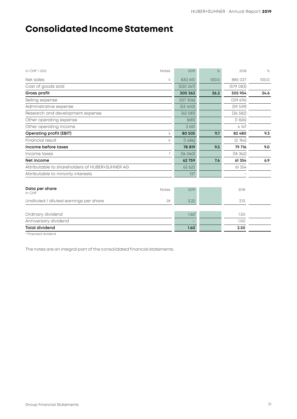## **Consolidated Income Statement**

| in CHF 1000                                     | <b>Notes</b> | 2019      | $\%$  | 2018      | $\%$  |
|-------------------------------------------------|--------------|-----------|-------|-----------|-------|
| Net sales                                       | 5            | 830 610   | 100.0 | 885 037   | 100.0 |
| Cost of goods sold                              |              | (530 247) |       | (579083)  |       |
| Gross profit                                    |              | 300 363   | 36.2  | 305 954   | 34.6  |
| Selling expense                                 |              | (127 306) |       | (129674)  |       |
| Administrative expense                          |              | (53 400)  |       | (59 539)  |       |
| Research and development expense                |              | (42081)   |       | (36 582)  |       |
| Other operating expense                         |              | (681)     |       | (1826)    |       |
| Other operating income                          |              | 3 610     |       | 4 1 4 7   |       |
| <b>Operating profit (EBIT)</b>                  | 5            | 80 505    | 9.7   | 82 480    | 9.3   |
| Financial result                                | 6            | (1686)    |       | (2764)    |       |
| Income before taxes                             |              | 78 819    | 9.5   | 79 716    | 9.0   |
| Income taxes                                    | 7            | (16060)   |       | (18, 362) |       |
| Net income                                      |              | 62759     | 7.6   | 61 354    | 6.9   |
| Attributable to shareholders of HUBER+SUHNER AG |              | 62 622    |       | 61 354    |       |
| Attributable to minority interests              |              | 137       |       |           |       |
|                                                 |              |           |       |           |       |
| Data per share<br>in CHF                        | Notes        | 2019      |       | 2018      |       |
| Undiluted / diluted earnings per share          | 28           | 3.22      |       | 3.15      |       |
| Ordinary dividend                               |              | 1.60      |       | 1.50      |       |
| Anniversary dividend                            |              |           |       | 1.00      |       |
| <b>Total dividend</b>                           |              | 1.60      |       | 2.50      |       |
| Dranneed dividend                               |              |           |       |           |       |

1) Proposed dividend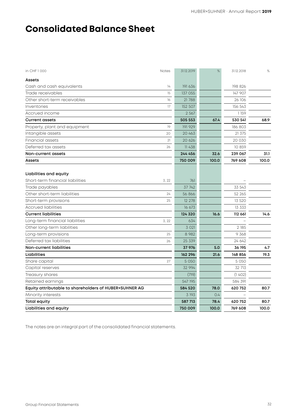## **Consolidated Balance Sheet**

| in CHF 1000                                                | <b>Notes</b> | 31.12.2019 | %     | 31.12.2018 | $\%$  |
|------------------------------------------------------------|--------------|------------|-------|------------|-------|
| Assets                                                     |              |            |       |            |       |
| Cash and cash equivalents                                  | 14           | 191 636    |       | 198 826    |       |
| Trade receivables                                          | 15           | 137 055    |       | 147 907    |       |
| Other short-term receivables                               | 16           | 21788      |       | 26 106     |       |
| Inventories                                                | 17           | 152 507    |       | 156 543    |       |
| Accrued income                                             |              | 2 5 6 7    |       | 1159       |       |
| <b>Current assets</b>                                      |              | 505 553    | 67.4  | 530 541    | 68.9  |
| Property, plant and equipment                              | 19           | 191 929    |       | 186 803    |       |
| Intangible assets                                          | 20           | 20 463     |       | 21 375     |       |
| Financial assets                                           | 21           | 20 6 26    |       | 20 030     |       |
| Deferred tax assets                                        | 26           | 11 438     |       | 10 859     |       |
| Non-current assets                                         |              | 244 456    | 32.6  | 239 067    | 31.1  |
| Assets                                                     |              | 750 009    | 100.0 | 769 608    | 100.0 |
| Liabilities and equity<br>Short-term financial liabilities | 3, 22        | 761        |       |            |       |
| Trade payables                                             |              | 37 742     |       | 33 543     |       |
| Other short-term liabilities                               | 24           | 56 866     |       | 52 265     |       |
| Short-term provisions                                      | 25           | 12 278     |       | 13 5 20    |       |
| Accrued liabilities                                        |              | 16 673     |       | 13 333     |       |
| <b>Current liabilities</b>                                 |              | 124 320    | 16.6  | 112 661    | 14.6  |
| Long-term financial liabilities                            | 3, 22        | 634        |       |            |       |
| Other long-term liabilities                                |              | 3 0 2 1    |       | 2 185      |       |
| Long-term provisions                                       | 25           | 8 9 8 2    |       | 9 368      |       |
| Deferred tax liabilities                                   | 26           | 25 339     |       | 24 642     |       |
| <b>Non-current liabilities</b>                             |              | 37 976     | 5.0   | 36 195     | 4.7   |
| Liabilities                                                |              | 162 296    | 21.6  | 148 856    | 19.3  |
| Share capital                                              | 27           | 5 0 5 0    |       | 5 0 5 0    |       |
| Capital reserves                                           |              | 32 994     |       | 32 713     |       |
| Treasury shares                                            |              | (719)      |       | (1402)     |       |
| Retained earnings                                          |              | 547 195    |       | 584 391    |       |
| Equity attributable to shareholders of HUBER+SUHNER AG     |              | 584 520    | 78.0  | 620 752    | 80.7  |
| Minority interests                                         |              | 3 193      | 0.4   |            |       |
| <b>Total equity</b>                                        |              | 587 713    | 78.4  | 620 752    | 80.7  |
| Liabilities and equity                                     |              | 750 009    | 100.0 | 769 608    | 100.0 |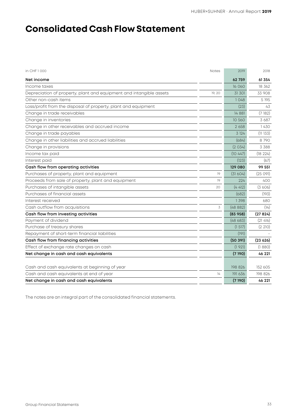## **Consolidated Cash Flow Statement**

| in CHF 1 000                                                        | <b>Notes</b> | 2019     | 2018    |
|---------------------------------------------------------------------|--------------|----------|---------|
| Net income                                                          |              | 62759    | 61 354  |
| Income taxes                                                        |              | 16 060   | 18 362  |
| Depreciation of property, plant and equipment and intangible assets | 19, 20       | 31 301   | 33 908  |
| Other non-cash items                                                |              | 1048     | 5 1 9 5 |
| Loss/profit from the disposal of property, plant and equipment      |              | (23)     | 43      |
| Change in trade receivables                                         |              | 14 8 81  | (7182)  |
| Change in inventories                                               |              | 10 560   | 3687    |
| Change in other receivables and accrued income                      |              | 2658     | 1430    |
| Change in trade payables                                            |              | 3 1 2 4  | (11133) |
| Change in other liabilities and accrued liabilities                 |              | (684)    | 8790    |
| Change in provisions                                                |              | (2034)   | 3 3 8 8 |
| Income tax paid                                                     |              | (10447)  | (18224) |
| Interest paid                                                       |              | (123)    | (67)    |
| Cash flow from operating activities                                 |              | 129 080  | 99 551  |
| Purchases of property, plant and equipment                          | 19           | (31604)  | (25091) |
| Proceeds from sale of property, plant and equipment                 | 19           | 224      | 400     |
| Purchases of intangible assets                                      | 20           | (4412)   | (3606)  |
| Purchases of financial assets                                       |              | (682)    | (193)   |
| Interest received                                                   |              | 1398     | 680     |
| Cash outflow from acquisitions                                      | 3            | (48882)  | (14)    |
| Cash flow from investing activities                                 |              | (83958)  | (27824) |
| Payment of dividend                                                 |              | (48683)  | (21416) |
| Purchase of treasury shares                                         |              | (1517)   | (2 210) |
| Repayment of short-term financial liabilities                       |              | (191)    |         |
| Cash flow from financing activities                                 |              | (50 391) | (23626) |
| Effect of exchange rate changes on cash                             |              | (1921)   | (1880)  |
| Net change in cash and cash equivalents                             |              | (7190)   | 46 221  |
| Cash and cash equivalents at beginning of year                      |              | 198 826  | 152 605 |
| Cash and cash equivalents at end of year                            | 14           | 191 636  | 198 826 |
| Net change in cash and cash equivalents                             |              | (7190)   | 46 221  |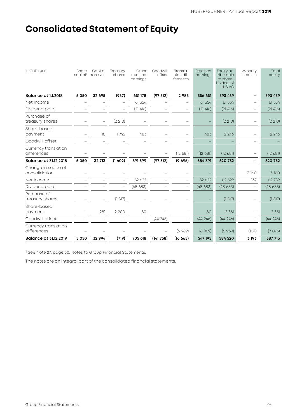## **Consolidated Statement of Equity**

| in CHF 1000                         | Share<br>capital <sup>1)</sup> | Capital<br>reserves      | Treasury<br>shares       | Other<br>retained<br>earnings | Goodwill<br>offset | Transla-<br>tion dif-<br>ferences | Retained<br>earnings | Equity at-<br>tributable<br>to share-<br>holders of<br>$H+SAG$ | Minority<br>interests | Total<br>equity |
|-------------------------------------|--------------------------------|--------------------------|--------------------------|-------------------------------|--------------------|-----------------------------------|----------------------|----------------------------------------------------------------|-----------------------|-----------------|
| <b>Balance at 1.1.2018</b>          | 5 0 5 0                        | 32 695                   | (937)                    | 651 178                       | (97512)            | 2985                              | 556 651              | 593 459                                                        |                       | 593 459         |
| Net income                          |                                | $\overline{\phantom{0}}$ | $\overline{\phantom{m}}$ | 61 354                        |                    | $\overline{\phantom{0}}$          | 61 354               | 61 354                                                         |                       | 61 354          |
| Dividend paid                       |                                |                          |                          | (21416)                       |                    |                                   | (21416)              | (21416)                                                        |                       | (21 416)        |
| Purchase of<br>treasury shares      |                                | $\overline{\phantom{0}}$ | (2 210)                  |                               |                    | $\overline{\phantom{0}}$          |                      | (2 210)                                                        |                       | (2 210)         |
| Share-based<br>payment              |                                | 18                       | 1745                     | 483                           |                    | $\overline{\phantom{0}}$          | 483                  | 2 2 4 6                                                        |                       | 2 2 4 6         |
| Goodwill offset                     |                                |                          |                          |                               |                    |                                   |                      |                                                                |                       |                 |
| Currency translation<br>differences |                                |                          |                          |                               |                    | (12681)                           | (12681)              | (12681)                                                        |                       | (12681)         |
| <b>Balance at 31.12.2018</b>        | 5 0 5 0                        | 32 713                   | (1402)                   | 691 599                       | (97512)            | (9,696)                           | 584 391              | 620 752                                                        |                       | 620 752         |
| Change in scope of<br>consolidation |                                |                          |                          |                               |                    | $\overline{\phantom{0}}$          |                      |                                                                | 3 160                 | 3 160           |
| Net income                          |                                |                          | $\overline{\phantom{0}}$ | 62 622                        |                    | -                                 | 62 622               | 62 622                                                         | 137                   | 62759           |
| Dividend paid                       |                                |                          |                          | (48 683)                      |                    |                                   | (48683)              | (48683)                                                        |                       | (48683)         |
| Purchase of<br>treasury shares      |                                |                          | (1517)                   |                               |                    |                                   |                      | (1 517)                                                        |                       | (1 517)         |
| Share-based<br>payment              |                                | 281                      | 2 2 0 0                  | 80                            |                    |                                   | 80                   | 2 5 6 1                                                        |                       | 2 561           |
| Goodwill offset                     |                                | $\overline{\phantom{0}}$ |                          | $\overline{\phantom{0}}$      | (44246)            |                                   | (44246)              | (44246)                                                        |                       | (44246)         |
| Currency translation<br>differences |                                |                          |                          |                               |                    | (6969)                            | (6969)               | (6969)                                                         | (104)                 | (7073)          |
| <b>Balance at 31.12.2019</b>        | 5 0 5 0                        | 32 994                   | (719)                    | 705 618                       | (141758)           | (16665)                           | 547 195              | 584 520                                                        | 3 193                 | 587 713         |

<sup>1)</sup> See Note 27, page 50, Notes to Group Financial Statements,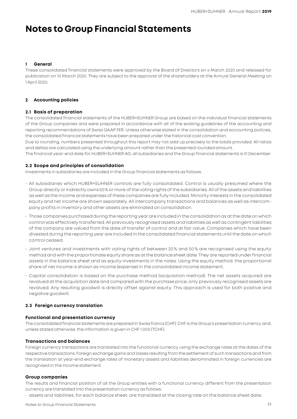## **Notes to Group Financial Statements**

#### **1 General**

These consolidated financial statements were approved by the Board of Directors on 4 March 2020 and released for publication on 10 March 2020. They are subject to the approval of the shareholders at the Annual General Meeting on 1 April 2020.

#### **2 Accounting policies**

#### **2.1 Basis of preparation**

The consolidated financial statements of the HUBER+SUHNER Group are based on the individual financial statements of the Group companies and were prepared in accordance with all of the existing guidelines of the accounting and reporting recommendations of Swiss GAAP FER. Unless otherwise stated in the consolidation and accounting policies, the consolidated financial statements have been prepared under the historical cost convention.

Due to rounding, numbers presented throughout this report may not add up precisely to the totals provided. All ratios and deltas are calculated using the underlying amount rather than the presented rounded amount.

The financial year-end date for HUBER+SUHNER AG, all subsidiaries and the Group financial statements is 31 December.

#### **2.2 Scope and principles of consolidation**

Investments in subsidiaries are included in the Group financial statements as follows:

- All subsidiaries which HUBER+SUHNER controls are fully consolidated. Control is usually presumed where the Group directly or indirectly owns 50 % or more of the voting rights of the subsidiaries. All of the assets and liabilities as well as the income and expenses of these companies are fully included. Minority interests in the consolidated equity and net income are shown separately. All intercompany transactions and balances as well as intercompany profits in inventory and other assets are eliminated on consolidation.
- Those companies purchased during the reporting year are included in the consolidation as at the date on which control was effectively transferred. All previously recognised assets and liabilities as well as contingent liabilities of the company are valued from the date of transfer of control and at fair value. Companies which have been divested during the reporting year are included in the consolidated financial statements until the date on which control ceased.
- Joint ventures and investments with voting rights of between 20 % and 50 % are recognised using the equity method and with the proportionate equity share as at the balance sheet date. They are reported under financial assets in the balance sheet and as equity investments in the notes. Using the equity method, the proportional share of net income is shown as income (expense) in the consolidated income statement.
- Capital consolidation is based on the purchase method (acquisition method). The net assets acquired are revalued at the acquisition date and compared with the purchase price; only previously recognised assets are revalued. Any resulting goodwill is directly offset against equity. This approach is used for both positive and negative goodwill.

#### **2.3 Foreign currency translation**

#### **Functional and presentation currency**

The consolidated financial statements are prepared in Swiss francs (CHF). CHF is the Group's presentation currency and, unless stated otherwise, the information is given in CHF 1 000 (TCHF).

#### **Transactions and balances**

Foreign currency transactions are translated into the functional currency using the exchange rates at the dates of the respective transactions. Foreign exchange gains and losses resulting from the settlement of such transactions and from the translation at year-end exchange rates of monetary assets and liabilities denominated in foreign currencies are recognised in the income statement.

#### **Group companies**

The results and financial position of all the Group entities with a functional currency different from the presentation currency are translated into the presentation currency as follows:

• assets and liabilities, for each balance sheet, are translated at the closing rate on the balance sheet date;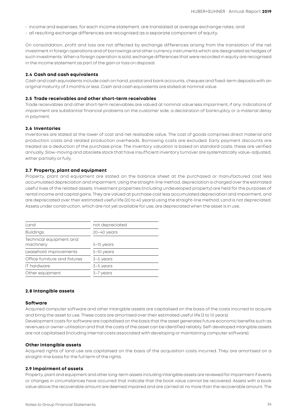- income and expenses, for each income statement, are translated at average exchange rates; and
- all resulting exchange differences are recognised as a separate component of equity.

On consolidation, profit and loss are not affected by exchange differences arising from the translation of the net investment in foreign operations and of borrowings and other currency instruments which are designated as hedges of such investments. When a foreign operation is sold, exchange differences that were recorded in equity are recognised in the income statement as part of the gain or loss on disposal.

#### **2.4 Cash and cash equivalents**

Cash and cash equivalents include cash on hand, postal and bank accounts, cheques and fixed-term deposits with an original maturity of 3 months or less. Cash and cash equivalents are stated at nominal value.

#### **2.5 Trade receivables and other short-term receivables**

Trade receivables and other short-term receivables are valued at nominal value less impairment, if any. Indications of impairment are substantial financial problems on the customer side, a declaration of bankruptcy or a material delay in payment.

#### **2.6 Inventories**

Inventories are stated at the lower of cost and net realisable value. The cost of goods comprises direct material and production costs and related production overheads. Borrowing costs are excluded. Early payment discounts are treated as a deduction of the purchase price. The inventory valuation is based on standard costs; these are verified annually. Slow-moving and obsolete stock that have insufficient inventory turnover are systematically value-adjusted, either partially or fully.

#### **2.7 Property, plant and equipment**

Property, plant and equipment are stated on the balance sheet at the purchased or manufactured cost less accumulated depreciation and impairment. Using the straight-line method, depreciation is charged over the estimated useful lives of the related assets. Investment properties (including undeveloped property) are held for the purposes of rental income and capital gains. They are valued at purchase cost less accumulated depreciation and impairment, and are depreciated over their estimated useful life (20 to 40 years) using the straight-line method. Land is not depreciated. Assets under construction, which are not yet available for use, are depreciated when the asset is in use.

| Land                                 | not depreciated<br>$20 - 40$ years |  |  |  |  |
|--------------------------------------|------------------------------------|--|--|--|--|
| <b>Buildings</b>                     |                                    |  |  |  |  |
| Technical equipment and<br>machinery | 5-15 years                         |  |  |  |  |
| Leasehold improvements               | 5-10 years                         |  |  |  |  |
| Office furniture and fixtures        | 3-5 years                          |  |  |  |  |
| <b>IT hardware</b>                   | 3-5 years                          |  |  |  |  |
| Other equipment                      | 3-7 years                          |  |  |  |  |
|                                      |                                    |  |  |  |  |

#### **2.8 Intangible assets**

#### **Software**

Acquired computer software and other intangible assets are capitalised on the basis of the costs incurred to acquire and bring the asset to use. These costs are amortised over their estimated useful life (3 to 10 years). Development costs for software are capitalised on the basis that the asset generates future economic benefits such as

revenues or owner-utilisation and that the costs of the asset can be identified reliably. Self-developed intangible assets are not capitalised (including internal costs associated with developing or maintaining computer software).

#### **Other intangible assets**

Acquired rights of land use are capitalised on the basis of the acquisition costs incurred. They are amortised on a straight-line basis for the full term of the rights.

#### **2.9 Impairment of assets**

Property, plant and equipment and other long-term assets including intangible assets are reviewed for impairment if events or changes in circumstances have occurred that indicate that the book value cannot be recovered. Assets with a book value above the recoverable amount are deemed impaired and are carried at no more than the recoverable amount. The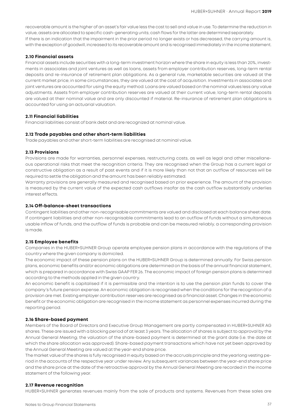recoverable amount is the higher of an asset's fair value less the cost to sell and value in use. To determine the reduction in value, assets are allocated to specific cash-generating units; cash flows for the latter are determined separately. If there is an indication that the impairment in the prior period no longer exists or has decreased, the carrying amount is, with the exception of goodwill, increased to its recoverable amount and is recognised immediately in the income statement.

#### **2.10 Financial assets**

Financial assets include securities with a long-term investment horizon where the share in equity is less than 20%, investments in associates and joint ventures as well as loans, assets from employer contribution reserves, long-term rental deposits and re-insurance of retirement plan obligations. As a general rule, marketable securities are valued at the current market price; in some circumstances, they are valued at the cost of acquisition. Investments in associates and joint ventures are accounted for using the equity method. Loans are valued based on the nominal values less any value adjustments. Assets from employer contribution reserves are valued at their current value; long-term rental deposits are valued at their nominal value and are only discounted if material. Re-insurance of retirement plan obligations is accounted for using an actuarial valuation.

#### **2.11 Financial liabilities**

Financial liabilities consist of bank debt and are recognized at nominal value.

#### **2.12 Trade payables and other short-term liabilities**

Trade payables and other short-term liabilities are recognised at nominal value.

#### **2.13 Provisions**

Provisions are made for warranties, personnel expenses, restructuring costs, as well as legal and other miscellaneous operational risks that meet the recognition criteria. They are recognised when the Group has a current legal or constructive obligation as a result of past events and if it is more likely than not that an outflow of resources will be required to settle the obligation and the amount has been reliably estimated.

Warranty provisions are generally measured and recognised based on prior experience. The amount of the provision is measured by the current value of the expected cash outflows insofar as the cash outflow substantially underlies interest effects.

#### **2.14 Off-balance-sheet transactions**

Contingent liabilities and other non-recognisable commitments are valued and disclosed at each balance sheet date. If contingent liabilities and other non-recognisable commitments lead to an outflow of funds without a simultaneous usable inflow of funds, and the outflow of funds is probable and can be measured reliably, a corresponding provision is made.

#### **2.15 Employee benefits**

Companies in the HUBER+SUHNER Group operate employee pension plans in accordance with the regulations of the country where the given company is domiciled.

The economic impact of these pension plans on the HUBER+SUHNER Group is determined annually. For Swiss pension plans, economic benefits and/or economic obligations are determined on the basis of the annual financial statement, which is prepared in accordance with Swiss GAAP FER 26. The economic impact of foreign pension plans is determined according to the methods applied in the given country.

An economic benefit is capitalised if it is permissible and the intention is to use the pension plan funds to cover the company's future pension expense. An economic obligation is recognised when the conditions for the recognition of a provision are met. Existing employer contribution reserves are recognised as a financial asset. Changes in the economic benefit or the economic obligation are recognised in the income statement as personnel expenses incurred during the reporting period.

#### **2.16 Share-based payment**

Members of the Board of Directors and Executive Group Management are partly compensated in HUBER+SUHNER AG shares. These are issued with a blocking period of at least 3 years. The allocation of shares is subject to approval by the Annual General Meeting; the valuation of the share-based payment is determined at the grant date (i.e. the date at which the share allocation was approved). Share-based payment transactions which have not yet been approved by the Annual General Meeting are valued at the year-end share price.

The market value of the shares is fully recognised in equity based on the accruals principle and the yearlong vesting period in the accounts of the respective year under review. Any subsequent variances between the year-end share price and the share price at the date of the retroactive approval by the Annual General Meeting are recorded in the income statement of the following year.

#### **2.17 Revenue recognition**

HUBER+SUHNER generates revenues mainly from the sale of products and systems. Revenues from these sales are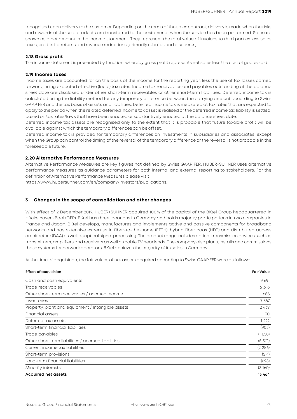recognised upon delivery to the customer. Depending on the terms of the sales contract, delivery is made when the risks and rewards of the sold products are transferred to the customer or when the service has been performed. Salesare shown as a net amount in the income statement. They represent the total value of invoices to third parties less sales taxes, credits for returns and revenue reductions (primarily rebates and discounts).

#### **2.18 Gross profit**

The income statement is presented by function, whereby gross profit represents net sales less the cost of goods sold.

#### **2.19 Income taxes**

Income taxes are accounted for on the basis of the income for the reporting year, less the use of tax losses carried forward, using expected effective (local) tax rates. Income tax receivables and payables outstanding at the balance sheet date are disclosed under other short-term receivables or other short-term liabilities. Deferred income tax is calculated using the liability method for any temporary difference between the carrying amount according to Swiss GAAP FER and the tax basis of assets and liabilities. Deferred income tax is measured at tax rates that are expected to apply to the period when the related deferred income tax asset is realised or the deferred income tax liability is settled, based on tax rates/laws that have been enacted or substantively enacted at the balance sheet date.

Deferred income tax assets are recognised only to the extent that it is probable that future taxable profit will be available against which the temporary differences can be offset.

Deferred income tax is provided for temporary differences on investments in subsidiaries and associates, except when the Group can control the timing of the reversal of the temporary difference or the reversal is not probable in the foreseeable future.

#### **2.20 Alternative Performance Measures**

Alternative Performance Measures are key figures not defined by Swiss GAAP FER. HUBER+SUHNER uses alternative performance measures as guidance parameters for both internal and external reporting to stakeholders. For the definition of Alternative Performance Measures please visit

[https://www.hubersuhner.com/en/company/investors/publications.](https://www.hubersuhner.com/en/company/investors/publications)

#### **3 Changes in the scope of consolidation and other changes**

With effect of 2 December 2019, HUBER+SUHNER acquired 100% of the capital of the BKtel Group headquartered in Hückelhoven-Baal (GER). BKtel has three locations in Germany and holds majority participations in two companies in France and Japan. BKtel develops, manufactures and implements active and passive components for broadband networks and has extensive expertise in fiber-to-the-home (FTTH), hybrid fiber coax (HFC) and distributed access architecture (DAA) as well as optical signal processing. The product range includes optical transmission devices such as transmitters, amplifiers and receivers as well as cable TV headends. The company also plans, installs and commissions these systems for network operators. BKtel achieves the majority of its sales in Germany.

At the time of acquisition, the fair values of net assets acquired according to Swiss GAAP FER were as follows:

| <b>Effect of acquisition</b>                       | <b>Fair Value</b> |
|----------------------------------------------------|-------------------|
| Cash and cash equivalents                          | 9691              |
| Trade receivables                                  | 6346              |
| Other short-term receivables / accrued income      | 686               |
| Inventories                                        | 7 5 6 7           |
| Property, plant and equipment / Intangible assets  | 2439              |
| Financial assets                                   | 30                |
| Deferred tax assets                                | 1 222             |
| Short-term financial liabilities                   | (903)             |
| Trade payables                                     | (1658)            |
| Other short-term liabilities / accrued liabilities | (5 301)           |
| Current income tax liabilities                     | (2 286)           |
| Short-term provisions                              | (514)             |
| Long-term financial liabilities                    | (695)             |
| Minority interests                                 | (3160)            |
| <b>Acquired net assets</b>                         | 13 464            |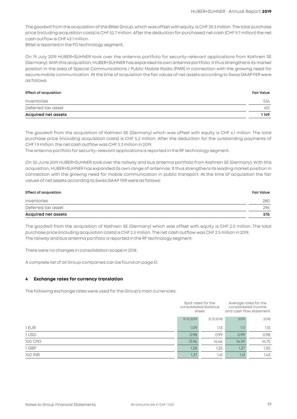The goodwill from the acquisition of the BKtel Group, which was offset with equity, is CHF 39.3 million. The total purchase price (including acquisition costs) is CHF 52.7 million. After the deduction for purchased net cash (CHF 9.7 million) the net cash outflow is CHF 43.1 million.

BKtel is reported in the FO technology segment.

On 19 July 2019 HUBER+SUHNER took over the antenna portfolio for security-relevant applications from Kathrein SE (Germany). With this acquisition, HUBER+SUHNER has expanded its own antenna portfolio. It thus strengthens its market position in the area of Special Communications / Public Mobile Radio (PMR) in connection with the growing need for secure mobile communication. At the time of acquisition the fair values of net assets according to Swiss GAAP FER were as follows:

#### **Effect of acquisition Fair Value**

| Inventories         | 534  |
|---------------------|------|
| Deferred tax asset  | 615  |
| Acquired net assets | 1149 |

The goodwill from the acquisition of Kathrein SE (Germany) which was offset with equity is CHF 4.1 million. The total purchase price (including acquisition costs) is CHF 5.2 million. After the deduction for the outstanding payments of CHF 1.9 million, the net cash outflow was CHF 3.3 million in 2019.

The antenna portfolio for security-relevant applications is reported in the RF technology segment.

On 30 June 2019 HUBER+SUHNER took over the railway and bus antenna portfolio from Kathrein SE (Germany). With this acquisition, HUBER+SUHNER has expanded its own range of antennas. It thus strengthens its leading market position in connection with the growing need for mobile communication in public transport. At the time of acquisition the fair values of net assets according to Swiss GAAP FER were as follows:

| Effect of acquisition | <b>Fair Value</b> |
|-----------------------|-------------------|
| Inventories           | 280               |
| Deferred tax asset    | 296               |
| Acquired net assets   | 576               |

The goodwill from the acquisition of Kathrein SE (Germany) which was offset with equity is CHF 2.0 million. The total purchase price (including acquisition costs) is CHF 2.5 million. The net cash outflow was CHF 2.5 million in 2019. The railway and bus antenna portfolio is reported in the RF technology segment.

There were no changes in consolidation scope in 2018.

A complete list of all Group companies can be found on page 51.

#### **4 Exchange rates for currency translation**

The following exchange rates were used for the Group's main currencies:

|                |            | Spot rates for the<br>consolidated balance<br>sheet |       | Average rates for the<br>consolidated income<br>and cash flow statement |  |
|----------------|------------|-----------------------------------------------------|-------|-------------------------------------------------------------------------|--|
|                | 31.12.2019 | 31.12.2018                                          | 2019  | 2018                                                                    |  |
| 1 EUR          | 1.09       | 1.13                                                | 1.11  | 1.15                                                                    |  |
| 1 USD          | 0.98       | 0.99                                                | 0.99  | 0.98                                                                    |  |
| <b>100 CNY</b> | 13.96      | 14.44                                               | 14.39 | 14.75                                                                   |  |
| 1 GBP          | 1.28       | 1.25                                                | 1.27  | 1.30 <sub>2</sub>                                                       |  |
| 100 INR        | 1.37       | 1.41                                                | 1.41  | 1.43                                                                    |  |
|                |            |                                                     |       |                                                                         |  |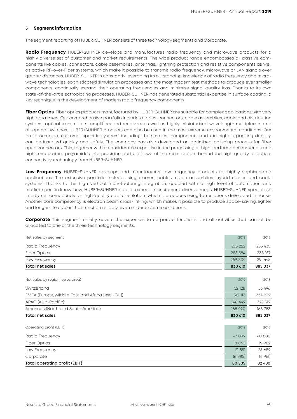#### **5 Segment information**

The segment reporting of HUBER+SUHNER consists of three technology segments and Corporate.

**Radio Frequency** HUBER+SUHNER develops and manufactures radio frequency and microwave products for a highly diverse set of customer and market requirements. The wide product range encompasses all passive components like cables, connectors, cable assemblies, antennas, lightning protection and resistive components as well as active RF-over-Fiber systems, which make it possible to transmit radio frequency, microwave or LAN signals over greater distances. HUBER+SUHNER is constantly leveraging its outstanding knowledge of radio frequency and microwave technologies, sophisticated simulation processes and the most modern test methods to produce ever smaller components, continually expand their operating frequencies and minimise signal quality loss. Thanks to its own state-of-the-art electroplating processes, HUBER+SUHNER has generated substantial expertise in surface coating, a key technique in the development of modern radio frequency components.

**Fiber Optics** Fiber optics products manufactured by HUBER+SUHNER are suitable for complex applications with very high data rates. Our comprehensive portfolio includes cables, connectors, cable assemblies, cable and distribution systems, optical transmitters, amplifiers and receivers as well as highly miniaturised wavelength multiplexers and all-optical switches. HUBER+SUHNER products can also be used in the most extreme environmental conditions. Our pre-assembled, customer-specific systems, including the smallest components and the highest packing density, can be installed quickly and safely. The company has also developed an optimised polishing process for fiber optic connectors. This, together with a considerable expertise in the processing of high-performance materials and high-temperature polyamides into precision parts, art two of the main factors behind the high quality of optical connectivity technology from HUBER+SUHNER.

**Low Frequency** HUBER+SUHNER develops and manufactures low frequency products for highly sophisticated applications. The extensive portfolio includes single cores, cables, cable assemblies, hybrid cables and cable systems. Thanks to the high vertical manufacturing integration, coupled with a high level of automation and market-specific know-how, HUBER+SUHNER is able to meet its customers' diverse needs. HUBER+SUHNER specialises in polymer compounds for high-quality cable insulation, which it produces using formulations developed in house. Another core competency is electron beam cross-linking, which makes it possible to produce space-saving, lighter and longer-life cables that function reliably, even under extreme conditions.

**Corporate** This segment chiefly covers the expenses to corporate functions and all activities that cannot be allocated to one of the three technology segments.

| Net sales by segment                             | 2019    | 2018    |
|--------------------------------------------------|---------|---------|
| Radio Frequency                                  | 275 222 | 255 435 |
| <b>Fiber Optics</b>                              | 285 584 | 338 157 |
| Low Frequency                                    | 269 804 | 291 445 |
| <b>Total net sales</b>                           | 830 610 | 885 037 |
| Net sales by region (sales area)                 | 2019    | 2018    |
| Switzerland                                      | 52 128  | 56 496  |
| EMEA (Europe, Middle East and Africa [excl. CH]) | 361 113 | 334 239 |
| APAC (Asia-Pacific)                              | 248 449 | 325 519 |
| Americas (North and South America)               | 168 920 | 168 783 |
| <b>Total net sales</b>                           | 830 610 | 885 037 |
| Operating profit (EBIT)                          | 2019    | 2018    |
| Radio Frequency                                  | 47 099  | 40 800  |
| <b>Fiber Optics</b>                              | 18 840  | 19 982  |
| Low Frequency                                    | 21 551  | 28 659  |
| Corporate                                        | (6985)  | (696]   |
| Total operating profit (EBIT)                    | 80 505  | 82 480  |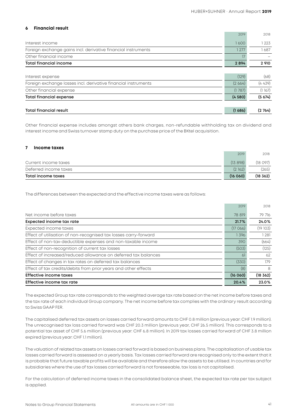#### **6 Financial result**

| <b>Total financial expense</b>                                 | (4580) | (5.674) |
|----------------------------------------------------------------|--------|---------|
| Other financial expense                                        | (1787) | (1167)  |
| Foreign exchange losses incl. derivative financial instruments | (2664) | (4439)  |
| Interest expense                                               | (129)  | (68)    |
| <b>Total financial income</b>                                  | 2894   | 2 9 10  |
| Other financial income                                         | 17     |         |
| Foreign exchange gains incl. derivative financial instruments  | 1 277  | 1687    |
| Interest income                                                | 1600   | 1 223   |
|                                                                | 2019   | 2018    |

Other financial expense includes amongst others bank charges, non-refundable withholding tax on dividend and interest income and Swiss turnover stamp duty on the purchase price of the BKtel acquisition.

#### **7 Income taxes**

| Total income taxes    | (16060)   | (18, 362) |
|-----------------------|-----------|-----------|
| Deferred income taxes | (2162)    | (265)     |
| Current income taxes  | (13, 898) | (18097)   |
|                       | 2019      | 2018      |

The differences between the expected and the effective income taxes were as follows:

| 2019    | 2018      |
|---------|-----------|
| 78 819  | 79 716    |
| 21.7%   | 24.0%     |
| (17066) | (19 103)  |
| 1396    | 1 281     |
| 390     | (664)     |
| (503)   | (125)     |
| 61      | 62        |
| (330)   | 179       |
| (8)     | 8         |
| (16060) | (18, 362) |
| 20.4%   | 23.0%     |
|         |           |

The expected Group tax rate corresponds to the weighted average tax rate based on the net income before taxes and the tax rate of each individual Group company. The net income before tax complies with the ordinary result according to Swiss GAAP FER.

The capitalised deferred tax assets on losses carried forward amounts to CHF 0.8 million (previous year: CHF 1.9 million). The unrecognised tax loss carried forward was CHF 20.3 million (previous year, CHF 26.5 million). This corresponds to a potential tax asset of CHF 5.6 million (previous year: CHF 6.8 million). In 2019 tax losses carried forward of CHF 3.8 million expired (previous year: CHF 1.1 million).

The valuation of related tax assets on losses carried forward is based on business plans. The capitalisation of usable tax losses carried forward is assessed on a yearly basis. Tax losses carried forward are recognised only to the extent that it is probable that future taxable profits will be available and therefore allow the assets to be utilised. In countries and for subsidiaries where the use of tax losses carried forward is not foreseeable, tax loss is not capitalised.

For the calculation of deferred income taxes in the consolidated balance sheet, the expected tax rate per tax subject is applied.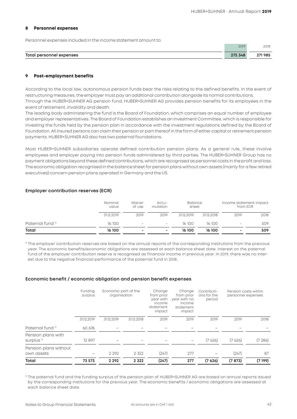#### **8 Personnel expenses**

Personnel expenses included in the income statement amount to:

|                                    | 2019 | 2018                        |
|------------------------------------|------|-----------------------------|
|                                    |      |                             |
| <b>Total personnel</b><br>expenses |      | 985<br>$\sim$ $\sim$ $\sim$ |
|                                    |      |                             |

#### **9 Post-employment benefits**

According to the local law, autonomous pension funds bear the risks relating to the defined benefits. In the event of restructuring measures, the employer must pay an additional contribution alongside its normal contributions. Through the HUBER+SUHNER AG pension fund, HUBER+SUHNER AG provides pension benefits for its employees in the event of retirement, invalidity and death.

The leading body administering the fund is the Board of Foundation, which comprises an equal number of employee and employer representatives. The Board of Foundation establishes an Investment Committee, which is responsible for investing the funds held by the pension plan in accordance with the investment regulations defined by the Board of Foundation. All insured persons can claim their pension or part thereof in the form of either capital or retirement pension payments. HUBER+SUHNER AG also has two paternal foundations.

Most HUBER+SUHNER subsidiaries operate defined contribution pension plans. As a general rule, these involve employees and employer paying into pension funds administered by third parties. The HUBER+SUHNER Group has no payment obligations beyond these defined contributions, which are recognised as personnel costs in the profit and loss. The economic obligation recognised in the balance sheet for pension plans without own assets (mainly for a few retired executives) concern pension plans operated in Germany and the US.

#### **Employer contribution reserves (ECR)**

|                             | Nominal<br>value | Waiver<br>of use         | $Accu-$<br>mulation | <b>Balance</b><br>sheet |            | from ECR                 | Income statement impact |
|-----------------------------|------------------|--------------------------|---------------------|-------------------------|------------|--------------------------|-------------------------|
|                             | 31.12.2019       | 2019                     | 2019                | 31.12.2019              | 31.12.2018 | 2019                     | 2018                    |
| Paternal fund <sup>1)</sup> | 16 100           | $\overline{\phantom{a}}$ | $\qquad \qquad$     | 16 100                  | 16 100     | $\overline{\phantom{a}}$ | 509                     |
| Total                       | 16 100           | $\,$                     | $\,$                | 16 100                  | 16 100     | $\overline{\phantom{a}}$ | 509                     |

<sup>1)</sup> The employer contribution reserves are based on the annual reports of the corresponding institutions from the previous year. The economic benefits/economic obligations are assessed at each balance sheet date. Interest on the paternal fund of the employer contribution reserve is recognised as financial income in previous year. In 2019, there was no interest due to the negative financial performance of the paternal fund in 2018.

#### **Economic benefit / economic obligation and pension benefit expenses**

|                                             | Funding<br>surplus | Economic part of the<br>organisation |            | Change<br>from prior<br>year with<br>income<br>statement<br>impact | Change<br>from prior<br>year with no<br>income<br>statement<br>impact | Contributi-<br>ons for the<br>period | Pension costs within<br>personnel expenses |         |
|---------------------------------------------|--------------------|--------------------------------------|------------|--------------------------------------------------------------------|-----------------------------------------------------------------------|--------------------------------------|--------------------------------------------|---------|
|                                             | 31.12.2019         | 31.12.2019                           | 31.12.2018 | 2019                                                               | 2019                                                                  | 2019                                 | 2019                                       | 2018    |
| Paternal fund <sup>1</sup>                  | 60 676             |                                      |            |                                                                    |                                                                       |                                      |                                            |         |
| Pension plans with<br>surplus <sup>1)</sup> | 12 897             |                                      |            |                                                                    |                                                                       | (7626)                               | (7626)                                     | (7286)  |
| Pension plans without<br>own assets         |                    | 2 2 9 2                              | 2 3 2 2    | (247)                                                              | 277                                                                   |                                      | (247)                                      | 87      |
| Total                                       | 73 573             | 2 2 9 2                              | 2 3 2 2    | (247)                                                              | 277                                                                   | (7,626)                              | (7873)                                     | (7 199) |

1) The paternal fund and the funding surplus of the pension plan of HUBER+SUHNER AG are based on annual reports issued by the corresponding institutions for the previous year. The economic benefits / economic obligations are assessed at each balance sheet date.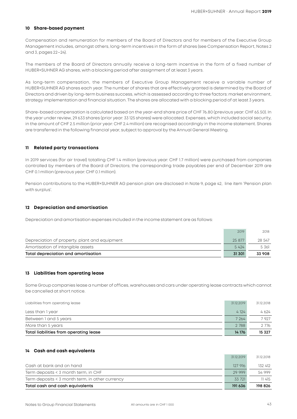#### **10 Share-based payment**

Compensation and remuneration for members of the Board of Directors and for members of the Executive Group Management includes, amongst others, long-term incentives in the form of shares (see Compensation Report, Notes 2 and 3, pages 22–24).

The members of the Board of Directors annually receive a long-term incentive in the form of a fixed number of HUBER+SUHNER AG shares, with a blocking period after assignment of at least 3 years.

As long-term compensation, the members of Executive Group Management receive a variable number of HUBER+SUHNER AG shares each year. The number of shares that are effectively granted is determined by the Board of Directors and driven by long-term business success, which is assessed according to three factors: market environment, strategy implementation and financial situation. The shares are allocated with a blocking period of at least 3 years.

Share-based compensation is calculated based on the year-end share price of CHF 76.80 (previous year: CHF 65.50). In the year under review, 29 633 shares (prior year: 33 125 shares) were allocated. Expenses, which included social security, in the amount of CHF 2.5 million (prior year: CHF 2.4 million) are recognised accordingly in the income statement. Shares are transferred in the following financial year, subject to approval by the Annual General Meeting.

#### **11 Related party transactions**

In 2019 services (for air travel) totalling CHF 1.4 million (previous year: CHF 1.7 million) were purchased from companies controlled by members of the Board of Directors; the corresponding trade payables per end of December 2019 are CHF 0.1 million (previous year: CHF 0.1 million).

Pension contributions to the HUBER+SUHNER AG pension plan are disclosed in Note 9, page 42, line item 'Pension plan with surplus'.

#### **12 Depreciation and amortisation**

Depreciation and amortisation expenses included in the income statement are as follows:

| Total depreciation and amortisation           | 31 301 | 33 908 |
|-----------------------------------------------|--------|--------|
| Amortisation of intangible assets             | 5424   | 5361   |
| Depreciation of property, plant and equipment | 25 877 | 28 547 |
|                                               | 2019   | 2018   |

#### **13 Liabilities from operating lease**

Some Group companies lease a number of offices, warehouses and cars under operating lease contracts which cannot be cancelled at short notice.

| Liabilities from operating lease       | 31.12.2019 | 31.12.2018 |
|----------------------------------------|------------|------------|
| Less than 1 year                       | 4 1 2 4    | 4 624      |
| Between 1 and 5 years                  | 7 264      | 7927       |
| More than 5 years                      | 2788       | 2 776      |
| Total liabilities from operating lease | 14 176     | 15 327     |

#### **14 Cash and cash equivalents**

| Total cash and cash equivalents                 | 191 636    | 198 826    |
|-------------------------------------------------|------------|------------|
| Term deposits < 3 month term, in other currency | 33 721     | 11 415     |
| Term deposits < 3 month term, in CHF            | 29.999     | 54 999     |
| Cash at bank and on hand                        | 127916     | 132.412    |
|                                                 | 31.12.2019 | 31.12.2018 |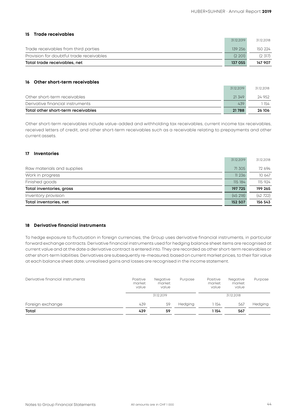#### **15 Trade receivables**

| Total trade receivables, net             | 137 055    | 147 907    |
|------------------------------------------|------------|------------|
| Provision for doubtful trade receivables | (2 201)    | (2, 317)   |
| Trade receivables from third parties     | 139 256    | 150 224    |
|                                          | 31.12.2019 | 31.12.2018 |

#### **16 Other short-term receivables**

| Total other short-term receivables | 21788      | 26 106     |
|------------------------------------|------------|------------|
| Derivative financial instruments   | 439        | 154        |
| Other short-term receivables       | 21349      | 24 952     |
|                                    | 31.12.2019 | 31.12.2018 |

Other short-term receivables include value-added and withholding tax receivables, current income tax receivables, received letters of credit, and other short-term receivables such as a receivable relating to prepayments and other current assets.

#### **17 Inventories**

| Total inventories, net     | 152 507    | 156 543    |
|----------------------------|------------|------------|
| Inventory provision        | (45, 218)  | (42722)    |
| Total inventories, gross   | 197 725    | 199 265    |
| Finished goods             | 115 184    | 115 924    |
| Work in progress           | 11 236     | 10 647     |
| Raw materials and supplies | 71 305     | 72 694     |
|                            | 31.12.2019 | 31.12.2018 |

#### **18 Derivative financial instruments**

To hedge exposure to fluctuation in foreign currencies, the Group uses derivative financial instruments, in particular forward exchange contracts. Derivative financial instruments used for hedging balance sheet items are recognised at current value and at the date a derivative contract is entered into. They are recorded as other short-term receivables or other short-term liabilities. Derivatives are subsequently re-measured, based on current market prices, to their fair value at each balance sheet date; unrealised gains and losses are recognised in the income statement.

| Derivative financial instruments | Positive<br>market<br>value | Negative<br>market<br>value | Purpose | Positive<br>market<br>value | Negative<br>market<br>value | Purpose |
|----------------------------------|-----------------------------|-----------------------------|---------|-----------------------------|-----------------------------|---------|
|                                  |                             | 31.12.2019                  |         |                             | 31.12.2018                  |         |
| Foreign exchange                 | 439                         | 59                          | Hedging | 1 154                       | 567                         | Hedging |
| Total                            | 439                         | 59                          |         | l 154                       | 567                         |         |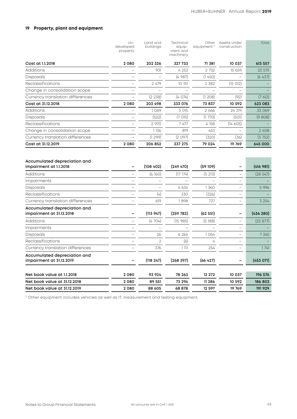#### **19 Property, plant and equipment**

|                                                          | $Un-$<br>developed<br>property | Land and<br>buildings | Technical<br>equip-<br>ment and<br>machinery | equipment <sup>1</sup> | Other Assets under<br>construction | Total     |
|----------------------------------------------------------|--------------------------------|-----------------------|----------------------------------------------|------------------------|------------------------------------|-----------|
| Cost at 1.1.2018                                         | 2080                           | 202 326               | 327733                                       | 71 381                 | 10 037                             | 613 557   |
| Additions                                                |                                | 931                   | 4 2 5 3                                      | 2 7 3 2                | 15 659                             | 23 575    |
| Disposals                                                |                                |                       | (4 987)                                      | (1 450)                |                                    | (6437)    |
| Reclassifications                                        |                                | 2 479                 | 10 151                                       | 2 3 8 2                | (15012)                            |           |
| Change in consolidation scope                            |                                |                       |                                              |                        |                                    |           |
| Currency translation differences                         |                                | (2 238)               | (4 074)                                      | (1208)                 | (92)                               | (7612)    |
| Cost at 31.12.2018                                       | 2080                           | 203 498               | 333 076                                      | 73 837                 | 10 592                             | 623 083   |
| Additions                                                |                                | 1069                  | 5 015                                        | 2 666                  | 24 319                             | 33 069    |
| Disposals                                                |                                | (522)                 | (7015)                                       | (1770)                 | (501)                              | (9808)    |
| Reclassifications                                        |                                | 2970                  | 7 477                                        | 4 1 5 8                | (14605)                            |           |
| Change in consolidation scope                            |                                | 1136                  | 819                                          | 453                    |                                    | 2408      |
| Currency translation differences                         |                                | (1299)                | (2097)                                       | (320)                  | (36)                               | (3752)    |
| Cost at 31.12.2019                                       | 2080                           | 206 852               | 337 275                                      | 79 024                 | 19 769                             | 645 000   |
| Accumulated depreciation and<br>impairment at 1.1.2018   |                                | (108, 402)            | (249 470)                                    | (59109)                |                                    | (416981)  |
| <b>Additions</b>                                         |                                | (6160)                | (17174)                                      | (5 213)                |                                    | (28547)   |
| Impairments                                              |                                |                       |                                              |                        |                                    |           |
| Disposals                                                |                                |                       | 4 634                                        | 1360                   |                                    | 5 9 9 4   |
| Reclassifications                                        |                                | (4)                   | 330                                          | (326)                  |                                    |           |
| Currency translation differences                         |                                | 619                   | 1898                                         | 737                    |                                    | 3 2 5 4   |
| Accumulated depreciation and<br>impairment at 31.12.2018 |                                | (113947)              | (259 782)                                    | (62551)                |                                    | (436 280) |
| Additions                                                |                                | (4704)                | (15985)                                      | (5188)                 | $\equiv$                           | (25 877)  |
| Impairments                                              |                                |                       |                                              |                        |                                    |           |
| Disposals                                                |                                | 26                    | 6 2 6 5                                      | 1054                   |                                    | 7 3 4 5   |
| Reclassifications                                        |                                | $\overline{2}$        | (6)                                          | 4                      | $\equiv$                           |           |
| Currency translation differences                         |                                | 376                   | 1111                                         | 254                    |                                    | 1741      |
| Accumulated depreciation and<br>impairment at 31.12.2019 |                                | (118 247)             | (268 397)                                    | (66427)                |                                    | (453 071) |
| Net book value at 1.1.2018                               | 2080                           | 93 924                | 78 263                                       | 12 27 2                | 10 037                             | 196 576   |
| Net book value at 31.12.2018                             | 2080                           | 89 551                | 73 294                                       | 11 286                 | 10 592                             | 186 803   |
| Net book value at 31.12.2019                             | 2080                           | 88 605                | 68 878                                       | 12 597                 | 19 769                             | 191929    |

<sup>1)</sup> Other equipment includes vehicles as well as IT, measurement and testing equipment.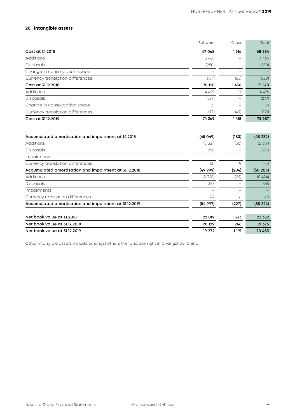#### **20 Intangible assets**

|                                  | Software | Other                    | Total   |
|----------------------------------|----------|--------------------------|---------|
| Cost at 1.1.2018                 | 67 068   | 1516                     | 68 584  |
| Additions                        | 3 464    |                          | 3 464   |
| <b>Disposals</b>                 | (250)    |                          | (250)   |
| Change in consolidation scope    |          |                          |         |
| Currency translation differences | (154)    | (66)                     | (220)   |
| Cost at 31.12.2018               | 70 128   | 1450                     | 71 578  |
| <b>Additions</b>                 | 4 4 5 9  | 17                       | 4 4 7 6 |
| <b>Disposals</b>                 | (277)    |                          | (277)   |
| Change in consolidation scope    | 31       | $\overline{\phantom{0}}$ | 31      |
| Currency translation differences | (72)     | (49)                     | (121)   |
| Cost at 31.12.2019               | 74 269   | 1418                     | 75 687  |

| Accumulated amortisation and impairment at 1.1.2018   | (45049)  | (183) | (45232)  |
|-------------------------------------------------------|----------|-------|----------|
| Additions                                             | (5, 331) | (30)  | (5, 361) |
| Disposals                                             | 250      |       | 250      |
| Impairments                                           |          |       |          |
| Currency translation differences                      | 131      | 9     | 140      |
| Accumulated amortisation and impairment at 31.12.2018 | (4999)   | (204) | (50 203) |
| Additions                                             | (5395)   | (29)  | (5424)   |
| Disposals                                             | 355      |       | 355      |
| Impairments                                           |          |       |          |
| Currency translation differences                      | 42       | 6     | 48       |
| Accumulated amortisation and impairment at 31.12.2019 | (5497)   | (227) | (55224)  |
|                                                       |          |       |          |
| Net book value at 1.1.2018                            | 22 019   | 1333  | 23 352   |
| Net book value at 31.12.2018                          | 20 129   | 1246  | 21 375   |
| Net book value at 31.12.2019                          | 19 27 2  | 1 191 | 20 463   |

Other intangible assets include amongst others the land use right in Changzhou, China.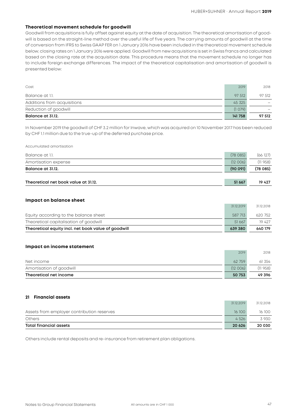#### **Theoretical movement schedule for goodwill**

Goodwill from acquisitions is fully offset against equity at the date of acquisition. The theoretical amortisation of goodwill is based on the straight-line method over the useful life of five years. The carrying amounts of goodwill at the time of conversion from IFRS to Swiss GAAP FER on 1 January 2016 have been included in the theoretical movement schedule below; closing rates on 1 January 2016 were applied. Goodwill from new acquisitions is set in Swiss francs and calculated based on the closing rate at the acquisition date. This procedure means that the movement schedule no longer has to include foreign exchange differences. The impact of the theoretical capitalisation and amortisation of goodwill is presented below:

| Balance at 31.12.           | 141 758 | 97 512 |
|-----------------------------|---------|--------|
| Reduction of goodwill       | (1079)  |        |
| Additions from acquisitions | 45 325  |        |
| Balance at 1.1.             | 97 512  | 97 512 |
| Cost                        | 2019    | 2018   |

In November 2019 the goodwill of CHF 3.2 million for Inwave, which was acquired on 10 November 2017 has been reduced by CHF 1.1 million due to the true-up of the deferred purchase price.

#### Accumulated amortisation

| Balance at 1.1.                      | (78, 085) | (66127) |
|--------------------------------------|-----------|---------|
| Amortisation expense                 | (12006)   | (11958) |
| Balance at 31.12.                    | (90091)   | (78085) |
|                                      |           |         |
| Theoretical net book value at 31.12. | 51 667    | 19 4 27 |

#### **Impact on balance sheet**

| Theoretical equity incl. net book value of goodwill | 639 380    | 640 179    |
|-----------------------------------------------------|------------|------------|
| Theoretical capitalisation of goodwill              | 51 667     | 19 427     |
| Equity according to the balance sheet               | 587 713    | 620 752    |
|                                                     | 31.12.2019 | 31.12.2018 |

#### **Impact on income statement**

| Theoretical net income   | 50 753  | 49396    |
|--------------------------|---------|----------|
| Amortisation of goodwill | (12006) | (11 958) |
| Net income               | 62 759  | 61 354   |
|                          | 2019    | 2018     |

#### **21 Financial assets**

| Total financial assets                     | 20 6 26    | 20 030     |
|--------------------------------------------|------------|------------|
| <b>Others</b>                              | 4526       | 3930       |
| Assets from employer contribution reserves | 16 100     | 16 100     |
|                                            | 31.12.2019 | 31.12.2018 |

Others include rental deposits and re-insurance from retirement plan obligations.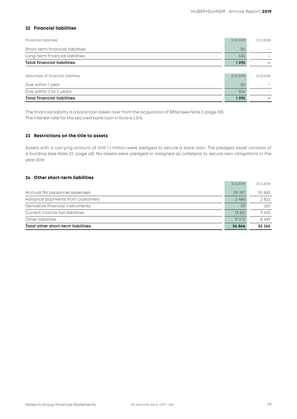#### **22 Financial liabilities**

| <b>Financial liabilities</b>        | 31.12.2019 | 31.12.2018 |
|-------------------------------------|------------|------------|
| Short-term financial liabilities    | 761        |            |
| Long-term financial liabilities     | 634        |            |
| <b>Total financial liabilities</b>  | 1395       |            |
|                                     |            |            |
| Maturities of financial liabilities | 31.12.2019 | 31.12.2018 |
| Due within 1 year                   | 761        |            |
| Due within 2 to 5 years             | 634        |            |
| <b>Total financial liabilities</b>  | 1395       |            |

The financial liability is a bank loan taken over from the acquisition of BKtel (see Note 3, page 38). The interest rate for the secured bank loan in Euro is 2.8%.

#### **23 Restrictions on the title to assets**

Assets with a carrying amount of CHF 1.1 million were pledged to secure a bank loan. The pledged asset consists of a building (see Note 22, page 48). No assets were pledged or assigned as collateral to secure own obligations in the year 2018.

#### **24 Other short-term liabilities**

|                                    | 31.12.2019 | 31.12.2018 |
|------------------------------------|------------|------------|
| Accrual for personnel expenses     | 29 397     | 30.682     |
| Advance payments from customers    | 2486       | 2822       |
| Derivative financial instruments   | 59         | 567        |
| Current income tax liabilities     | 13 851     | 9695       |
| Other liabilities                  | 11073      | 8499       |
| Total other short-term liabilities | 56 866     | 52 265     |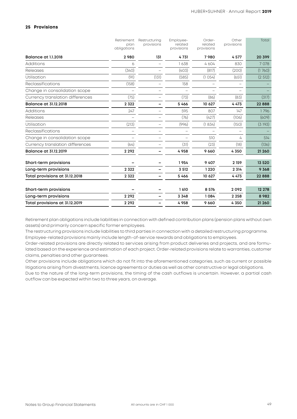#### **25 Provisions**

|                                  | Retirement<br>plan<br>obligations | Restructuring<br>provisions | Employee-<br>related<br>provisions | Order-<br>related<br>provisions | Other<br>provisions | Total    |
|----------------------------------|-----------------------------------|-----------------------------|------------------------------------|---------------------------------|---------------------|----------|
| <b>Balance at 1.1.2018</b>       | 2980                              | 131                         | 4731                               | 7980                            | 4577                | 20 399   |
| <b>Additions</b>                 | 6                                 |                             | 1638                               | 4604                            | 830                 | 7 0 7 8  |
| Releases                         | (340)                             |                             | (403)                              | (817)                           | (200)               | (1760)   |
| Utilisation                      | (91)                              | (131)                       | (585)                              | (1054)                          | (651)               | (2512)   |
| Reclassifications                | (158)                             |                             | 158                                |                                 |                     |          |
| Change in consolidation scope    |                                   |                             |                                    |                                 |                     |          |
| Currency translation differences | (75)                              |                             | (73)                               | (86)                            | (83)                | (317)    |
| <b>Balance at 31.12.2018</b>     | 2 3 2 2                           |                             | 5466                               | 10 627                          | 4473                | 22888    |
| Additions                        | 247                               |                             | 595                                | 807                             | 147                 | 1796     |
| Releases                         |                                   |                             | (76)                               | (427)                           | (106)               | (609)    |
| Utilisation                      | (213)                             |                             | (996)                              | (1834)                          | (150)               | (3193)   |
| Reclassifications                |                                   |                             |                                    |                                 |                     |          |
| Change in consolidation scope    |                                   |                             |                                    | 510                             | 4                   | 514      |
| Currency translation differences | (64)                              |                             | (31)                               | (23)                            | (18)                | (136)    |
| <b>Balance at 31.12.2019</b>     | 2 2 9 2                           |                             | 4958                               | 9 6 6 0                         | 4350                | 21 260   |
| Short-term provisions            |                                   |                             | 1954                               | 9 4 0 7                         | 2 159               | 13 5 20  |
| Long-term provisions             | 2 3 2 2                           |                             | 3 5 1 2                            | 1220                            | 2 3 14              | 9 3 6 8  |
| Total provisions at 31.12.2018   | 2 3 2 2                           |                             | 5466                               | 10 627                          | 4473                | 22 8 8 8 |
| Short-term provisions            |                                   |                             | 1610                               | 8 5 7 6                         | 2092                | 12 278   |
| Long-term provisions             | 2 2 9 2                           |                             | 3 3 4 8                            | 1084                            | 2 2 5 8             | 8982     |
| Total provisions at 31.12.2019   | 2 2 9 2                           |                             | 4958                               | 9660                            | 4350                | 21 260   |

Retirement plan obligations include liabilities in connection with defined contribution plans (pension plans without own assets) and primarily concern specific former employees.

The restructuring provisions include liabilities to third parties in connection with a detailed restructuring programme. Employee-related provisions mainly include length-of-service rewards and obligations to employees.

Order-related provisions are directly related to services arising from product deliveries and projects, and are formulated based on the experience and estimation of each project. Order-related provisions relate to warranties, customer claims, penalties and other guarantees.

Other provisions include obligations which do not fit into the aforementioned categories, such as current or possible litigations arising from divestments, licence agreements or duties as well as other constructive or legal obligations.

Due to the nature of the long-term provisions, the timing of the cash outflows is uncertain. However, a partial cash outflow can be expected within two to three years, on average.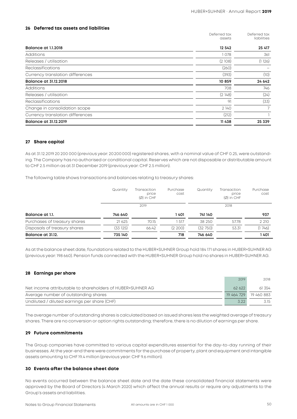#### **26 Deferred tax assets and liabilities**

|                                  | Deferred tax<br>assets | Deferred tax<br>liabilities |
|----------------------------------|------------------------|-----------------------------|
| Balance at 1.1.2018              | 12 542                 | 25 417                      |
| <b>Additions</b>                 | 1078                   | 361                         |
| Releases / utilisation           | (2108)                 | (1126)                      |
| <b>Reclassifications</b>         | (260)                  |                             |
| Currency translation differences | (393)                  | (10)                        |
| <b>Balance at 31.12.2018</b>     | 10859                  | 24 642                      |
| <b>Additions</b>                 | 708                    | 746                         |
| Releases / utilisation           | (2148)                 | (24)                        |
| Reclassifications                | 91                     | (33)                        |
| Change in consolidation scope    | 2 140                  | 7                           |
| Currency translation differences | (212)                  |                             |
| Balance at 31.12.2019            | 11438                  | 25 339                      |

#### **27 Share capital**

As at 31.12.2019 20 200 000 (previous year: 20200000) registered shares, with a nominal value of CHF 0.25, were outstanding. The Company has no authorised or conditional capital. Reserves which are not disposable or distributable amount to CHF 2.5 million as at 31 December 2019 (previous year: CHF 2.5 million).

The following table shows transactions and balances relating to treasury shares:

|                              | Quantity | Transaction<br>price<br>$(\emptyset)$ in CHF | Purchase<br>cost | Quantity | Transaction<br>price<br>$(\emptyset)$ in CHF | Purchase<br>cost |
|------------------------------|----------|----------------------------------------------|------------------|----------|----------------------------------------------|------------------|
|                              |          | 2019                                         |                  |          | 2018                                         |                  |
| Balance at 1.1.              | 746 640  |                                              | 1 401            | 741 140  |                                              | 937              |
| Purchases of treasury shares | 21 6 25  | 70.15                                        | 517              | 38 250   | 57.78                                        | 2 2 1 0          |
| Disposals of treasury shares | (33 125) | 66.42                                        | (2, 200)         | (32750)  | 53.31                                        | (1746)           |
| Balance at 31.12.            | 735 140  |                                              | 718              | 746 640  |                                              | 1401             |

As at the balance sheet date, foundations related to the HUBER+SUHNER Group hold 184 171 shares in HUBER+SUHNER AG (previous year: 198 660). Pension funds connected with the HUBER+SUHNER Group hold no shares in HUBER+SUHNER AG.

#### **28 Earnings per share**

|                                                            | 2019   | 2018                  |
|------------------------------------------------------------|--------|-----------------------|
| Net income attributable to shareholders of HUBER+SUHNER AG | 62.622 | 61 354                |
| Average number of outstanding shares                       |        | 19 464 729 19 460 883 |
| Undiluted / diluted earnings per share (CHF)               | 322    | 3.15                  |

The average number of outstanding shares is calculated based on issued shares less the weighted average of treasury shares. There are no conversion or option rights outstanding; therefore, there is no dilution of earnings per share.

#### **29 Future commitments**

The Group companies have committed to various capital expenditures essential for the day-to-day running of their businesses. At the year-end there were commitments for the purchase of property, plant and equipment and intangible assets amounting to CHF 19.4 million (previous year: CHF 9.6 million).

#### **30 Events after the balance sheet date**

No events occurred between the balance sheet date and the date these consolidated financial statements were approved by the Board of Directors (4 March 2020) which affect the annual results or require any adjustments to the Group's assets and liabilities.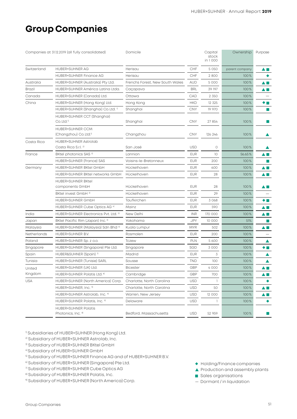## **Group Companies**

| Companies at 31.12.2019 (all fully consolidated) |                                                          | Domicile                        |            | Capital<br>stock<br>in 1000 | Ownership      | Purpose        |
|--------------------------------------------------|----------------------------------------------------------|---------------------------------|------------|-----------------------------|----------------|----------------|
| Switzerland                                      | HUBER+SUHNER AG                                          | Herisau                         | CHF        | 5 0 5 0                     | parent company | ▲■             |
|                                                  | HUBER+SUHNER Finance AG                                  | Herisau                         | CHF        | 2800                        | 100%           |                |
| Australia                                        | HUBER+SUHNER (Australia) Pty Ltd.                        | Frenchs Forest, New South Wales | <b>AUD</b> | 5 0 0 0                     | 100%           | ▲■             |
| <b>Brazil</b>                                    | HUBER+SUHNER América Latina Ltda.                        | Caçapava                        | <b>BRL</b> | 39 197                      | 100%           | ▲■             |
| Canada                                           | HUBER+SUHNER (Canada) Ltd.                               | Ottawa                          | CAD        | 2 3 5 0                     | 100%           |                |
| China                                            | HUBER+SUHNER (Hong Kong) Ltd.                            | Hong Kong                       | <b>HKD</b> | 12 3 25                     | 100%           | ◆■             |
|                                                  | HUBER+SUHNER (Shanghai) Co. Ltd. 1)                      | Shanghai                        | <b>CNY</b> | 19 970                      | 100%           |                |
|                                                  | HUBER+SUHNER CCT (Shanghai)<br>$Co.$ Ltd. $1$            | Shanghai                        | <b>CNY</b> | 27 854                      | 100%           |                |
|                                                  | HUBER+SUHNER CCM<br>(Changzhou) Co. Ltd. <sup>1)</sup>   | Changzhou                       | <b>CNY</b> | 126 246                     | 100%           | ▲              |
| Costa Rica                                       | HUBER+SUHNER Astrolab<br>Costa Rica S.r.l. <sup>2)</sup> | San José                        | <b>USD</b> | 0                           | 100%           |                |
| France                                           | BKtel photonics SAS 3)                                   | Lannion                         | <b>EUR</b> | 10 <sup>°</sup>             | 56.65%         |                |
|                                                  | HUBER+SUHNER (France) SAS                                | Voisins-le-Bretonneux           | <b>EUR</b> | 200                         | 100%           |                |
| Germany                                          | HUBER+SUHNER BKtel GmbH                                  | Hückelhoven                     | <b>EUR</b> | 600                         | 100%           | A E            |
|                                                  | HUBER+SUHNER BKtel networks GmbH                         | Hückelhoven                     | <b>EUR</b> | 28                          | 100%           | ▲■             |
|                                                  | <b>HUBER+SUHNER BKtel</b><br>components GmbH             | Hückelhoven                     | <b>EUR</b> | 28                          | 100%           | $\blacksquare$ |
|                                                  | BKtel invest GmbH 3)                                     | Hückelhoven                     | <b>EUR</b> | 29                          | 100%           |                |
|                                                  | HUBER+SUHNER GmbH                                        | Taufkirchen                     | <b>EUR</b> | 3 0 6 8                     | 100%           | ◆■             |
|                                                  | HUBER+SUHNER Cube Optics AG 4)                           | Mainz                           | <b>EUR</b> | 590                         | 100%           | A E            |
| India                                            | HUBER+SUHNER Electronics Pvt. Ltd. 5)                    | New Delhi                       | <b>INR</b> | 170 000                     | 100%           | ▲■             |
| Japan                                            | BKtel Pacific Rim (Japan) Inc. 3)                        | Yokohama                        | JPY        | 10 000                      | 51%            |                |
| Malaysia                                         | HUBER+SUHNER (Malaysia) Sdn Bhd 6                        | Kuala Lumpur                    | <b>MYR</b> | 502                         | 100%           | ▲■             |
| Netherlands                                      | HUBER+SUHNER B.V.                                        | Rosmalen                        | <b>EUR</b> | 200                         | 100%           |                |
| Poland                                           | HUBER+SUHNER Sp. z o.o.                                  | Tczew                           | PLN        | 5 600                       | 100%           | ▲              |
| Singapore                                        | HUBER+SUHNER (Singapore) Pte Ltd.                        | Singapore                       | SGD        | 3 0 0 0                     | 100%           | ◆ ■            |
| Spain                                            | HUBER&SUHNER (Spain) <sup>7)</sup>                       | Madrid                          | <b>EUR</b> | 3                           | 100%           | ▲              |
| Tunisia                                          | HUBER+SUHNER (Tunisie) SARL                              | Sousse                          | TND        | 100                         | 100%           | ▲              |
| United                                           | HUBER+SUHNER (UK) Ltd.                                   | <b>Bicester</b>                 | GBP        | 4 0 0 0                     | 100%           | ▲■             |
| Kingdom                                          | HUBER+SUHNER Polatis Ltd. <sup>8)</sup>                  | Cambridge                       | GBP        | 700                         | 100%           | A I I          |
| <b>USA</b>                                       | HUBER+SUHNER (North America) Corp.                       | Charlotte, North Carolina       | <b>USD</b> | 1                           | 100%           |                |
|                                                  | HUBER+SUHNER, Inc. 9)                                    | Charlotte, North Carolina       | <b>USD</b> | 50                          | 100%           | ▲■             |
|                                                  | HUBER+SUHNER Astrolab, Inc. 9)                           | Warren, New Jersey              | <b>USD</b> | 12 000                      | 100%           | ▲■             |
|                                                  | HUBER+SUHNER Polatis, Inc. 9)                            | Delaware                        | <b>USD</b> | Т.                          | 100%           |                |
|                                                  | <b>HUBER+SUHNER Polatis</b><br>Photonics, Inc. 8)        | Bedford, Massachusetts          | <b>USD</b> | 52 959                      | 100%           |                |

<sup>1)</sup> Subsidiaries of HUBER+SUHNER (Hong Kong) Ltd.

- 2) Subsidiary of HUBER+SUHNER Astrolab, Inc.
- 3) Subsidiary of HUBER+SUHNER BKtel GmbH
- 4) Subsidiary of HUBER+SUHNER GmbH
- 5) Subsidiary of HUBER+SUHNER Finance AG and of HUBER+SUHNER B.V.
- 6) Subsidiary of HUBER+SUHNER (Singapore) Pte Ltd.
- 7) Subsidiary of HUBER+SUHNER Cube Optics AG
- 8) Subsidiary of HUBER+SUHNER Polatis, Inc.
- 9) Subsidiary of HUBER+SUHNER (North America) Corp.
- ◆ Holding/Finance companies
- ▲ Production and assembly plants
- sales organisations
- Dormant / in liquidation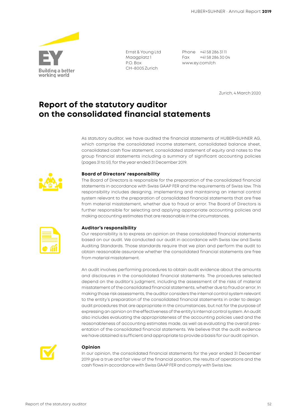

Ernst & Young Ltd Maagplatz 1 P.O. Box CH-8005 Zurich

Phone +41 58 286 31 11 Fax +41 58 286 30 04 www.ey.com/ch

Zurich, 4 March 2020

### **Report of the statutory auditor on the consolidated financial statements**

As statutory auditor, we have audited the financial statements of HUBER+SUHNER AG, which comprise the consolidated income statement, consolidated balance sheet, consolidated cash flow statement, consolidated statement of equity and notes to the group financial statements including a summary of significant accounting policies (pages 31 to 51), for the year ended 31 December 2019.



#### **Board of Directors' responsibility**

The Board of Directors is responsible for the preparation of the consolidated financial statements in accordance with Swiss GAAP FER and the requirements of Swiss law. This responsibility includes designing, implementing and maintaining an internal control system relevant to the preparation of consolidated financial statements that are free from material misstatement, whether due to fraud or error. The Board of Directors is further responsible for selecting and applying appropriate accounting policies and making accounting estimates that are reasonable in the circumstances.

#### **Auditor's responsibility**

Our responsibility is to express an opinion on these consolidated financial statements based on our audit. We conducted our audit in accordance with Swiss law and Swiss Auditing Standards. Those standards require that we plan and perform the audit to obtain reasonable assurance whether the consolidated financial statements are free from material misstatement.

An audit involves performing procedures to obtain audit evidence about the amounts and disclosures in the consolidated financial statements. The procedures selected depend on the auditor's judgment, including the assessment of the risks of material misstatement of the consolidated financial statements, whether due to fraud or error. In making those risk assessments, the auditor considers the internal control system relevant to the entity's preparation of the consolidated financial statements in order to design audit procedures that are appropriate in the circumstances, but not for the purpose of expressing an opinion on the effectiveness of the entity's internal control system. An audit also includes evaluating the appropriateness of the accounting policies used and the reasonableness of accounting estimates made, as well as evaluating the overall presentation of the consolidated financial statements. We believe that the audit evidence we have obtained is sufficient and appropriate to provide a basis for our audit opinion.



#### **Opinion**

In our opinion, the consolidated financial statements for the year ended 31 December 2019 give a true and fair view of the financial position, the results of operations and the cash flows in accordance with Swiss GAAP FER and comply with Swiss law.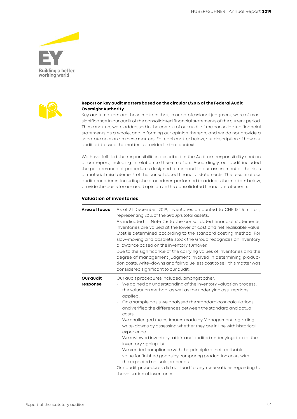



#### **Report on key audit matters based on the circular 1/2015 of the Federal Audit Oversight Authority**

Key audit matters are those matters that, in our professional judgment, were of most significance in our audit of the consolidated financial statements of the current period. These matters were addressed in the context of our audit of the consolidated financial statements as a whole, and in forming our opinion thereon, and we do not provide a separate opinion on these matters. For each matter below, our description of how our audit addressed the matter is provided in that context.

We have fulfilled the responsibilities described in the Auditor's responsibility section of our report, including in relation to these matters. Accordingly, our audit included the performance of procedures designed to respond to our assessment of the risks of material misstatement of the consolidated financial statements. The results of our audit procedures, including the procedures performed to address the matters below, provide the basis for our audit opinion on the consolidated financial statements.

#### **Valuation of inventories**

| Area of focus         | As of 31 December 2019, inventories amounted to CHF 152.5 million,<br>representing 20% of the Group's total assets.<br>As indicated in Note 2.6 to the consolidated financial statements,<br>inventories are valued at the lower of cost and net realisable value.<br>Cost is determined according to the standard costing method. For<br>slow-moving and obsolete stock the Group recognizes an inventory<br>allowance based on the inventory turnover.<br>Due to the significance of the carrying values of inventories and the<br>degree of management judgment involved in determining produc-<br>tion costs, write-downs and fair value less cost to sell, this matter was<br>considered significant to our audit.                                                                                                                                               |
|-----------------------|-----------------------------------------------------------------------------------------------------------------------------------------------------------------------------------------------------------------------------------------------------------------------------------------------------------------------------------------------------------------------------------------------------------------------------------------------------------------------------------------------------------------------------------------------------------------------------------------------------------------------------------------------------------------------------------------------------------------------------------------------------------------------------------------------------------------------------------------------------------------------|
| Our audit<br>response | Our audit procedures included, amongst other:<br>We gained an understanding of the inventory valuation process,<br>the valuation method, as well as the underlying assumptions<br>applied.<br>On a sample basis we analysed the standard cost calculations<br>and verified the differences between the standard and actual<br>COSts.<br>We challenged the estimates made by Management regarding<br>write-downs by assessing whether they are in line with historical<br>experience.<br>We reviewed inventory ratio's and audited underlying data of the<br>inventory ageing list.<br>We verified compliance with the principle of net realisable<br>$\cdot$<br>value for finished goods by comparing production costs with<br>the expected net sale proceeds.<br>Our audit procedures did not lead to any reservations regarding to<br>the valuation of inventories. |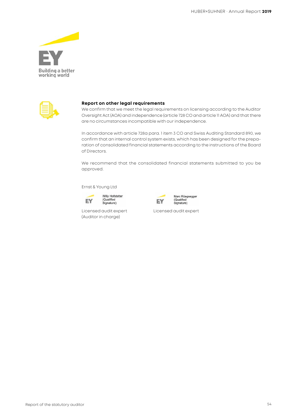



#### **Report on other legal requirements**

We confirm that we meet the legal requirements on licensing according to the Auditor Oversight Act (AOA) and independence (article 728 CO and article 11 AOA) and that there are no circumstances incompatible with our independence.

In accordance with article 728a para. 1 item 3 CO and Swiss Auditing Standard 890, we confirm that an internal control system exists, which has been designed for the preparation of consolidated financial statements according to the instructions of the Board of Directors.

We recommend that the consolidated financial statements submitted to you be approved.

Ernst & Young Ltd





(Auditor in charge)



Licensed audit expert Licensed audit expert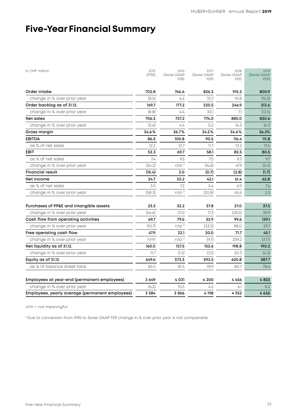## **Five-Year Financial Summary**

| in CHF million                                  | 2015<br>(IFRS) | 2016<br>(Swiss GAAP<br>FER) | 2017<br>(Swiss GAAP<br>FER) | 2018<br>(Swiss GAAP<br>FER) | 2019<br>(Swiss GAAP<br>FER) |
|-------------------------------------------------|----------------|-----------------------------|-----------------------------|-----------------------------|-----------------------------|
| Order intake                                    | 702.8          | 746.6                       | 826.3                       | 915.2                       | 800.9                       |
| change in % over prior year                     | (8.5)          | 6.2                         | 10.7                        | 10.8                        | (12.5)                      |
| Order backlog as of 31.12.                      | 169.7          | 177.2                       | 230.5                       | 246.9                       | 213.6                       |
| change in % over prior year                     | (8.8)          | 4.4                         | 30.1                        | 7.1                         | (13.5)                      |
| <b>Net sales</b>                                | 706.3          | 737.2                       | 774.0                       | 885.0                       | 830.6                       |
| change in % over prior year                     | (5.6)          | 4.4                         | 5.0                         | 14.3                        | (6.1)                       |
| Gross margin                                    | 34.6%          | 36.7%                       | 34.5%                       | 34.6%                       | 36.2%                       |
| <b>EBITDA</b>                                   | 86.5           | 100.8                       | 90.5                        | 116.4                       | 111.8                       |
| as % of net sales                               | 12.2           | 13.7                        | 11.7                        | 13.2                        | 13.5                        |
| <b>EBIT</b>                                     | 52.3           | 69.7                        | 58.1                        | 82.5                        | 80.5                        |
| as % of net sales                               | 7.4            | 9.5                         | 7.5                         | 9.3                         | 9.7                         |
| change in % over prior year                     | (24.2)         | $n/a$ <sup>1)</sup>         | (16.6)                      | 41.9                        | (2.4)                       |
| Financial result                                | (15.4)         | 3.0                         | (0.7)                       | (2.8)                       | (1.7)                       |
| Net income                                      | 24.7           | 53.2                        | 42.1                        | 61.4                        | 62.8                        |
| as % of net sales                               | 3.5            | 7.2                         | 5.4                         | 6.9                         | 7.6                         |
| change in % over prior year                     | (58.3)         | $n/a$ <sup>1)</sup>         | (20.8)                      | 45.6                        | 2.3                         |
| Purchases of PP&E and intangible assets         | 23.5           | 32.2                        | 37.8                        | 27.0                        | 37.5                        |
| change in % over prior year                     | (44.6)         | 37.0                        | 17.3                        | (28.5)                      | 38.9                        |
| Cash flow from operating activities             | 69.7           | 79.6                        | 52.9                        | 99.6                        | 129.1                       |
| change in % over prior year                     | (10.7)         | $n/a$ <sup>1)</sup>         | (33.5)                      | 88.0                        | 29.7                        |
| Free operating cash flow                        | 47.9           | 22.1                        | 20.0                        | 71.7                        | 45.1                        |
| change in % over prior year                     | n/m            | $n/a$ <sup>1)</sup>         | (9.7)                       | 259.2                       | (37.1)                      |
| Net liquidity as of 31.12.                      | 160.0          | 157.5                       | 152.6                       | 198.8                       | 190.2                       |
| change in % over prior year                     | 11.7           | (1.5)                       | (3.1)                       | 30.3                        | (4.3)                       |
| Equity as of 31.12.                             | 649.6          | 573.3                       | 593.5                       | 620.8                       | 587.7                       |
| as % of balance sheet total                     | 83.5           | 81.5                        | 78.9                        | 80.7                        | 78.4                        |
| Employees at year-end (permanent employees)     | 3649           | 4031                        | 4 200                       | 4456                        | 4823                        |
| change in % over prior year                     | (6.2)          | 10.5                        | 4.2                         | 6.1                         | 8.2                         |
| Employees, yearly average (permanent employees) | 3584           | 3866                        | 4198                        | 4 3 5 2                     | 4636                        |

n/m = not meaningful

<sup>1)</sup> Due to conversion from IFRS to Swiss GAAP FER change in % over prior year is not comparable.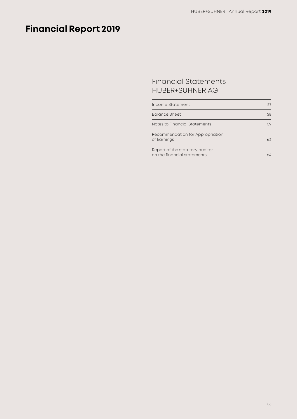# **Financial Report 2019**

### Financial Statements HUBER+SUHNER AG

| Income Statement                                               |    |
|----------------------------------------------------------------|----|
| <b>Balance Sheet</b>                                           | 58 |
| Notes to Financial Statements                                  | 59 |
| Recommendation for Appropriation<br>of Earnings                | 63 |
| Report of the statutory auditor<br>on the financial statements | ۱4 |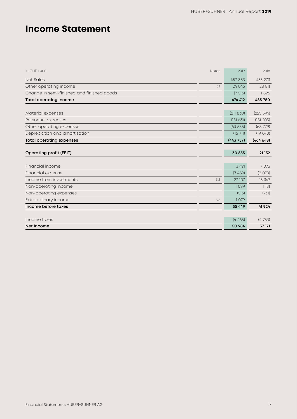## **Income Statement**

| in CHF1000                                 | <b>Notes</b> | 2019      | 2018      |
|--------------------------------------------|--------------|-----------|-----------|
| <b>Net Sales</b>                           |              | 457883    | 455 273   |
| Other operating income                     | 3.1          | 24 045    | 28 811    |
| Change in semi-finished and finished goods |              | (7516)    | 1696      |
| <b>Total operating income</b>              |              | 474 412   | 485 780   |
|                                            |              |           |           |
| Material expenses                          |              | (211 830) | (225 594) |
| Personnel expenses                         |              | (151 631) | (151 205) |
| Other operating expenses                   |              | (63585)   | (68 779)  |
| Depreciation and amortisation              |              | (1671)    | (19070)   |
| <b>Total operating expenses</b>            |              | (443757)  | (46464)   |
|                                            |              |           |           |
| <b>Operating profit (EBIT)</b>             |              | 30 655    | 21 132    |
|                                            |              |           |           |
|                                            |              |           |           |
| Financial income                           |              | 3 4 9 1   | 7 0 7 3   |
| Financial expense                          |              | (7469)    | (2078)    |
| Income from investments                    | 3.2          | 27 107    | 15 347    |
| Non-operating income                       |              | 1099      | 1181      |
| Non-operating expenses                     |              | (513)     | (731)     |
| Extraordinary income                       | 3.3          | 1079      |           |
| Income before taxes                        |              | 55 4 4 9  | 41 9 24   |
|                                            |              |           |           |
| Income taxes                               |              | (4465)    | (4753)    |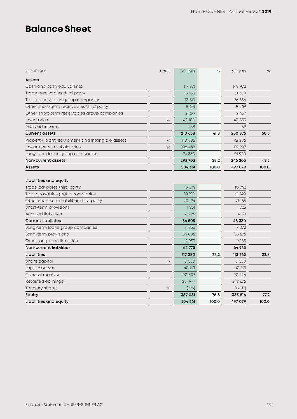## **Balance Sheet**

| in CHF 1000                                                                                                                                                                                                                      | <b>Notes</b> | 31.12.2019                                                   | $\%$  | 31.12.2018                                                       | $\%$  |
|----------------------------------------------------------------------------------------------------------------------------------------------------------------------------------------------------------------------------------|--------------|--------------------------------------------------------------|-------|------------------------------------------------------------------|-------|
| <b>Assets</b>                                                                                                                                                                                                                    |              |                                                              |       |                                                                  |       |
| Cash and cash equivalents                                                                                                                                                                                                        |              | 117 871                                                      |       | 149 972                                                          |       |
| Trade receivables third party                                                                                                                                                                                                    |              | 15 160                                                       |       | 18 350                                                           |       |
| Trade receivables group companies                                                                                                                                                                                                |              | 23 619                                                       |       | 26 556                                                           |       |
| Other short-term receivables third party                                                                                                                                                                                         |              | 8 6 9 1                                                      |       | 9 5 6 9                                                          |       |
| Other short-term receivables group companies                                                                                                                                                                                     |              | 2 2 5 9                                                      |       | 2 4 3 7                                                          |       |
| Inventories                                                                                                                                                                                                                      | 3.4          | 42 100                                                       |       | 43 833                                                           |       |
| Accrued income                                                                                                                                                                                                                   |              | 958                                                          |       | 159                                                              |       |
| <b>Current assets</b>                                                                                                                                                                                                            |              | 210 658                                                      | 41.8  | 250 876                                                          | 50.5  |
| Property, plant, equipment and intangible assets                                                                                                                                                                                 | 3.5          | 110 885                                                      |       | 98 286                                                           |       |
| Investments in subsidiaries                                                                                                                                                                                                      | 3.6          | 108 438                                                      |       | 55 997                                                           |       |
| Long-term loans group companies                                                                                                                                                                                                  |              | 74 380                                                       |       | 91 920                                                           |       |
| Non-current assets                                                                                                                                                                                                               |              | 293 703                                                      | 58.2  | 246 203                                                          | 49.5  |
| Assets                                                                                                                                                                                                                           |              | 504 361                                                      | 100.0 | 497 079                                                          | 100.0 |
| Trade payables third party<br>Trade payables group companies<br>Other short-term liabilities third party<br>Short-term provisions<br><b>Accrued liabilities</b><br><b>Current liabilities</b><br>Long-term loans group companies |              | 15 374<br>10 190<br>20 194<br>1951<br>6796<br>54 505<br>4936 |       | 10 742<br>10 529<br>21 165<br>1723<br>4 171<br>48 330<br>7 0 7 2 |       |
| Long-term provisions                                                                                                                                                                                                             |              | 54 886                                                       |       | 55 676                                                           |       |
| Other long-term liabilities                                                                                                                                                                                                      |              | 2 9 5 3                                                      |       | 2 185                                                            |       |
| <b>Non-current liabilities</b>                                                                                                                                                                                                   |              | 62 775                                                       |       | 64 933                                                           |       |
| <b>Liabilities</b>                                                                                                                                                                                                               |              | 117 280                                                      | 23.2  | 113 263                                                          | 22.8  |
| Share capital                                                                                                                                                                                                                    | 3.7          | 5 0 5 0                                                      |       | 5 0 5 0                                                          |       |
| Legal reserves                                                                                                                                                                                                                   |              | 40 271                                                       |       | 40 271                                                           |       |
| General reserves                                                                                                                                                                                                                 |              | 90 507                                                       |       | 90 226                                                           |       |
| Retained earnings                                                                                                                                                                                                                |              | 251 977                                                      |       | 249 676                                                          |       |
| Treasury shares                                                                                                                                                                                                                  | 3.8          | (724)                                                        |       | (1407)                                                           |       |
| Equity                                                                                                                                                                                                                           |              | 387 081                                                      | 76.8  | 383 816                                                          | 77.2  |
| Liabilities and equity                                                                                                                                                                                                           |              | 504 361                                                      | 100.0 | 497 079                                                          | 100.0 |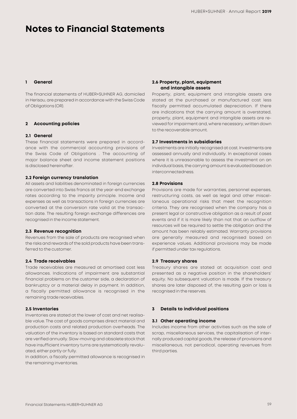## **Notes to Financial Statements**

#### **1 General**

The financial statements of HUBER+SUHNER AG, domiciled in Herisau, are prepared in accordance with the Swiss Code of Obligations (OR).

#### **2 Accounting policies**

#### **2.1 General**

These financial statements were prepared in accordance with the commercial accounting provisions of the Swiss Code of Obligations . The accounting of major balance sheet and income statement positions is disclosed hereinafter.

#### **2.2 Foreign currency translation**

All assets and liabilities denominated in foreign currencies are converted into Swiss francs at the year-end exchange rates according to the imparity principle. Income and expenses as well as transactions in foreign currencies are converted at the conversion rate valid at the transaction date. The resulting foreign exchange differences are recognised in the income statement.

#### **2.3 Revenue recognition**

Revenues from the sale of products are recognised when the risks and rewards of the sold products have been transferred to the customer.

#### **2.4 Trade receivables**

Trade receivables are measured at amortised cost less allowances. Indications of impairment are substantial financial problems on the customer side, a declaration of bankruptcy or a material delay in payment. In addition, a fiscally permitted allowance is recognised in the remaining trade receivables.

#### **2.5 Inventories**

Inventories are stated at the lower of cost and net realisable value. The cost of goods comprises direct material and production costs and related production overheads. The valuation of the inventory is based on standard costs that are verified annually. Slow-moving and obsolete stock that have insufficient inventory turns are systematically revaluated, either partly or fully.

In addition, a fiscally permitted allowance is recognised in the remaining inventories.

#### **2.6 Property, plant, equipment and intangible assets**

Property, plant, equipment and intangible assets are stated at the purchased or manufactured cost less fiscally permitted accumulated depreciation. If there are indications that the carrying amount is overstated, property, plant, equipment and intangible assets are reviewed for impairment and, where necessary, written down to the recoverable amount.

#### **2.7 Investments in subsidiaries**

Investments are initially recognised at cost. Investments are assessed annually and individually. In exceptional cases where it is unreasonable to assess the investment on an individual basis, the carrying amount is evaluated based on interconnectedness.

#### **2.8 Provisions**

Provisions are made for warranties, personnel expenses, restructuring costs, as well as legal and other miscellaneous operational risks that meet the recognition criteria. They are recognised when the company has a present legal or constructive obligation as a result of past events and if it is more likely than not that an outflow of resources will be required to settle the obligation and the amount has been reliably estimated. Warranty provisions are generally measured and recognised based on experience values. Additional provisions may be made if permitted under tax regulations.

#### **2.9 Treasury shares**

Treasury shares are stated at acquisition cost and presented as a negative position in the shareholders' equity. No subsequent valuation is made. If the treasury shares are later disposed of, the resulting gain or loss is recognised in the reserves.

#### **3 Details to individual positions**

#### **3.1 Other operating income**

Includes income from other activities such as the sale of scrap, miscellaneous services, the capitalisation of internally produced capital goods, the release of provisions and miscellaneous, not periodical, operating revenues from third parties.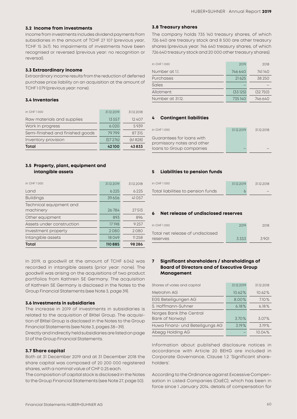#### **3.2 Income from investments**

Income from investments includes dividend payments from subsidiaries in the amount of TCHF 27 107 (previous year, TCHF 15 347). No impairments of investments have been recognised or reversed (previous year: no recognition or reversal).

#### **3.3 Extraordinary income**

Extraordinary income results from the reduction of deferred purchase price liability on an acquisition at the amount of TCHF 1 079 (previous year: none).

#### **3.4 Inventories**

| Total                            | 42100      | 43833      |
|----------------------------------|------------|------------|
| Inventory provision              | (57276)    | (61828)    |
| Semi-finished and finished goods | 79799      | 87315      |
| Work in progress                 | 6020       | 5939       |
| Raw materials and supplies       | 13557      | 12 407     |
| in CHF1000                       | 31.12.2019 | 31.12.2018 |

#### **3.5 Property, plant, equipment and intangible assets**

| in CHE 1000                          | 31.12.2019 | 31.12.2018 |
|--------------------------------------|------------|------------|
| Land                                 | 6225       | 6225       |
| <b>Buildings</b>                     | 39656      | 41057      |
| Technical equipment and<br>machinery | 26784      | 27513      |
| Other equipment                      | 893        | 896        |
| Assets under construction            | 17198      | 9257       |
| Investment property                  | 2080       | 2080       |
| Intangible assets                    | 18049      | 11 258     |
| Total                                | 110885     | 98286      |

In 2019, a goodwill at the amount of TCHF 6 042 was recorded in intangible assets (prior year: none). The goodwill was arising on the acquisitions of two product portfolios from Kathrein SE Germany. The acquisition of Kathrein SE Germany is disclosed in the Notes to the Group Financial Statements (see Note 3, page 39).

#### **3.6 Investments in subsidiaries**

The increase in 2019 of investments in subsidiaries is related to the acquisition of BKtel Group. The acquisition of BKtel Group is disclosed in the Notes to the Group Financial Statements (see Note 3, pages 38–39).

Directly and indirectly held subsidiaries are listed on page 51 of the Group Financial Statements.

#### **3.7 Share capital**

Both at 31 December 2019 and at 31 December 2018 the share capital was composed of 20 200 000 registered shares, with a nominal value of CHF 0.25 each.

The composition of capital stock is disclosed in the Notes to the Group Financial Statements (see Note 27, page 50).

#### **3.8 Treasury shares**

The company holds 735 140 treasury shares, of which 726 640 are treasury stock and 8 500 are other treasury shares (previous year: 746 640 treasury shares, of which 726 640 treasury stock and 20 000 other treasury shares).

| in CHF 1000      | 2019    | 2018    |
|------------------|---------|---------|
| Number at 1.1.   | 746640  | 741140  |
| Purchases        | 21625   | 38 250  |
| Sales            |         |         |
| Allotment        | (33125) | (32750) |
| Number at 31.12. | 735140  | 746640  |

#### **4 Contingent liabilities**

| in CHF 1000                                             | 31.12.2019 | 31.12.2018 |
|---------------------------------------------------------|------------|------------|
| Guarantees for loans with<br>promissory notes and other |            |            |
| loans to Group companies                                |            |            |

#### **5 Liabilities to pension funds**

| in CHF 1000                        | 31.12.2019 | 31.12.2018 |
|------------------------------------|------------|------------|
| Total liabilities to pension funds |            |            |

#### **6 Net release of undisclosed reserves**

| in CHE 1000                       | 2019 | 2018 |
|-----------------------------------|------|------|
| Total net release of undisclosed. |      |      |
| <b>reserves</b>                   | 3333 | 3901 |

#### **7 Significant shareholders / shareholdings of Board of Directors and of Executive Group Management**

| Shares of votes and capital                 | 31.12.2019 | 31.12.2018 |
|---------------------------------------------|------------|------------|
| Metrohm AG                                  | 10.62%     | 10.62%     |
| EGS Beteiligungen AG                        | 8.00%      | 7.10%      |
| S. Hoffmann-Suhner                          | 6.18%      | 6.18%      |
| Norges Bank (the Central<br>Bank of Norway) | 3.70%      | 3.07%      |
| Huwa Finanz- und Beteiligungs AG            | 3.19%      | 3.19%      |
| Abegg Holding AG                            |            | 10.04%     |

Information about published disclosure notices in accordance with Article 20 BEHG are included in Corporate Governance, Clause 1.2 'Significant shareholders'.

According to the Ordinance against Excessive Compensation in Listed Companies (OaEC), which has been in force since 1 January 2014, details of compensation for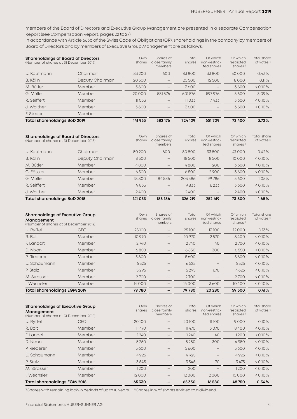members of the Board of Directors and Executive Group Management are presented in a separate Compensation Report (see Compensation Report, pages 22 to 27).

In accordance with Article 663c of the Swiss Code of Obligations (OR), shareholdings in the company by members of Board of Directors and by members of Executive Group Management are as follows:

| <b>Shareholdings of Board of Directors</b><br>(Number of shares at 31 December 2019) |                 | Own<br>shares | Shares of<br>close family<br>members | Total<br>shares | Of which<br>non-restric-<br>ted shares | Of which<br>restricted<br>shares <sup>1)</sup> | <b>Total share</b><br>of votes <sup>2)</sup> |
|--------------------------------------------------------------------------------------|-----------------|---------------|--------------------------------------|-----------------|----------------------------------------|------------------------------------------------|----------------------------------------------|
| U. Kaufmann                                                                          | Chairman        | 83200         | 600                                  | 83800           | 33800                                  | 50000                                          | 0.43%                                        |
| B. Kälin                                                                             | Deputy Chairman | 20500         |                                      | 20500           | 12500                                  | 8000                                           | 0.11%                                        |
| M. Bütler                                                                            | Member          | 3600          |                                      | 3600            |                                        | 3600                                           | $< 0.10 \%$                                  |
| G. Müller                                                                            | Member          | 20000         | 581576                               | 601576          | 597976                                 | 3600                                           | 3.09%                                        |
| R. Seiffert                                                                          | Member          | 11033         | $\overline{\phantom{0}}$             | 11033           | 7433                                   | 3600                                           | $< 0.10 \%$                                  |
| J. Walther                                                                           | Member          | 3600          | -                                    | 3600            | $\qquad \qquad -$                      | 3600                                           | $< 0.10\%$                                   |
| F. Studer                                                                            | Member          |               |                                      |                 |                                        |                                                |                                              |
| Total shareholdings BoD 2019                                                         |                 | 141 933       | 582 176                              | 724 109         | 651709                                 | 72 400                                         | 3.72%                                        |

| <b>Shareholdings of Board of Directors</b><br>(Number of shares at 31 December 2018) |                 | Own<br>shares | Shares of<br>close family<br>members | Total<br>shares | Of which<br>non-restric-<br>ted shares | Of which<br>restricted<br>shares <sup>1)</sup> | <b>Total share</b><br>of votes <sup>2)</sup> |
|--------------------------------------------------------------------------------------|-----------------|---------------|--------------------------------------|-----------------|----------------------------------------|------------------------------------------------|----------------------------------------------|
| U. Kaufmann                                                                          | Chairman        | 80200         | 600                                  | 80800           | 33800                                  | 47000                                          | 0.42%                                        |
| B. Kälin                                                                             | Deputy Chairman | 18500         |                                      | 18500           | 8500                                   | 10000                                          | $< 0.10\%$                                   |
| M. Bütler                                                                            | Member          | 4800          |                                      | 4800            | 1200                                   | 3600                                           | $< 0.10\%$                                   |
| C. Fässler                                                                           | Member          | 6500          | -                                    | 6500            | 2900                                   | 3600                                           | $< 0.10\%$                                   |
| G. Müller                                                                            | Member          | 18800         | 184586                               | 203386          | 199786                                 | 3600                                           | 1.05%                                        |
| R. Seiffert                                                                          | Member          | 9833          |                                      | 9833            | 6233                                   | 3600                                           | $< 0.10\%$                                   |
| J. Walther                                                                           | Member          | 2400          | $\overline{\phantom{0}}$             | 2400            |                                        | 2400                                           | $< 0.10\%$                                   |
| Total shareholdings BoD 2018                                                         |                 | 141033        | 185 186                              | 326 219         | 252 419                                | 73 800                                         | 1.68%                                        |

| <b>Shareholdings of Executive Group</b><br>Management<br>(Number of shares at 31 December 2019) |            | Own<br>shares | Shares of<br>close family<br>members | Total<br>shares | Of which<br>non-restric-<br>ted shares | Of which<br>restricted<br>shares <sup>1)</sup> | <b>Total share</b><br>of votes <sup>2)</sup> |
|-------------------------------------------------------------------------------------------------|------------|---------------|--------------------------------------|-----------------|----------------------------------------|------------------------------------------------|----------------------------------------------|
| U. Ryffel                                                                                       | <b>CEO</b> | 25100         | $\qquad \qquad$                      | 25100           | 13100                                  | 12000                                          | 0.13%                                        |
| R. Bolt                                                                                         | Member     | 10 970        |                                      | 10 970          | 2570                                   | 8400                                           | $< 0.10 \%$                                  |
| F. Landolt                                                                                      | Member     | 2740          |                                      | 2740            | 40                                     | 2700                                           | $< 0.10 \%$                                  |
| D. Nixon                                                                                        | Member     | 6850          |                                      | 6850            | 300                                    | 6550                                           | $< 0.10\%$                                   |
| P. Riederer                                                                                     | Member     | 5600          |                                      | 5600            |                                        | 5600                                           | $< 0.10\%$                                   |
| U. Schaumann                                                                                    | Member     | 6525          |                                      | 6525            |                                        | 6525                                           | $< 0.10\%$                                   |
| P. Stolz                                                                                        | Member     | 5295          |                                      | 5295            | 670                                    | 4625                                           | $< 0.10\%$                                   |
| M. Strasser                                                                                     | Member     | 2700          |                                      | 2700            |                                        | 2700                                           | $< 0.10\%$                                   |
| I. Wechsler                                                                                     | Member     | 14000         | $\qquad \qquad$                      | 14000           | 3600                                   | 10400                                          | $< 0.10\%$                                   |
| Total shareholdings EGM 2019                                                                    |            | 79 780        |                                      | 79 780          | 20 280                                 | 59 500                                         | 0.41%                                        |

| <b>Shareholdings of Executive Group</b><br>Management<br>(Number of shares at 31 December 2018) |            | Own<br>shares | Shares of<br>close family<br>members | Total<br>shares | Of which<br>non-restric-<br>ted shares | Of which<br>restricted<br>shares <sup>1)</sup> | Total share<br>of votes <sup>2)</sup> |
|-------------------------------------------------------------------------------------------------|------------|---------------|--------------------------------------|-----------------|----------------------------------------|------------------------------------------------|---------------------------------------|
| U. Ryffel                                                                                       | <b>CEO</b> | 20100         | $\qquad \qquad$                      | 20100           | 11100                                  | 9000                                           | 0.10%                                 |
| R. Bolt                                                                                         | Member     | 11470         |                                      | 11470           | 3070                                   | 8400                                           | $< 0.10 \%$                           |
| E. Landolt                                                                                      | Member     | 1240          |                                      | 1240            | 40                                     | 1200                                           | $< 0.10 \%$                           |
| D. Nixon                                                                                        | Member     | 5 2 5 0       |                                      | 5 2 5 0         | 300                                    | 4950                                           | $< 0.10 \%$                           |
| P. Riederer                                                                                     | Member     | 5600          |                                      | 5600            |                                        | 5600                                           | $< 0.10 \%$                           |
| U. Schaumann                                                                                    | Member     | 4925          |                                      | 4925            | $\qquad \qquad -$                      | 4925                                           | $< 0.10 \%$                           |
| P. Stolz                                                                                        | Member     | 3545          |                                      | 3545            | 70                                     | 3475                                           | $< 0.10\%$                            |
| M. Strasser                                                                                     | Member     | 1200          |                                      | 1200            |                                        | 1200                                           | $< 0.10\%$                            |
| I. Wechsler                                                                                     | Member     | 12000         | -                                    | 12000           | 2000                                   | 10000                                          | $< 0.10\%$                            |
| <b>Total shareholdings EGM 2018</b>                                                             |            | 65330         | -                                    | 65330           | 16580                                  | 48750                                          | 0.34%                                 |

<sup>1)</sup> Shares with remaining lock-in periods of up to 10 years <sup>2)</sup> Shares in % of shares entitled to a dividend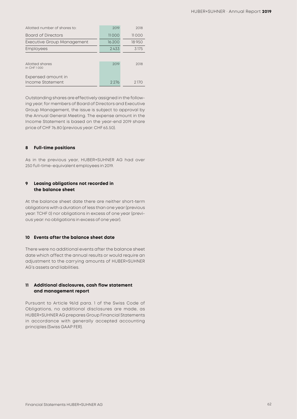| Allotted number of shares to:  | 2019  | 2018  |
|--------------------------------|-------|-------|
| <b>Board of Directors</b>      | 11000 | 11000 |
| Executive Group Management     | 16200 | 18950 |
| <b>Employees</b>               | 2433  | 3175  |
|                                |       |       |
| Allotted shares<br>in CHE 1000 | 2019  | 2018  |
| Expensed amount in             |       |       |
| Income Statement               | 2276  | 2170  |

Outstanding shares are effectively assigned in the following year; for members of Board of Directors and Executive Group Management, the issue is subject to approval by the Annual General Meeting. The expense amount in the Income Statement is based on the year-end 2019 share price of CHF 76.80 (previous year: CHF 65.50).

#### **8 Full-time positions**

As in the previous year, HUBER+SUHNER AG had over 250 full-time-equivalent employees in 2019.

#### **9 Leasing obligations not recorded in the balance sheet**

At the balance sheet date there are neither short-term obligations with a duration of less than one year (previous year: TCHF 0) nor obligations in excess of one year (previous year: no obligations in excess of one year).

#### **10 Events after the balance sheet date**

There were no additional events after the balance sheet date which affect the annual results or would require an adjustment to the carrying amounts of HUBER+SUHNER AG's assets and liabilities.

#### **11 Additional disclosures, cash flow statement and management report**

Pursuant to Article 961d para. 1 of the Swiss Code of Obligations, no additional disclosures are made, as HUBER+SUHNER AG prepares Group Financial Statements in accordance with generally accepted accounting principles (Swiss GAAP FER).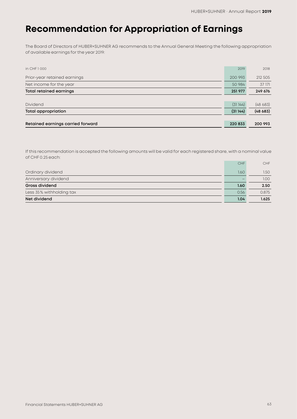## **Recommendation for Appropriation of Earnings**

The Board of Directors of HUBER+SUHNER AG recommends to the Annual General Meeting the following appropriation of available earnings for the year 2019:

| in CHF 1000                       | 2019    | 2018    |
|-----------------------------------|---------|---------|
| Prior-year retained earnings      | 200 993 | 212 505 |
| Net income for the year           | 50 984  | 37 171  |
| <b>Total retained earnings</b>    | 251977  | 249 676 |
|                                   |         |         |
| <b>Dividend</b>                   | (31144) | (48683) |
| <b>Total appropriation</b>        | (31144) | (48683) |
|                                   |         |         |
| Retained earnings carried forward | 220 833 | 200 993 |

If this recommendation is accepted the following amounts will be valid for each registered share, with a nominal value of CHF 0.25 each:

|                          | CHF  | <b>CHF</b>        |
|--------------------------|------|-------------------|
| Ordinary dividend        | 1.60 | 1.50 <sub>1</sub> |
| Anniversary dividend     |      | 1.00 <sub>1</sub> |
| Gross dividend           | 1.60 | 2.50              |
| Less 35% withholding tax | 0.56 | 0.875             |
| Net dividend             | 1.04 | 1.625             |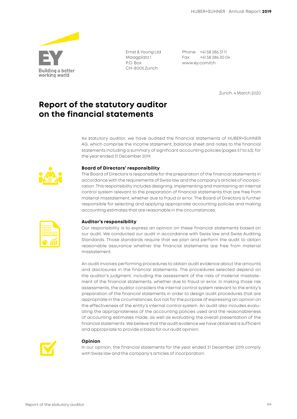

Ernst & Young Ltd Maagplatz 1 P.O. Box CH-8005 Zurich

Phone +41 58 286 31 11 Fax +41 58 286 30 04 www.ey.com/ch

Zurich, 4 March 2020

### **Report of the statutory auditor on the financial statements**

As statutory auditor, we have audited the financial statements of HUBER+SUHNER AG, which comprise the income statement, balance sheet and notes to the financial statements including a summary of significant accounting policies (pages 57 to 63), for the year ended 31 December 2019.



#### **Board of Directors' responsibility**

The Board of Directors is responsible for the preparation of the financial statements in accordance with the requirements of Swiss law and the company's articles of incorporation. This responsibility includes designing, implementing and maintaining an internal control system relevant to the preparation of financial statements that are free from material misstatement, whether due to fraud or error. The Board of Directors is further responsible for selecting and applying appropriate accounting policies and making accounting estimates that are reasonable in the circumstances.

| the control of the control of the |  |
|-----------------------------------|--|
|                                   |  |

#### **Auditor's responsibility**

Our responsibility is to express an opinion on these financial statements based on our audit. We conducted our audit in accordance with Swiss law and Swiss Auditing Standards. Those standards require that we plan and perform the audit to obtain reasonable assurance whether the financial statements are free from material misstatement.

An audit involves performing procedures to obtain audit evidence about the amounts and disclosures in the financial statements. The procedures selected depend on the auditor's judgment, including the assessment of the risks of material misstatement of the financial statements, whether due to fraud or error. In making those risk assessments, the auditor considers the internal control system relevant to the entity's preparation of the financial statements in order to design audit procedures that are appropriate in the circumstances, but not for the purpose of expressing an opinion on the effectiveness of the entity's internal control system. An audit also includes evaluating the appropriateness of the accounting policies used and the reasonableness of accounting estimates made, as well as evaluating the overall presentation of the financial statements. We believe that the audit evidence we have obtained is sufficient and appropriate to provide a basis for our audit opinion.



#### **Opinion**

In our opinion, the financial statements for the year ended 31 December 2019 comply with Swiss law and the company's articles of incorporation.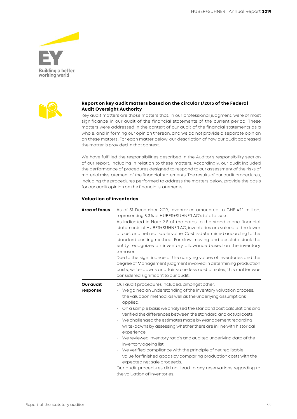



#### **Report on key audit matters based on the circular 1/2015 of the Federal Audit Oversight Authority**

Key audit matters are those matters that, in our professional judgment, were of most significance in our audit of the financial statements of the current period. These matters were addressed in the context of our audit of the financial statements as a whole, and in forming our opinion thereon, and we do not provide a separate opinion on these matters. For each matter below, our description of how our audit addressed the matter is provided in that context.

We have fulfilled the responsibilities described in the Auditor's responsibility section of our report, including in relation to these matters. Accordingly, our audit included the performance of procedures designed to respond to our assessment of the risks of material misstatement of the financial statements. The results of our audit procedures, including the procedures performed to address the matters below, provide the basis for our audit opinion on the financial statements.

#### **Valuation of inventories**

| Area of focus                | As of 31 December 2019, inventories amounted to CHF 42.1 million,<br>representing 8.3% of HUBER+SUHNER AG's total assets.<br>As indicated in Note 2.5 of the notes to the stand-alone financial<br>statements of HUBER+SUHNER AG, inventories are valued at the lower<br>of cost and net realisable value. Cost is determined according to the<br>standard costing method. For slow-moving and obsolete stock the<br>entity recognizes an inventory allowance based on the inventory<br>turnover.<br>Due to the significance of the carrying values of inventories and the<br>degree of Management judgment involved in determining production<br>costs, write-downs and fair value less cost of sales, this matter was<br>considered significant to our audit.                                                                                          |
|------------------------------|----------------------------------------------------------------------------------------------------------------------------------------------------------------------------------------------------------------------------------------------------------------------------------------------------------------------------------------------------------------------------------------------------------------------------------------------------------------------------------------------------------------------------------------------------------------------------------------------------------------------------------------------------------------------------------------------------------------------------------------------------------------------------------------------------------------------------------------------------------|
| <b>Our audit</b><br>response | Our audit procedures included, amongst other:<br>We gained an understanding of the inventory valuation process,<br>the valuation method, as well as the underlying assumptions<br>applied.<br>On a sample basis we analysed the standard cost calculations and<br>verified the differences between the standard and actual costs.<br>We challenged the estimates made by Management regarding<br>write-downs by assessing whether there are in line with historical<br>experience.<br>We reviewed inventory ratio's and audited underlying data of the<br>inventory ageing list.<br>We verified compliance with the principle of net realisable<br>value for finished goods by comparing production costs with the<br>expected net sale proceeds.<br>Our audit procedures did not lead to any reservations regarding to<br>the valuation of inventories. |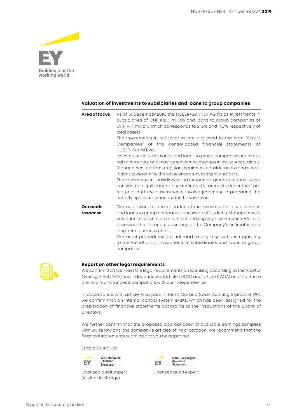

#### **Valuation of investments to subsidiaries and loans to group companies**

| Area of focus                | As of 31 December 2019, the HUBER+SUHNER AG holds investments in<br>subsidiaries of CHF 108.4 million and loans to group companies of<br>CHF 74.4 million, which corresponds to 21.5% and 14.7% respectively of<br>total assets.<br>The investments in subsidiaries are disclosed in the note "Group<br>Companies" of the consolidated financial statements of<br>HUBER+SUHNER AG.<br>Investments in subsidiaries and loans to group companies are mate-<br>rial to the entity and may be subject to changes in value. Accordingly,<br>Management performs regular impairment considerations and calcu-<br>lations to determine the value of each investment and loan.<br>The investments in subsidiaries and the loans to group companies were<br>considered significant to our audit as the amounts concerned are<br>material and the assessments involve judgment in preparing the<br>underlying key assumptions for the valuation. |
|------------------------------|----------------------------------------------------------------------------------------------------------------------------------------------------------------------------------------------------------------------------------------------------------------------------------------------------------------------------------------------------------------------------------------------------------------------------------------------------------------------------------------------------------------------------------------------------------------------------------------------------------------------------------------------------------------------------------------------------------------------------------------------------------------------------------------------------------------------------------------------------------------------------------------------------------------------------------------|
| <b>Our audit</b><br>response | Our audit work for the valuation of the investments in subsidiaries<br>and loans to group companies consisted of auditing Management's<br>valuation assessments and the underlying key assumptions. We also<br>assessed the historical accuracy of the Company's estimates and<br>long-term business plans.<br>Our audit procedures did not lead to any reservations regarding<br>to the valuation of investments in subsidiaries and loans to group<br>companies.                                                                                                                                                                                                                                                                                                                                                                                                                                                                     |



#### **Report on other legal requirements**

We confirm that we meet the legal requirements on licensing according to the Auditor Oversight Act (AOA) and independence (article 728 CO and article 11 AOA) and that there are no circumstances incompatible with our independence.

In accordance with article 728a para. 1 item 3 CO and Swiss Auditing Standard 890, we confirm that an internal control system exists, which has been designed for the preparation of financial statements according to the instructions of the Board of Directors.

We further confirm that the proposed appropriation of available earnings complies with Swiss law and the company's articles of incorporation. We recommend that the financial statements submitted to you be approved.

Ernst & Young Ltd



(Auditor in charge)



Licensed audit expert Licensed audit expert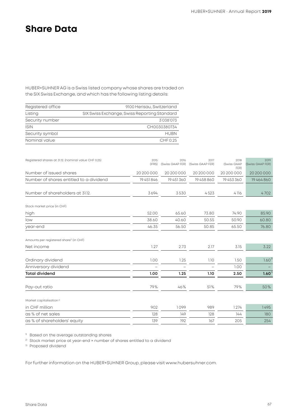## **Share Data**

HUBER+SUHNER AG is a Swiss listed company whose shares are traded on the SIX Swiss Exchange, and which has the following listing details:

| Registered office | 9100 Herisau, Switzerland                    |
|-------------------|----------------------------------------------|
| Listing           | SIX Swiss Exchange, Swiss Reporting Standard |
| Security number   | 3'038'073                                    |
| <b>ISIN</b>       | CH0030380734                                 |
| Security symbol   | HUBN                                         |
| Nominal value     | CHFO.25                                      |

| Registered shares at 31.12. (nominal value CHF 0.25) | 2015<br>(IFRS) | 2016<br>(Swiss GAAP FER) | 2017<br>(Swiss GAAP FER) | 2018<br>(Swiss GAAP<br>FER) | 2019<br>(Swiss GAAP FER) |
|------------------------------------------------------|----------------|--------------------------|--------------------------|-----------------------------|--------------------------|
| Number of issued shares                              | 20 200 000     | 20 200 000               | 20 200 000               | 20 200 000                  | 20 20 00 00 0            |
| Number of shares entitled to a dividend              | 19451846       | 19451360                 | 19458860                 | 19453360                    | 19464860                 |
| Number of shareholders at 31.12.                     | 3694           | 3530                     | 4523                     | 4116                        | 4702                     |
| Stock market price (in CHF)                          |                |                          |                          |                             |                          |
| high                                                 | 52.00          | 65.60                    | 73.80                    | 74.90                       | 85.90                    |
| low                                                  | 38.60          | 40.60                    | 50.55                    | 50.90                       | 60.80                    |
| year-end                                             | 46.35          | 56.50                    | 50.85                    | 65.50                       | 76.80                    |
| Amounts per registered share <sup>®</sup> (in CHF)   |                |                          |                          |                             |                          |
| Net income                                           | 1.27           | 2.73                     | 2.17                     | 3.15                        | 3.22                     |
| Ordinary dividend                                    | 1.00           | 1.25                     | 1.10                     | 1.50                        | $1.60^{3}$               |
| Anniversary dividend                                 |                |                          |                          | 1.00                        |                          |
| <b>Total dividend</b>                                | 1.00           | 1.25                     | 1.10                     | 2.50                        | $1.60^{3}$               |
| Pay-out ratio                                        | 79%            | 46%                      | 51%                      | 79%                         | 50%                      |
| Market capitalisation <sup>2)</sup>                  |                |                          |                          |                             |                          |
| in CHF million                                       | 902            | 1099                     | 989                      | 1274                        | 1495                     |
| as % of net sales                                    | 128            | 149                      | 128                      | 144                         | 180                      |
| as % of shareholders' equity                         | 139            | 192                      | 167                      | 205                         | 254                      |

1) Based on the average outstanding shares

<sup>2)</sup> Stock market price at year-end × number of shares entitled to a dividend

3) Proposed dividend

For further information on the HUBER+SUHNER Group, please visit www.hubersuhner.com.